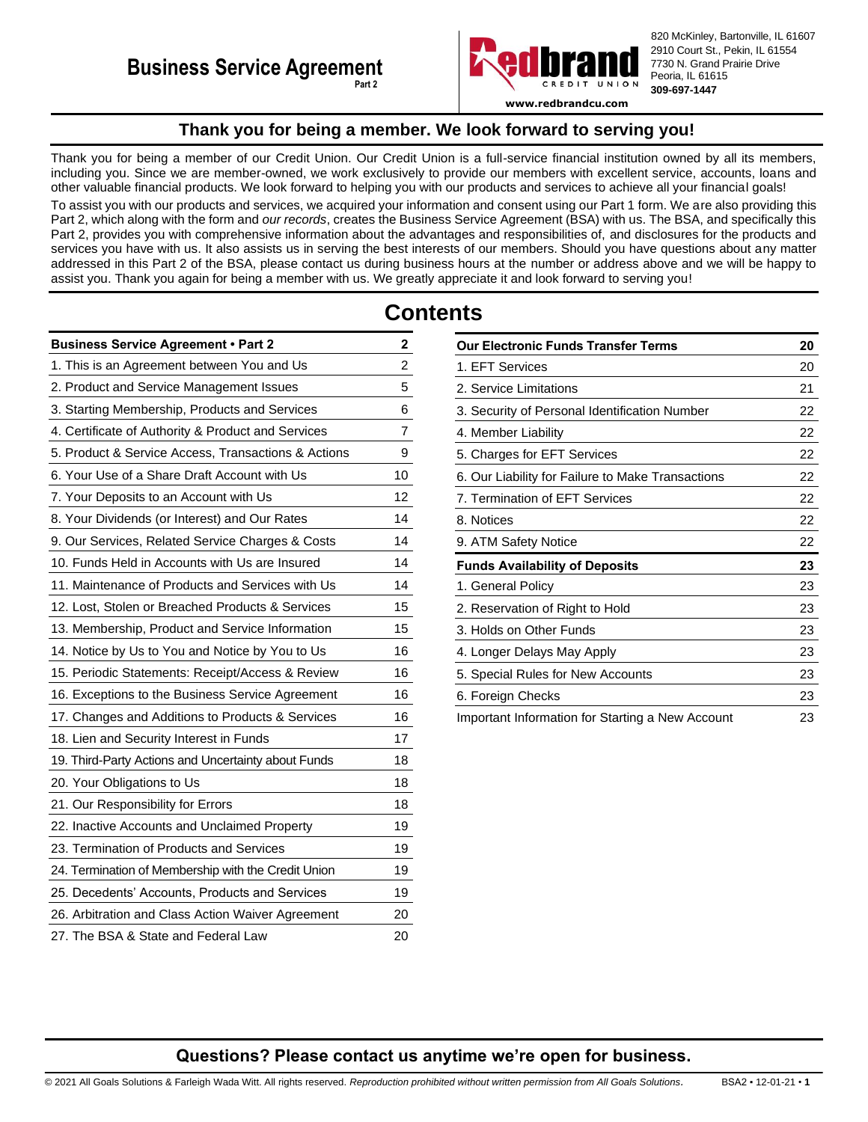

820 McKinley, Bartonville, IL 61607 2910 Court St., Pekin, IL 61554 7730 N. Grand Prairie Drive Peoria, IL 61615 **309-697-1447**

**www.redbrandcu.com**

# **Thank you for being a member. We look forward to serving you!**

<span id="page-0-0"></span>Thank you for being a member of our Credit Union. Our Credit Union is a full-service financial institution owned by all its members, including you. Since we are member-owned, we work exclusively to provide our members with excellent service, accounts, loans and other valuable financial products. We look forward to helping you with our products and services to achieve all your financial goals! To assist you with our products and services, we acquired your information and consent using our Part 1 form. We are also providing this Part 2, which along with the form and *our records*, creates the Business Service Agreement (BSA) with us. The BSA, and specifically this Part 2, provides you with comprehensive information about the advantages and responsibilities of, and disclosures for the products and services you have with us. It also assists us in serving the best interests of our members. Should you have questions about any matter addressed in this Part 2 of the BSA, please contact us during business hours at the number or address above and we will be happy to assist you. Thank you again for being a member with us. We greatly appreciate it and look forward to serving you!

# **Contents**

| <b>Business Service Agreement . Part 2</b>          | 2              |
|-----------------------------------------------------|----------------|
| 1. This is an Agreement between You and Us          | $\overline{2}$ |
| 2. Product and Service Management Issues            | 5              |
| 3. Starting Membership, Products and Services       | 6              |
| 4. Certificate of Authority & Product and Services  | 7              |
| 5. Product & Service Access, Transactions & Actions | 9              |
| 6. Your Use of a Share Draft Account with Us        | 10             |
| 7. Your Deposits to an Account with Us              | 12             |
| 8. Your Dividends (or Interest) and Our Rates       | 14             |
| 9. Our Services, Related Service Charges & Costs    | 14             |
| 10. Funds Held in Accounts with Us are Insured      | 14             |
| 11. Maintenance of Products and Services with Us    | 14             |
| 12. Lost, Stolen or Breached Products & Services    | 15             |
| 13. Membership, Product and Service Information     | 15             |
| 14. Notice by Us to You and Notice by You to Us     | 16             |
| 15. Periodic Statements: Receipt/Access & Review    | 16             |
| 16. Exceptions to the Business Service Agreement    | 16             |
| 17. Changes and Additions to Products & Services    | 16             |
| 18. Lien and Security Interest in Funds             | 17             |
| 19. Third-Party Actions and Uncertainty about Funds | 18             |
| 20. Your Obligations to Us                          | 18             |
| 21. Our Responsibility for Errors                   | 18             |
| 22. Inactive Accounts and Unclaimed Property        | 19             |
| 23. Termination of Products and Services            | 19             |
| 24. Termination of Membership with the Credit Union | 19             |
| 25. Decedents' Accounts, Products and Services      | 19             |
| 26. Arbitration and Class Action Waiver Agreement   | 20             |
| 27. The BSA & State and Federal Law                 | 20             |

| <b>Our Electronic Funds Transfer Terms</b>        | 20 |
|---------------------------------------------------|----|
| 1. EFT Services                                   | 20 |
| 2. Service Limitations                            | 21 |
| 3. Security of Personal Identification Number     | 22 |
| 4. Member Liability                               | 22 |
| 5. Charges for EFT Services                       | 22 |
| 6. Our Liability for Failure to Make Transactions | 22 |
| 7. Termination of EFT Services                    | 22 |
| 8. Notices                                        | 22 |
| 9. ATM Safety Notice                              | 22 |
| <b>Funds Availability of Deposits</b>             | 23 |
| 1. General Policy                                 | 23 |
| 2. Reservation of Right to Hold                   | 23 |
| 3. Holds on Other Funds                           | 23 |
| 4. Longer Delays May Apply                        | 23 |
| 5. Special Rules for New Accounts                 | 23 |
| 6. Foreign Checks                                 | 23 |
| Important Information for Starting a New Account  | 23 |

# **Questions? Please contact us anytime we're open for business.**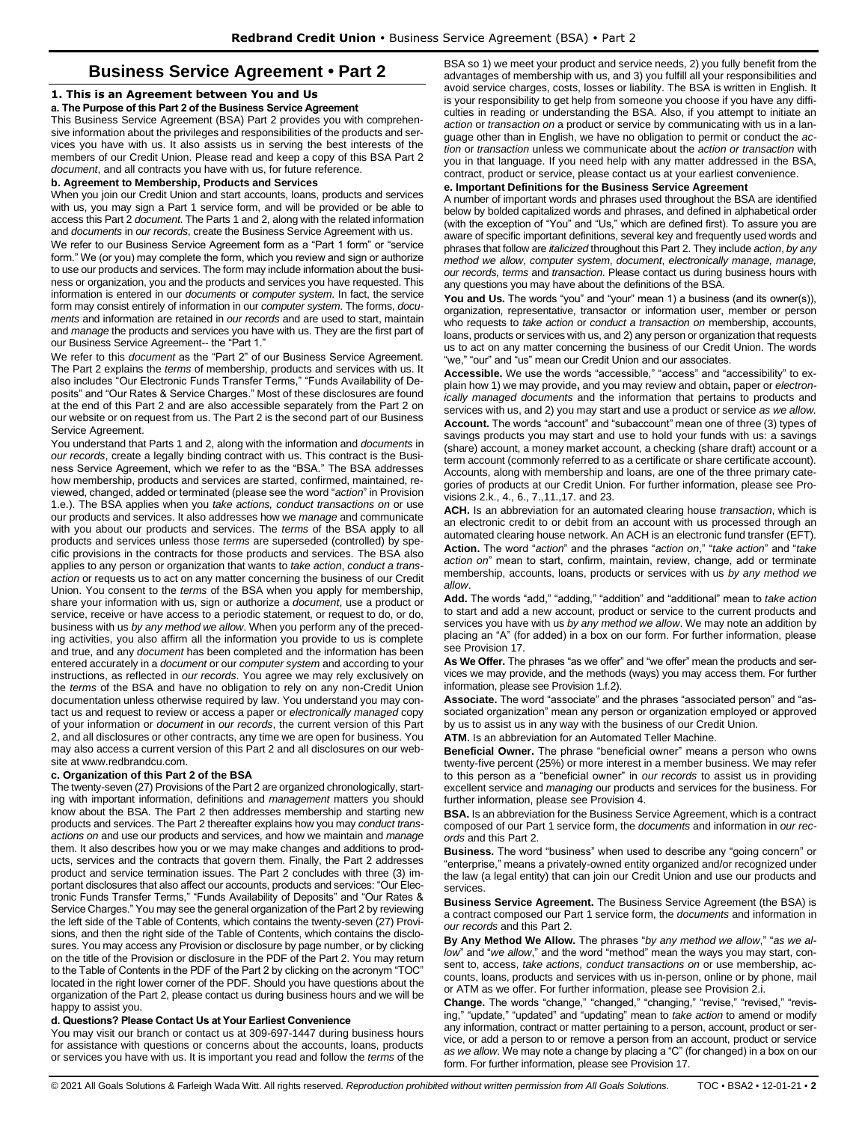# **Business Service Agreement • Part 2**

# <span id="page-1-1"></span><span id="page-1-0"></span>**1. This is an Agreement between You and Us**

# **a. The Purpose of this Part 2 of the Business Service Agreement**

This Business Service Agreement (BSA) Part 2 provides you with comprehensive information about the privileges and responsibilities of the products and services you have with us. It also assists us in serving the best interests of the members of our Credit Union. Please read and keep a copy of this BSA Part 2 *document*, and all contracts you have with us, for future reference.

#### **b. Agreement to Membership, Products and Services**

When you join our Credit Union and start accounts, loans, products and services with us, you may sign a Part 1 service form, and will be provided or be able to access this Part 2 *document*. The Parts 1 and 2, along with the related information and *documents* in *our records*, create the Business Service Agreement with us.

We refer to our Business Service Agreement form as a "Part 1 form" or "service form." We (or you) may complete the form, which you review and sign or authorize to use our products and services. The form may include information about the business or organization, you and the products and services you have requested. This information is entered in our *documents* or *computer system*. In fact, the service form may consist entirely of information in our *computer system*. The forms, *documents* and information are retained in *our records* and are used to start, maintain and *manage* the products and services you have with us. They are the first part of our Business Service Agreement-- the "Part 1."

We refer to this *document* as the "Part 2" of our Business Service Agreement. The Part 2 explains the *terms* of membership, products and services with us. It also includes "Our Electronic Funds Transfer Terms," "Funds Availability of Deposits" and "Our Rates & Service Charges." Most of these disclosures are found at the end of this Part 2 and are also accessible separately from the Part 2 on our website or on request from us. The Part 2 is the second part of our Business Service Agreement.

You understand that Parts 1 and 2, along with the information and *documents* in *our records*, create a legally binding contract with us. This contract is the Business Service Agreement, which we refer to as the "BSA." The BSA addresses how membership, products and services are started, confirmed, maintained, reviewed, changed, added or terminated (please see the word "*action*" in Provision 1.e.). The BSA applies when you *take actions, conduct transactions on* or use our products and services. It also addresses how we *manage* and communicate with you about our products and services. The *terms* of the BSA apply to all products and services unless those *terms* are superseded (controlled) by specific provisions in the contracts for those products and services. The BSA also applies to any person or organization that wants to *take action*, *conduct a trans*action or requests us to act on any matter concerning the business of our Credit Union. You consent to the *terms* of the BSA when you apply for membership, share your information with us, sign or authorize a *document*, use a product or service, receive or have access to a periodic statement, or request to do, or do, business with us *by any method we allow*. When you perform any of the preceding activities, you also affirm all the information you provide to us is complete and true, and any *document* has been completed and the information has been entered accurately in a *document* or our *computer system* and according to your instructions, as reflected in *our records*. You agree we may rely exclusively on the *terms* of the BSA and have no obligation to rely on any non-Credit Union documentation unless otherwise required by law. You understand you may contact us and request to review or access a paper or *electronically managed* copy of your information or *document* in *our records*, the current version of this Part 2, and all disclosures or other contracts, any time we are open for business. You may also access a current version of this Part 2 and all disclosures on our website at www.redbrandcu.com.

## **c. Organization of this Part 2 of the BSA**

The twenty-seven (27) Provisions of the Part 2 are organized chronologically, starting with important information, definitions and *management* matters you should know about the BSA. The Part 2 then addresses membership and starting new products and services. The Part 2 thereafter explains how you may *conduct transactions on* and use our products and services, and how we maintain and *manage*  them. It also describes how you or we may make changes and additions to products, services and the contracts that govern them. Finally, the Part 2 addresses product and service termination issues. The Part 2 concludes with three (3) important disclosures that also affect our accounts, products and services: "Our Electronic Funds Transfer Terms," "Funds Availability of Deposits" and "Our Rates & Service Charges." You may see the general organization of the Part 2 by reviewing the left side of the Table of Contents, which contains the twenty-seven (27) Provisions, and then the right side of the Table of Contents, which contains the disclosures. You may access any Provision or disclosure by page number, or by clicking on the title of the Provision or disclosure in the PDF of the Part 2. You may return to the Table of Contents in the PDF of the Part 2 by clicking on the acronym "TOC" located in the right lower corner of the PDF. Should you have questions about the organization of the Part 2, please contact us during business hours and we will be happy to assist you.

# **d. Questions? Please Contact Us at Your Earliest Convenience**

You may visit our branch or contact us at 309-697-1447 during business hours for assistance with questions or concerns about the accounts, loans, products or services you have with us. It is important you read and follow the *terms* of the

BSA so 1) we meet your product and service needs, 2) you fully benefit from the advantages of membership with us, and 3) you fulfill all your responsibilities and avoid service charges, costs, losses or liability. The BSA is written in English. It is your responsibility to get help from someone you choose if you have any difficulties in reading or understanding the BSA. Also, if you attempt to initiate an *action* or *transaction on* a product or service by communicating with us in a language other than in English, we have no obligation to permit or conduct the *action* or *transaction* unless we communicate about the *action or transaction* with you in that language. If you need help with any matter addressed in the BSA, contract, product or service, please contact us at your earliest convenience.

# **e. Important Definitions for the Business Service Agreement**

A number of important words and phrases used throughout the BSA are identified below by bolded capitalized words and phrases, and defined in alphabetical order (with the exception of "You" and "Us," which are defined first). To assure you are aware of specific important definitions, several key and frequently used words and phrases that follow are *italicized* throughout this Part 2. They include *action*, *by any method we allow*, *computer system*, *document*, *electronically manage, manage, our records, terms* and *transaction*. Please contact us during business hours with any questions you may have about the definitions of the BSA.

**You and Us.** The words "you" and "your" mean 1) a business (and its owner(s)), organization, representative, transactor or information user, member or person who requests to *take action* or *conduct a transaction on* membership, accounts, loans, products or services with us, and 2) any person or organization that requests us to act on any matter concerning the business of our Credit Union. The words "we," "our" and "us" mean our Credit Union and our associates.

**Accessible.** We use the words "accessible," "access" and "accessibility" to explain how 1) we may provide**,** and you may review and obtain**,** paper or *electronically managed documents* and the information that pertains to products and services with us, and 2) you may start and use a product or service *as we allow.*  **Account.** The words "account" and "subaccount" mean one of three (3) types of savings products you may start and use to hold your funds with us: a savings (share) account, a money market account, a checking (share draft) account or a term account (commonly referred to as a certificate or share certificate account). Accounts, along with membership and loans, are one of the three primary categories of products at our Credit Union. For further information, please see Provisions 2.k., 4., 6., 7.,11.,17. and 23.

**ACH.** Is an abbreviation for an automated clearing house *transaction*, which is an electronic credit to or debit from an account with us processed through an automated clearing house network. An ACH is an electronic fund transfer (EFT). **Action.** The word "*action*" and the phrases "*action on*," "*take action*" and "*take action on*" mean to start, confirm, maintain, review, change, add or terminate membership, accounts, loans, products or services with us *by any method we allow*.

**Add.** The words "add," "adding," "addition" and "additional" mean to *take action* to start and add a new account, product or service to the current products and services you have with us *by any method we allow*. We may note an addition by placing an "A" (for added) in a box on our form. For further information, please see Provision 17.

**As We Offer.** The phrases "as we offer" and "we offer" mean the products and services we may provide, and the methods (ways) you may access them. For further information, please see Provision 1.f.2).

**Associate.** The word "associate" and the phrases "associated person" and "associated organization" mean any person or organization employed or approved by us to assist us in any way with the business of our Credit Union.

**ATM.** Is an abbreviation for an Automated Teller Machine.

**Beneficial Owner.** The phrase "beneficial owner" means a person who owns twenty-five percent (25%) or more interest in a member business. We may refer to this person as a "beneficial owner" in *our records* to assist us in providing excellent service and *managing* our products and services for the business. For further information, please see Provision 4.

**BSA.** Is an abbreviation for the Business Service Agreement, which is a contract composed of our Part 1 service form, the *documents* and information in *our records* and this Part 2.

**Business.** The word "business" when used to describe any "going concern" or "enterprise," means a privately-owned entity organized and/or recognized under the law (a legal entity) that can join our Credit Union and use our products and services.

**Business Service Agreement.** The Business Service Agreement (the BSA) is a contract composed our Part 1 service form, the *documents* and information in *our records* and this Part 2.

**By Any Method We Allow.** The phrases "*by any method we allow*," "*as we allow*" and "*we allow*," and the word "method" mean the ways you may start, consent to, access, *take actions, conduct transactions on* or use membership, accounts, loans, products and services with us in-person, online or by phone, mail or ATM as we offer. For further information, please see Provision 2.i.

**Change.** The words "change," "changed," "changing," "revise," "revised," "revising," "update," "updated" and "updating" mean to *take action* to amend or modify any information, contract or matter pertaining to a person, account, product or service, or add a person to or remove a person from an account, product or service *as we allow*. We may note a change by placing a "C" (for changed) in a box on our form. For further information, please see Provision 17.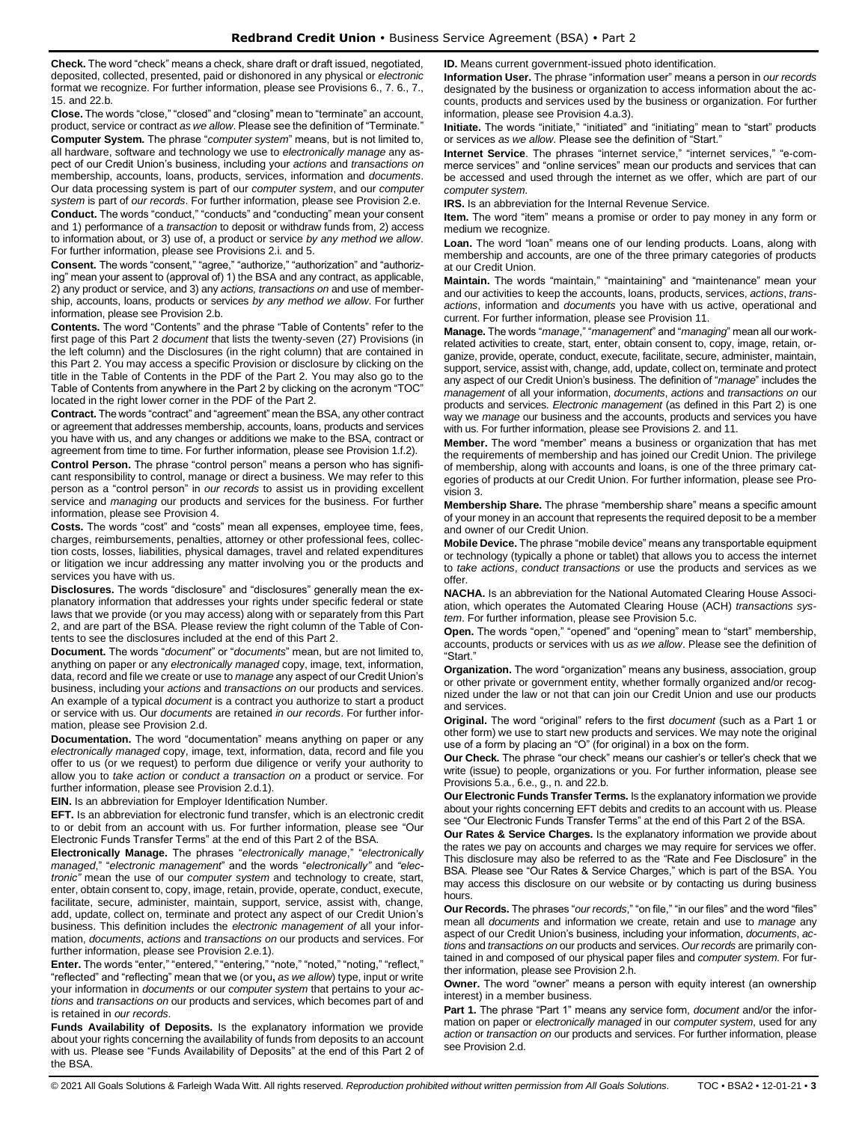**Check.** The word "check" means a check, share draft or draft issued, negotiated, deposited, collected, presented, paid or dishonored in any physical or *electronic* format we recognize. For further information, please see Provisions 6., 7. 6., 7., 15. and 22.b.

**Close.** The words "close," "closed" and "closing" mean to "terminate" an account, product, service or contract *as we allow*. Please see the definition of "Terminate." **Computer System.** The phrase "*computer system*" means, but is not limited to, all hardware, software and technology we use to *electronically manage* any aspect of our Credit Union's business, including your *actions* and *transactions on* membership, accounts, loans, products, services, information and *documents*. Our data processing system is part of our *computer system*, and our *computer system* is part of *our records*. For further information, please see Provision 2.e. **Conduct.** The words "conduct," "conducts" and "conducting" mean your consent and 1) performance of a *transaction* to deposit or withdraw funds from, 2) access

to information about, or 3) use of, a product or service *by any method we allow*. For further information, please see Provisions 2.i. and 5.

**Consent.** The words "consent," "agree," "authorize," "authorization" and "authorizing" mean your assent to (approval of) 1) the BSA and any contract, as applicable, 2) any product or service, and 3) any *actions, transactions on* and use of membership, accounts, loans, products or services *by any method we allow*. For further information, please see Provision 2.b.

**Contents.** The word "Contents" and the phrase "Table of Contents" refer to the first page of this Part 2 *document* that lists the twenty-seven (27) Provisions (in the left column) and the Disclosures (in the right column) that are contained in this Part 2. You may access a specific Provision or disclosure by clicking on the title in the Table of Contents in the PDF of the Part 2. You may also go to the Table of Contents from anywhere in the Part 2 by clicking on the acronym "TOC" located in the right lower corner in the PDF of the Part 2.

**Contract.** The words "contract" and "agreement" mean the BSA, any other contract or agreement that addresses membership, accounts, loans, products and services you have with us, and any changes or additions we make to the BSA, contract or agreement from time to time. For further information, please see Provision 1.f.2).

**Control Person.** The phrase "control person" means a person who has significant responsibility to control, manage or direct a business. We may refer to this person as a "control person" in *our records* to assist us in providing excellent service and *managing* our products and services for the business. For further information, please see Provision 4.

**Costs.** The words "cost" and "costs" mean all expenses, employee time, fees, charges, reimbursements, penalties, attorney or other professional fees, collection costs, losses, liabilities, physical damages, travel and related expenditures or litigation we incur addressing any matter involving you or the products and services you have with us.

**Disclosures.** The words "disclosure" and "disclosures" generally mean the explanatory information that addresses your rights under specific federal or state laws that we provide (or you may access) along with or separately from this Part 2, and are part of the BSA. Please review the right column of the Table of Contents to see the disclosures included at the end of this Part 2.

**Document.** The words "*document*" or "*documents*" mean, but are not limited to, anything on paper or any *electronically managed* copy, image, text, information, data, record and file we create or use to *manage* any aspect of our Credit Union's business, including your *actions* and *transactions on* our products and services. An example of a typical *document* is a contract you authorize to start a product or service with us. Our *documents* are retained *in our records*. For further information, please see Provision 2.d.

**Documentation.** The word "documentation" means anything on paper or any *electronically managed* copy, image, text, information, data, record and file you offer to us (or we request) to perform due diligence or verify your authority to allow you to *take action* or *conduct a transaction on* a product or service. For further information, please see Provision 2.d.1).

**EIN.** Is an abbreviation for Employer Identification Number.

**EFT.** Is an abbreviation for electronic fund transfer, which is an electronic credit to or debit from an account with us. For further information, please see "Our Electronic Funds Transfer Terms" at the end of this Part 2 of the BSA.

**Electronically Manage.** The phrases "*electronically manage*," "*electronically managed*," "*electronic management*" and the words "*electronically"* and *"electronic"* mean the use of our *computer system* and technology to create, start, enter, obtain consent to, copy, image, retain, provide, operate, conduct, execute, facilitate, secure, administer, maintain, support, service, assist with, change, add, update, collect on, terminate and protect any aspect of our Credit Union's business. This definition includes the *electronic management of* all your information, *documents*, *actions* and *transactions on* our products and services. For further information, please see Provision 2.e.1).

**Enter.** The words "enter," "entered," "entering," "note," "noted," "noting," "reflect," "reflected" and "reflecting" mean that we (or you**,** *as we allow*) type, input or write your information in *documents* or our *computer system* that pertains to your *actions* and *transactions on* our products and services, which becomes part of and is retained in *our records*.

**Funds Availability of Deposits.** Is the explanatory information we provide about your rights concerning the availability of funds from deposits to an account with us. Please see "Funds Availability of Deposits" at the end of this Part 2 of the BSA.

**ID.** Means current government-issued photo identification.

**Information User.** The phrase "information user" means a person in *our records* designated by the business or organization to access information about the accounts, products and services used by the business or organization. For further information, please see Provision 4.a.3).

**Initiate.** The words "initiate," "initiated" and "initiating" mean to "start" products or services *as we allow*. Please see the definition of "Start."

**Internet Service**. The phrases "internet service," "internet services," "e-commerce services" and "online services" mean our products and services that can be accessed and used through the internet as we offer, which are part of our *computer system*.

**IRS.** Is an abbreviation for the Internal Revenue Service.

**Item.** The word "item" means a promise or order to pay money in any form or medium we recognize.

Loan. The word "loan" means one of our lending products. Loans, along with membership and accounts, are one of the three primary categories of products at our Credit Union.

**Maintain.** The words "maintain," "maintaining" and "maintenance" mean your and our activities to keep the accounts, loans, products, services, *actions*, *transactions*, information and *documents* you have with us active, operational and current. For further information, please see Provision 11.

**Manage.** The words "*manage*," "*management*" and "*managing*" mean all our workrelated activities to create, start, enter, obtain consent to, copy, image, retain, organize, provide, operate, conduct, execute, facilitate, secure, administer, maintain, support, service, assist with, change, add, update, collect on, terminate and protect any aspect of our Credit Union's business. The definition of "*manage*" includes the *management* of all your information, *documents*, *actions* and *transactions on* our products and services. *Electronic management* (as defined in this Part 2) is one way we *manage* our business and the accounts, products and services you have with us. For further information, please see Provisions 2. and 11.

**Member.** The word "member" means a business or organization that has met the requirements of membership and has joined our Credit Union. The privilege of membership, along with accounts and loans, is one of the three primary categories of products at our Credit Union. For further information, please see Provision 3.

**Membership Share.** The phrase "membership share" means a specific amount of your money in an account that represents the required deposit to be a member and owner of our Credit Union.

**Mobile Device.** The phrase "mobile device" means any transportable equipment or technology (typically a phone or tablet) that allows you to access the internet to *take actions*, *conduct transactions* or use the products and services as we offer.

**NACHA.** Is an abbreviation for the National Automated Clearing House Association, which operates the Automated Clearing House (ACH) *transactions system*. For further information, please see Provision 5.c.

**Open.** The words "open," "opened" and "opening" mean to "start" membership, accounts, products or services with us *as we allow*. Please see the definition of "Start."

**Organization.** The word "organization" means any business, association, group or other private or government entity, whether formally organized and/or recognized under the law or not that can join our Credit Union and use our products and services.

**Original.** The word "original" refers to the first *document* (such as a Part 1 or other form) we use to start new products and services. We may note the original use of a form by placing an "O" (for original) in a box on the form.

**Our Check.** The phrase "our check" means our cashier's or teller's check that we write (issue) to people, organizations or you. For further information, please see Provisions 5.a., 6.e., g., n. and 22.b.

**Our Electronic Funds Transfer Terms.** Is the explanatory information we provide about your rights concerning EFT debits and credits to an account with us. Please see "Our Electronic Funds Transfer Terms" at the end of this Part 2 of the BSA.

**Our Rates & Service Charges.** Is the explanatory information we provide about the rates we pay on accounts and charges we may require for services we offer. This disclosure may also be referred to as the "Rate and Fee Disclosure" in the BSA. Please see "Our Rates & Service Charges," which is part of the BSA. You may access this disclosure on our website or by contacting us during business hours.

**Our Records.** The phrases "*our records*," "on file," "in our files" and the word "files" mean all *documents* and information we create, retain and use to *manage* any aspect of our Credit Union's business, including your information, *documents*, *actions* and *transactions on* our products and services. *Our records* are primarily contained in and composed of our physical paper files and *computer system*. For further information, please see Provision 2.h.

**Owner.** The word "owner" means a person with equity interest (an ownership interest) in a member business.

**Part 1.** The phrase "Part 1" means any service form, *document* and/or the information on paper or *electronically managed* in our *computer system*, used for any *action* or *transaction on* our products and services. For further information, please see Provision 2.d.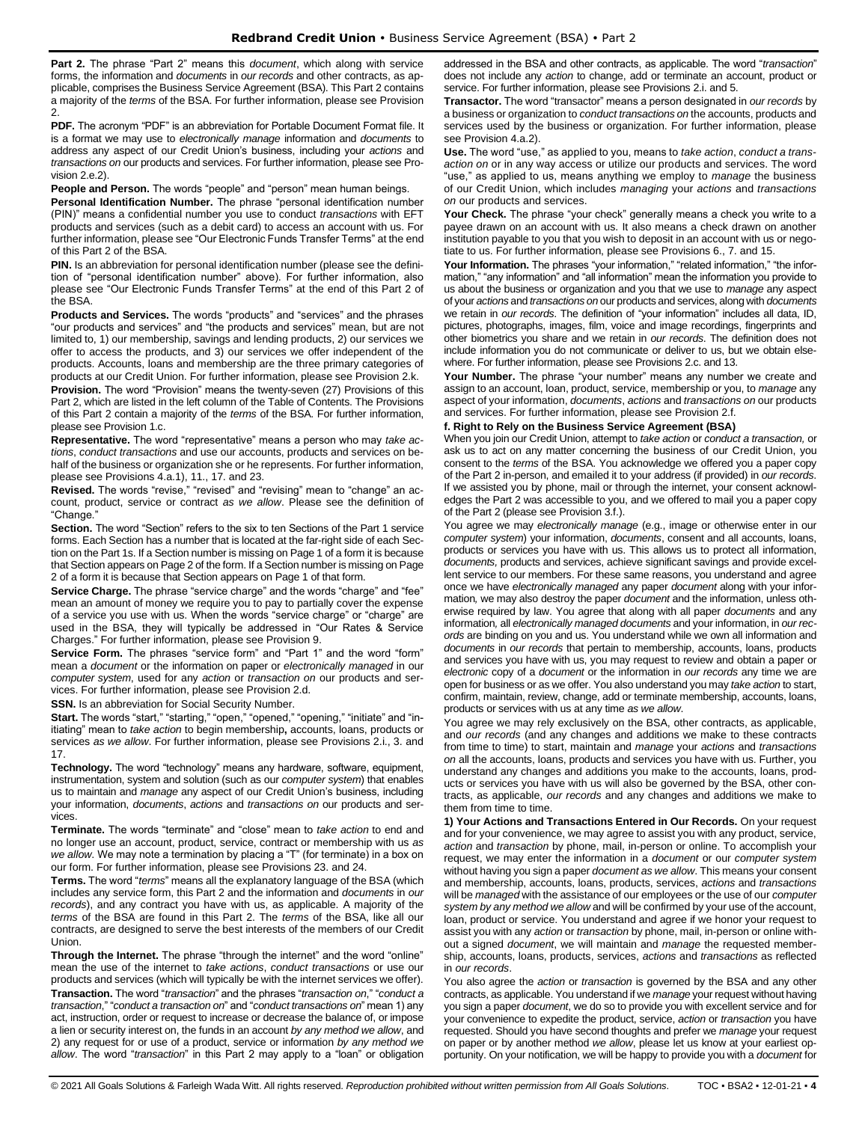**Part 2.** The phrase "Part 2" means this *document*, which along with service forms, the information and *documents* in *our records* and other contracts, as applicable, comprises the Business Service Agreement (BSA). This Part 2 contains a majority of the *terms* of the BSA. For further information, please see Provision 2.

**PDF.** The acronym "PDF" is an abbreviation for Portable Document Format file. It is a format we may use to *electronically manage* information and *documents* to address any aspect of our Credit Union's business, including your *actions* and *transactions on* our products and services. For further information, please see Provision 2.e.2).

#### **People and Person.** The words "people" and "person" mean human beings.

**Personal Identification Number.** The phrase "personal identification number (PIN)" means a confidential number you use to conduct *transactions* with EFT products and services (such as a debit card) to access an account with us. For further information, please see "Our Electronic Funds Transfer Terms" at the end of this Part 2 of the BSA.

**PIN.** Is an abbreviation for personal identification number (please see the definition of "personal identification number" above). For further information, also please see "Our Electronic Funds Transfer Terms" at the end of this Part 2 of the BSA.

**Products and Services.** The words "products" and "services" and the phrases "our products and services" and "the products and services" mean, but are not limited to, 1) our membership, savings and lending products, 2) our services we offer to access the products, and 3) our services we offer independent of the products. Accounts, loans and membership are the three primary categories of products at our Credit Union. For further information, please see Provision 2.k.

**Provision.** The word "Provision" means the twenty-seven (27) Provisions of this Part 2, which are listed in the left column of the Table of Contents. The Provisions of this Part 2 contain a majority of the *terms* of the BSA. For further information, please see Provision 1.c.

**Representative.** The word "representative" means a person who may *take actions*, *conduct transactions* and use our accounts, products and services on behalf of the business or organization she or he represents. For further information, please see Provisions 4.a.1), 11., 17. and 23.

**Revised.** The words "revise," "revised" and "revising" mean to "change" an account, product, service or contract *as we allow*. Please see the definition of "Change."

**Section.** The word "Section" refers to the six to ten Sections of the Part 1 service forms. Each Section has a number that is located at the far-right side of each Section on the Part 1s. If a Section number is missing on Page 1 of a form it is because that Section appears on Page 2 of the form. If a Section number is missing on Page 2 of a form it is because that Section appears on Page 1 of that form.

**Service Charge.** The phrase "service charge" and the words "charge" and "fee" mean an amount of money we require you to pay to partially cover the expense of a service you use with us. When the words "service charge" or "charge" are used in the BSA, they will typically be addressed in "Our Rates & Service Charges." For further information, please see Provision 9.

**Service Form.** The phrases "service form" and "Part 1" and the word "form" mean a *document* or the information on paper or *electronically managed* in our *computer system*, used for any *action* or *transaction on* our products and services. For further information, please see Provision 2.d.

**SSN.** Is an abbreviation for Social Security Number.

**Start.** The words "start," "starting," "open," "opened," "opening," "initiate" and "initiating" mean to *take action* to begin membership**,** accounts, loans, products or services *as we allow*. For further information, please see Provisions 2.i., 3. and 17.

**Technology.** The word "technology" means any hardware, software, equipment, instrumentation, system and solution (such as our *computer system*) that enables us to maintain and *manage* any aspect of our Credit Union's business, including your information, *documents*, *actions* and *transactions on* our products and services.

**Terminate.** The words "terminate" and "close" mean to *take action* to end and no longer use an account, product, service, contract or membership with us *as we allow*. We may note a termination by placing a "T" (for terminate) in a box on our form. For further information, please see Provisions 23. and 24.

**Terms.** The word "*terms*" means all the explanatory language of the BSA (which includes any service form, this Part 2 and the information and *documents* in *our records*), and any contract you have with us, as applicable. A majority of the *terms* of the BSA are found in this Part 2. The *terms* of the BSA, like all our contracts, are designed to serve the best interests of the members of our Credit Union.

**Through the Internet.** The phrase "through the internet" and the word "online" mean the use of the internet to *take actions*, *conduct transactions* or use our products and services (which will typically be with the internet services we offer). **Transaction.** The word "*transaction*" and the phrases "*transaction on*," "*conduct a transaction*," "*conduct a transaction on*" and "*conduct transactions on*" mean 1) any act, instruction, order or request to increase or decrease the balance of, or impose a lien or security interest on, the funds in an account *by any method we allow*, and 2) any request for or use of a product, service or information *by any method we allow*. The word "*transaction*" in this Part 2 may apply to a "loan" or obligation addressed in the BSA and other contracts, as applicable. The word "*transaction*" does not include any *action* to change, add or terminate an account, product or service. For further information, please see Provisions 2.i. and 5.

**Transactor.** The word "transactor" means a person designated in *our records* by a business or organization to *conduct transactions on* the accounts, products and services used by the business or organization. For further information, please see Provision 4.a.2).

**Use.** The word "use," as applied to you, means to *take action*, *conduct a transaction on* or in any way access or utilize our products and services. The word "use," as applied to us, means anything we employ to *manage* the business of our Credit Union, which includes *managing* your *actions* and *transactions on* our products and services.

**Your Check.** The phrase "your check" generally means a check you write to a payee drawn on an account with us. It also means a check drawn on another institution payable to you that you wish to deposit in an account with us or negotiate to us. For further information, please see Provisions 6., 7. and 15.

Your Information. The phrases "your information," "related information," "the information," "any information" and "all information" mean the information you provide to us about the business or organization and you that we use to *manage* any aspect of your *actions* and *transactions on* our products and services, along with *documents*  we retain in *our records*. The definition of "your information" includes all data, ID, pictures, photographs, images, film, voice and image recordings, fingerprints and other biometrics you share and we retain in *our records*. The definition does not include information you do not communicate or deliver to us, but we obtain elsewhere. For further information, please see Provisions 2.c. and 13.

**Your Number.** The phrase "your number" means any number we create and assign to an account, loan, product, service, membership or you, to *manage* any aspect of your information, *documents*, *actions* and *transactions on* our products and services. For further information, please see Provision 2.f.

# **f. Right to Rely on the Business Service Agreement (BSA)**

When you join our Credit Union, attempt to *take action* or *conduct a transaction,* or ask us to act on any matter concerning the business of our Credit Union, you consent to the *terms* of the BSA. You acknowledge we offered you a paper copy of the Part 2 in-person, and emailed it to your address (if provided) in *our records*. If we assisted you by phone, mail or through the internet, your consent acknowledges the Part 2 was accessible to you, and we offered to mail you a paper copy of the Part 2 (please see Provision 3.f.).

You agree we may *electronically manage* (e.g., image or otherwise enter in our *computer system*) your information, *documents*, consent and all accounts, loans, products or services you have with us. This allows us to protect all information, *documents,* products and services, achieve significant savings and provide excellent service to our members. For these same reasons, you understand and agree once we have *electronically managed* any paper *document* along with your information*,* we may also destroy the paper *document* and the information, unless otherwise required by law. You agree that along with all paper *documents* and any information*,* all *electronically managed documents* and your information, in *our records* are binding on you and us. You understand while we own all information and *documents* in *our records* that pertain to membership, accounts, loans, products and services you have with us, you may request to review and obtain a paper or *electronic* copy of a *document* or the information in *our records* any time we are open for business or as we offer. You also understand you may *take action* to start, confirm, maintain, review, change, add or terminate membership, accounts, loans, products or services with us at any time *as we allow*.

You agree we may rely exclusively on the BSA, other contracts, as applicable, and *our records* (and any changes and additions we make to these contracts from time to time) to start, maintain and *manage* your *actions* and *transactions on* all the accounts, loans, products and services you have with us. Further, you understand any changes and additions you make to the accounts, loans, products or services you have with us will also be governed by the BSA, other contracts, as applicable, *our records* and any changes and additions we make to them from time to time.

**1) Your Actions and Transactions Entered in Our Records.** On your request and for your convenience, we may agree to assist you with any product, service, *action* and *transaction* by phone, mail, in-person or online. To accomplish your request, we may enter the information in a *document* or our *computer system*  without having you sign a paper *document as we allow*. This means your consent and membership, accounts, loans, products, services, *actions* and *transactions*  will be *managed* with the assistance of our employees or the use of our *computer system by any method we allow* and will be confirmed by your use of the account, loan, product or service. You understand and agree if we honor your request to assist you with any *action* or *transaction* by phone, mail, in-person or online without a signed *document*, we will maintain and *manage* the requested membership, accounts, loans, products, services, *actions* and *transactions* as reflected in *our records*.

You also agree the *action* or *transaction* is governed by the BSA and any other contracts, as applicable. You understand if we *manage* your request without having you sign a paper *document*, we do so to provide you with excellent service and for your convenience to expedite the product, service, *action* or *transaction* you have requested. Should you have second thoughts and prefer we *manage* your request on paper or by another method *we allow*, please let us know at your earliest opportunity. On your notification, we will be happy to provide you with a *document* for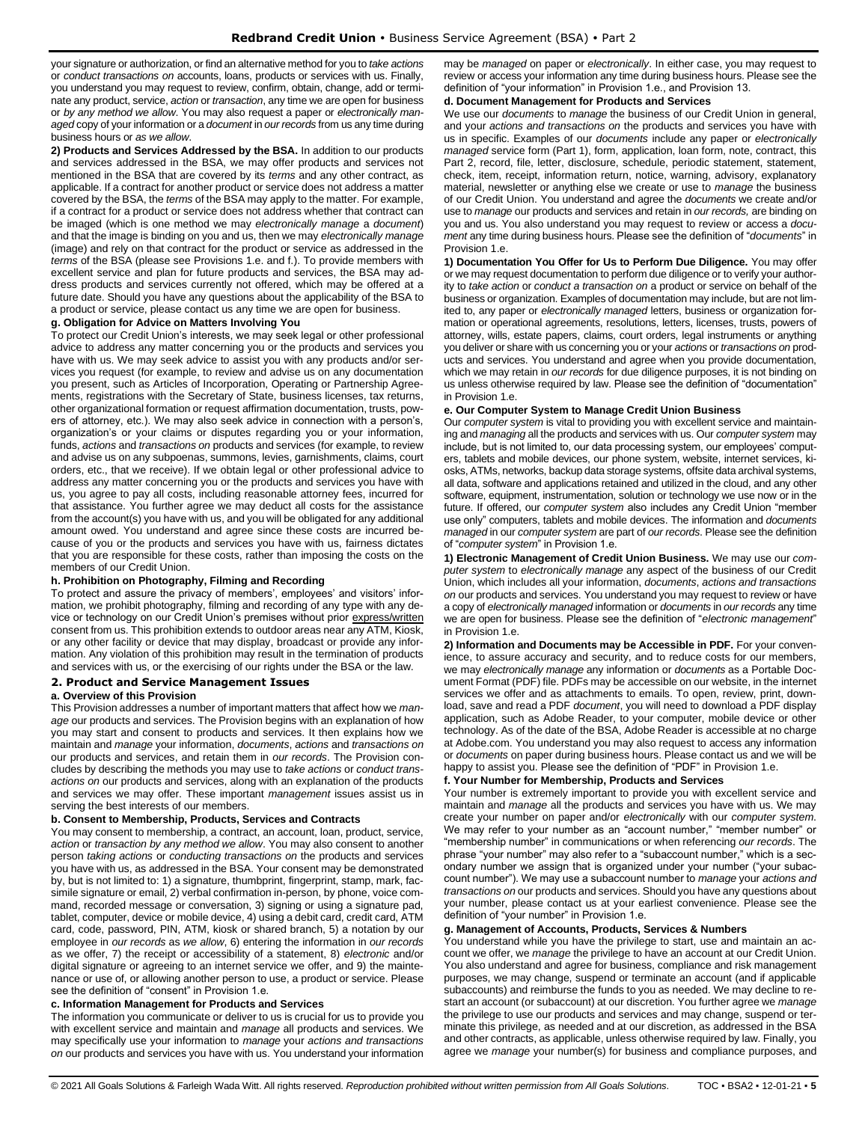your signature or authorization, or find an alternative method for you to *take actions* or *conduct transactions on* accounts, loans, products or services with us. Finally, you understand you may request to review, confirm, obtain, change, add or terminate any product, service, *action* or *transaction*, any time we are open for business or *by any method we allow*. You may also request a paper or *electronically managed* copy of your information or a *document* in *our records* from us any time during business hours or *as we allow*.

**2) Products and Services Addressed by the BSA.** In addition to our products and services addressed in the BSA, we may offer products and services not mentioned in the BSA that are covered by its *terms* and any other contract, as applicable. If a contract for another product or service does not address a matter covered by the BSA, the *terms* of the BSA may apply to the matter. For example, if a contract for a product or service does not address whether that contract can be imaged (which is one method we may *electronically manage* a *document*) and that the image is binding on you and us, then we may *electronically manage* (image) and rely on that contract for the product or service as addressed in the *terms* of the BSA (please see Provisions 1.e. and f.). To provide members with excellent service and plan for future products and services, the BSA may address products and services currently not offered, which may be offered at a future date. Should you have any questions about the applicability of the BSA to a product or service, please contact us any time we are open for business.

# **g. Obligation for Advice on Matters Involving You**

To protect our Credit Union's interests, we may seek legal or other professional advice to address any matter concerning you or the products and services you have with us. We may seek advice to assist you with any products and/or services you request (for example, to review and advise us on any documentation you present, such as Articles of Incorporation, Operating or Partnership Agreements, registrations with the Secretary of State, business licenses, tax returns, other organizational formation or request affirmation documentation, trusts, powers of attorney, etc.). We may also seek advice in connection with a person's, organization's or your claims or disputes regarding you or your information, funds, *actions* and *transactions on* products and services (for example, to review and advise us on any subpoenas, summons, levies, garnishments, claims, court orders, etc., that we receive). If we obtain legal or other professional advice to address any matter concerning you or the products and services you have with us, you agree to pay all costs, including reasonable attorney fees, incurred for that assistance. You further agree we may deduct all costs for the assistance from the account(s) you have with us, and you will be obligated for any additional amount owed. You understand and agree since these costs are incurred because of you or the products and services you have with us, fairness dictates that you are responsible for these costs, rather than imposing the costs on the members of our Credit Union.

#### **h. Prohibition on Photography, Filming and Recording**

To protect and assure the privacy of members', employees' and visitors' information, we prohibit photography, filming and recording of any type with any device or technology on our Credit Union's premises without prior express/written consent from us. This prohibition extends to outdoor areas near any ATM, Kiosk, or any other facility or device that may display, broadcast or provide any information. Any violation of this prohibition may result in the termination of products and services with us, or the exercising of our rights under the BSA or the law.

# <span id="page-4-0"></span>**2. Product and Service Management Issues**

#### **a. Overview of this Provision**

This Provision addresses a number of important matters that affect how we *manage* our products and services. The Provision begins with an explanation of how you may start and consent to products and services. It then explains how we maintain and *manage* your information, *documents*, *actions* and *transactions on* our products and services, and retain them in *our records*. The Provision concludes by describing the methods you may use to *take actions* or *conduct transactions on* our products and services, along with an explanation of the products and services we may offer. These important *management* issues assist us in serving the best interests of our members.

# **b. Consent to Membership, Products, Services and Contracts**

You may consent to membership, a contract, an account, loan, product, service, *action* or *transaction by any method we allow*. You may also consent to another person *taking actions* or *conducting transactions on* the products and services you have with us, as addressed in the BSA. Your consent may be demonstrated by, but is not limited to: 1) a signature, thumbprint, fingerprint, stamp, mark, facsimile signature or email, 2) verbal confirmation in-person, by phone, voice command, recorded message or conversation, 3) signing or using a signature pad, tablet, computer, device or mobile device, 4) using a debit card, credit card, ATM card, code, password, PIN, ATM, kiosk or shared branch, 5) a notation by our employee in *our records* as *we allow*, 6) entering the information in *our records* as we offer, 7) the receipt or accessibility of a statement, 8) *electronic* and/or digital signature or agreeing to an internet service we offer, and 9) the maintenance or use of, or allowing another person to use, a product or service. Please see the definition of "consent" in Provision 1.e.

#### **c. Information Management for Products and Services**

The information you communicate or deliver to us is crucial for us to provide you with excellent service and maintain and *manage* all products and services. We may specifically use your information to *manage* your *actions and transactions on* our products and services you have with us. You understand your information may be *managed* on paper or *electronically*. In either case, you may request to review or access your information any time during business hours. Please see the definition of "your information" in Provision 1.e., and Provision 13.

#### **d. Document Management for Products and Services**

We use our *documents* to *manage* the business of our Credit Union in general, and your *actions and transactions on* the products and services you have with us in specific. Examples of our *documents* include any paper or *electronically managed* service form (Part 1), form, application, loan form, note, contract, this Part 2, record, file, letter, disclosure, schedule, periodic statement, statement, check, item, receipt, information return, notice, warning, advisory, explanatory material, newsletter or anything else we create or use to *manage* the business of our Credit Union. You understand and agree the *documents* we create and/or use to *manage* our products and services and retain in *our records,* are binding on you and us. You also understand you may request to review or access a *document* any time during business hours. Please see the definition of "*documents*" in Provision 1.e.

**1) Documentation You Offer for Us to Perform Due Diligence.** You may offer or we may request documentation to perform due diligence or to verify your authority to *take action* or *conduct a transaction on* a product or service on behalf of the business or organization. Examples of documentation may include, but are not limited to, any paper or *electronically managed* letters, business or organization formation or operational agreements, resolutions, letters, licenses, trusts, powers of attorney, wills, estate papers, claims, court orders, legal instruments or anything you deliver or share with us concerning you or your *actions* or *transactions on* products and services. You understand and agree when you provide documentation, which we may retain in *our records* for due diligence purposes, it is not binding on us unless otherwise required by law. Please see the definition of "documentation" in Provision 1.e.

#### **e. Our Computer System to Manage Credit Union Business**

Our *computer system* is vital to providing you with excellent service and maintaining and *managing* all the products and services with us. Our *computer system* may include, but is not limited to, our data processing system, our employees' computers, tablets and mobile devices, our phone system, website, internet services, kiosks, ATMs, networks, backup data storage systems, offsite data archival systems, all data, software and applications retained and utilized in the cloud, and any other software, equipment, instrumentation, solution or technology we use now or in the future. If offered, our *computer system* also includes any Credit Union "member use only" computers, tablets and mobile devices. The information and *documents managed* in our *computer system* are part of *our records*. Please see the definition of "*computer system*" in Provision 1.e.

**1) Electronic Management of Credit Union Business.** We may use our *computer system* to *electronically manage* any aspect of the business of our Credit Union, which includes all your information, *documents*, *actions and transactions on* our products and services. You understand you may request to review or have a copy of *electronically managed* information or *documents* in *our records* any time we are open for business. Please see the definition of "*electronic management*" in Provision 1.e.

**2) Information and Documents may be Accessible in PDF.** For your convenience, to assure accuracy and security, and to reduce costs for our members, we may *electronically manage* any information or *documents* as a Portable Document Format (PDF) file. PDFs may be accessible on our website, in the internet services we offer and as attachments to emails. To open, review, print, download, save and read a PDF *document*, you will need to download a PDF display application, such as Adobe Reader, to your computer, mobile device or other technology. As of the date of the BSA, Adobe Reader is accessible at no charge at Adobe.com. You understand you may also request to access any information or *documents* on paper during business hours. Please contact us and we will be happy to assist you. Please see the definition of "PDF" in Provision 1.e.

#### **f. Your Number for Membership, Products and Services**

Your number is extremely important to provide you with excellent service and maintain and *manage* all the products and services you have with us. We may create your number on paper and/or *electronically* with our *computer system*. We may refer to your number as an "account number," "member number" or "membership number" in communications or when referencing *our records*. The phrase "your number" may also refer to a "subaccount number," which is a secondary number we assign that is organized under your number ("your subaccount number"). We may use a subaccount number to *manage* your *actions and transactions on* our products and services. Should you have any questions about your number, please contact us at your earliest convenience. Please see the definition of "your number" in Provision 1.e.

#### **g. Management of Accounts, Products, Services & Numbers**

You understand while you have the privilege to start, use and maintain an account we offer, we *manage* the privilege to have an account at our Credit Union. You also understand and agree for business, compliance and risk management purposes, we may change, suspend or terminate an account (and if applicable subaccounts) and reimburse the funds to you as needed. We may decline to restart an account (or subaccount) at our discretion. You further agree we *manage* the privilege to use our products and services and may change, suspend or terminate this privilege, as needed and at our discretion, as addressed in the BSA and other contracts, as applicable, unless otherwise required by law. Finally, you agree we *manage* your number(s) for business and compliance purposes, and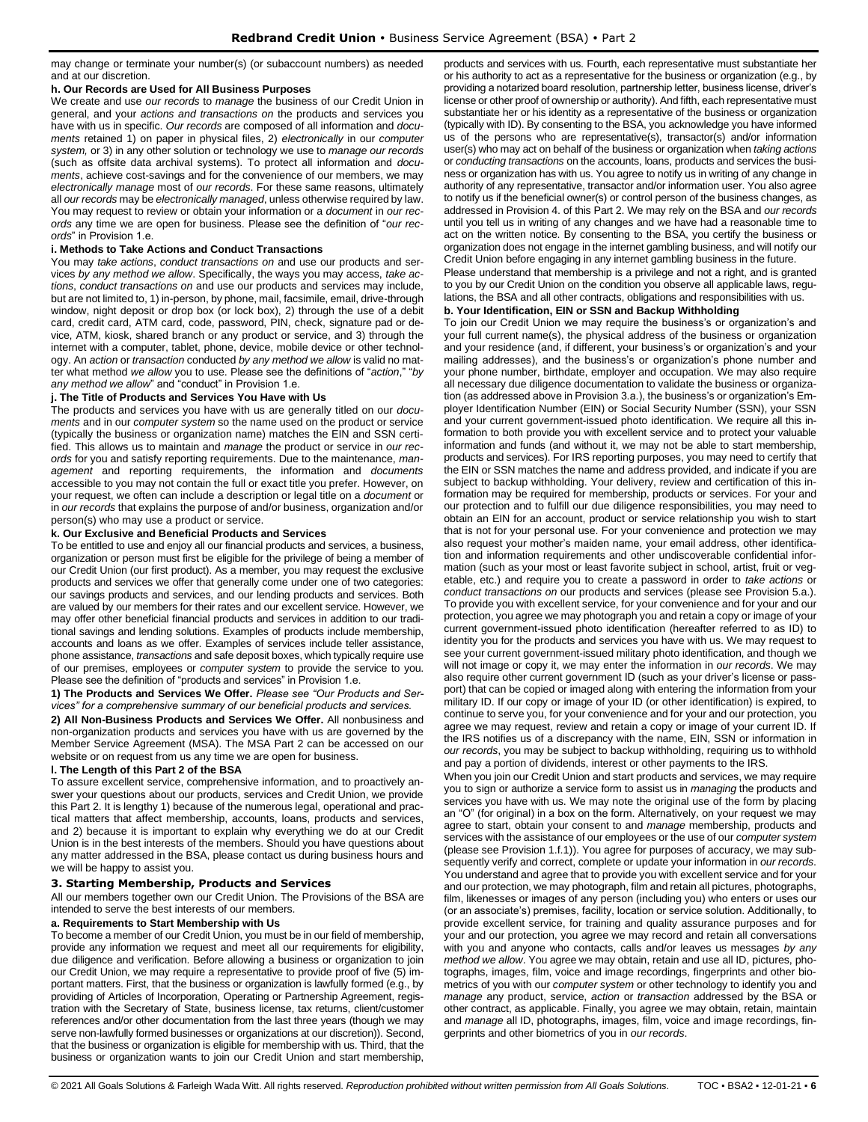may change or terminate your number(s) (or subaccount numbers) as needed and at our discretion.

#### **h. Our Records are Used for All Business Purposes**

We create and use *our records* to *manage* the business of our Credit Union in general, and your *actions and transactions on* the products and services you have with us in specific. *Our records* are composed of all information and *documents* retained 1) on paper in physical files, 2) *electronically* in our *computer system,* or 3) in any other solution or technology we use to *manage our records* (such as offsite data archival systems). To protect all information and *documents*, achieve cost-savings and for the convenience of our members, we may *electronically manage* most of *our records*. For these same reasons, ultimately all *our records* may be *electronically managed*, unless otherwise required by law. You may request to review or obtain your information or a *document* in *our records* any time we are open for business. Please see the definition of "*our records*" in Provision 1.e.

# **i. Methods to Take Actions and Conduct Transactions**

You may *take actions*, *conduct transactions on* and use our products and services *by any method we allow*. Specifically, the ways you may access, *take actions*, *conduct transactions on* and use our products and services may include, but are not limited to, 1) in-person, by phone, mail, facsimile, email, drive-through window, night deposit or drop box (or lock box), 2) through the use of a debit card, credit card, ATM card, code, password, PIN, check, signature pad or device, ATM, kiosk, shared branch or any product or service, and 3) through the internet with a computer, tablet, phone, device, mobile device or other technology. An *action* or *transaction* conducted *by any method we allow* is valid no matter what method *we allow* you to use. Please see the definitions of "*action*," "*by any method we allow*" and "conduct" in Provision 1.e.

#### **j. The Title of Products and Services You Have with Us**

The products and services you have with us are generally titled on our *documents* and in our *computer system* so the name used on the product or service (typically the business or organization name) matches the EIN and SSN certified. This allows us to maintain and *manage* the product or service in *our records* for you and satisfy reporting requirements. Due to the maintenance, *management* and reporting requirements, the information and *documents* accessible to you may not contain the full or exact title you prefer. However, on your request, we often can include a description or legal title on a *document* or in *our records* that explains the purpose of and/or business, organization and/or person(s) who may use a product or service.

#### **k. Our Exclusive and Beneficial Products and Services**

To be entitled to use and enjoy all our financial products and services, a business, organization or person must first be eligible for the privilege of being a member of our Credit Union (our first product). As a member, you may request the exclusive products and services we offer that generally come under one of two categories: our savings products and services, and our lending products and services. Both are valued by our members for their rates and our excellent service. However, we may offer other beneficial financial products and services in addition to our traditional savings and lending solutions. Examples of products include membership, accounts and loans as we offer. Examples of services include teller assistance, phone assistance, *transactions* and safe deposit boxes, which typically require use of our premises, employees or *computer system* to provide the service to you. Please see the definition of "products and services" in Provision 1.e.

**1) The Products and Services We Offer.** *Please see "Our Products and Services" for a comprehensive summary of our beneficial products and services.*

**2) All Non-Business Products and Services We Offer.** All nonbusiness and non-organization products and services you have with us are governed by the Member Service Agreement (MSA). The MSA Part 2 can be accessed on our website or on request from us any time we are open for business.

## **l. The Length of this Part 2 of the BSA**

To assure excellent service, comprehensive information, and to proactively answer your questions about our products, services and Credit Union, we provide this Part 2. It is lengthy 1) because of the numerous legal, operational and practical matters that affect membership, accounts, loans, products and services, and 2) because it is important to explain why everything we do at our Credit Union is in the best interests of the members. Should you have questions about any matter addressed in the BSA, please contact us during business hours and we will be happy to assist you.

# <span id="page-5-0"></span>**3. Starting Membership, Products and Services**

All our members together own our Credit Union. The Provisions of the BSA are intended to serve the best interests of our members.

#### **a. Requirements to Start Membership with Us**

To become a member of our Credit Union, you must be in our field of membership, provide any information we request and meet all our requirements for eligibility, due diligence and verification. Before allowing a business or organization to join our Credit Union, we may require a representative to provide proof of five (5) important matters. First, that the business or organization is lawfully formed (e.g., by providing of Articles of Incorporation, Operating or Partnership Agreement, registration with the Secretary of State, business license, tax returns, client/customer references and/or other documentation from the last three years (though we may serve non-lawfully formed businesses or organizations at our discretion)). Second, that the business or organization is eligible for membership with us. Third, that the business or organization wants to join our Credit Union and start membership,

products and services with us. Fourth, each representative must substantiate her or his authority to act as a representative for the business or organization (e.g., by providing a notarized board resolution, partnership letter, business license, driver's license or other proof of ownership or authority). And fifth, each representative must substantiate her or his identity as a representative of the business or organization (typically with ID). By consenting to the BSA, you acknowledge you have informed us of the persons who are representative(s), transactor(s) and/or information user(s) who may act on behalf of the business or organization when *taking actions* or *conducting transactions* on the accounts, loans, products and services the business or organization has with us. You agree to notify us in writing of any change in authority of any representative, transactor and/or information user. You also agree to notify us if the beneficial owner(s) or control person of the business changes, as addressed in Provision 4. of this Part 2. We may rely on the BSA and *our records* until you tell us in writing of any changes and we have had a reasonable time to act on the written notice. By consenting to the BSA, you certify the business or organization does not engage in the internet gambling business, and will notify our Credit Union before engaging in any internet gambling business in the future.

Please understand that membership is a privilege and not a right, and is granted to you by our Credit Union on the condition you observe all applicable laws, regulations, the BSA and all other contracts, obligations and responsibilities with us.

# **b. Your Identification, EIN or SSN and Backup Withholding**

To join our Credit Union we may require the business's or organization's and your full current name(s), the physical address of the business or organization and your residence (and, if different, your business's or organization's and your mailing addresses), and the business's or organization's phone number and your phone number, birthdate, employer and occupation. We may also require all necessary due diligence documentation to validate the business or organization (as addressed above in Provision 3.a.), the business's or organization's Employer Identification Number (EIN) or Social Security Number (SSN), your SSN and your current government-issued photo identification. We require all this information to both provide you with excellent service and to protect your valuable information and funds (and without it, we may not be able to start membership, products and services). For IRS reporting purposes, you may need to certify that the EIN or SSN matches the name and address provided, and indicate if you are subject to backup withholding. Your delivery, review and certification of this information may be required for membership, products or services. For your and our protection and to fulfill our due diligence responsibilities, you may need to obtain an EIN for an account, product or service relationship you wish to start that is not for your personal use. For your convenience and protection we may also request your mother's maiden name, your email address, other identification and information requirements and other undiscoverable confidential information (such as your most or least favorite subject in school, artist, fruit or vegetable, etc.) and require you to create a password in order to *take actions* or *conduct transactions on* our products and services (please see Provision 5.a.). To provide you with excellent service, for your convenience and for your and our protection, you agree we may photograph you and retain a copy or image of your current government-issued photo identification (hereafter referred to as ID) to identity you for the products and services you have with us. We may request to see your current government-issued military photo identification, and though we will not image or copy it, we may enter the information in *our records*. We may also require other current government ID (such as your driver's license or passport) that can be copied or imaged along with entering the information from your military ID. If our copy or image of your ID (or other identification) is expired, to continue to serve you, for your convenience and for your and our protection, you agree we may request, review and retain a copy or image of your current ID. If the IRS notifies us of a discrepancy with the name, EIN, SSN or information in *our records*, you may be subject to backup withholding, requiring us to withhold and pay a portion of dividends, interest or other payments to the IRS.

When you join our Credit Union and start products and services, we may require you to sign or authorize a service form to assist us in *managing* the products and services you have with us. We may note the original use of the form by placing an "O" (for original) in a box on the form. Alternatively, on your request we may agree to start, obtain your consent to and *manage* membership, products and services with the assistance of our employees or the use of our *computer system*  (please see Provision 1.f.1)). You agree for purposes of accuracy, we may subsequently verify and correct, complete or update your information in *our records*. You understand and agree that to provide you with excellent service and for your and our protection, we may photograph, film and retain all pictures, photographs, film, likenesses or images of any person (including you) who enters or uses our (or an associate's) premises, facility, location or service solution. Additionally, to provide excellent service, for training and quality assurance purposes and for your and our protection, you agree we may record and retain all conversations with you and anyone who contacts, calls and/or leaves us messages *by any method we allow*. You agree we may obtain, retain and use all ID, pictures, photographs, images, film, voice and image recordings, fingerprints and other biometrics of you with our *computer system* or other technology to identify you and *manage* any product, service, *action* or *transaction* addressed by the BSA or other contract, as applicable. Finally, you agree we may obtain, retain, maintain and *manage* all ID, photographs, images, film, voice and image recordings, fingerprints and other biometrics of you in *our records*.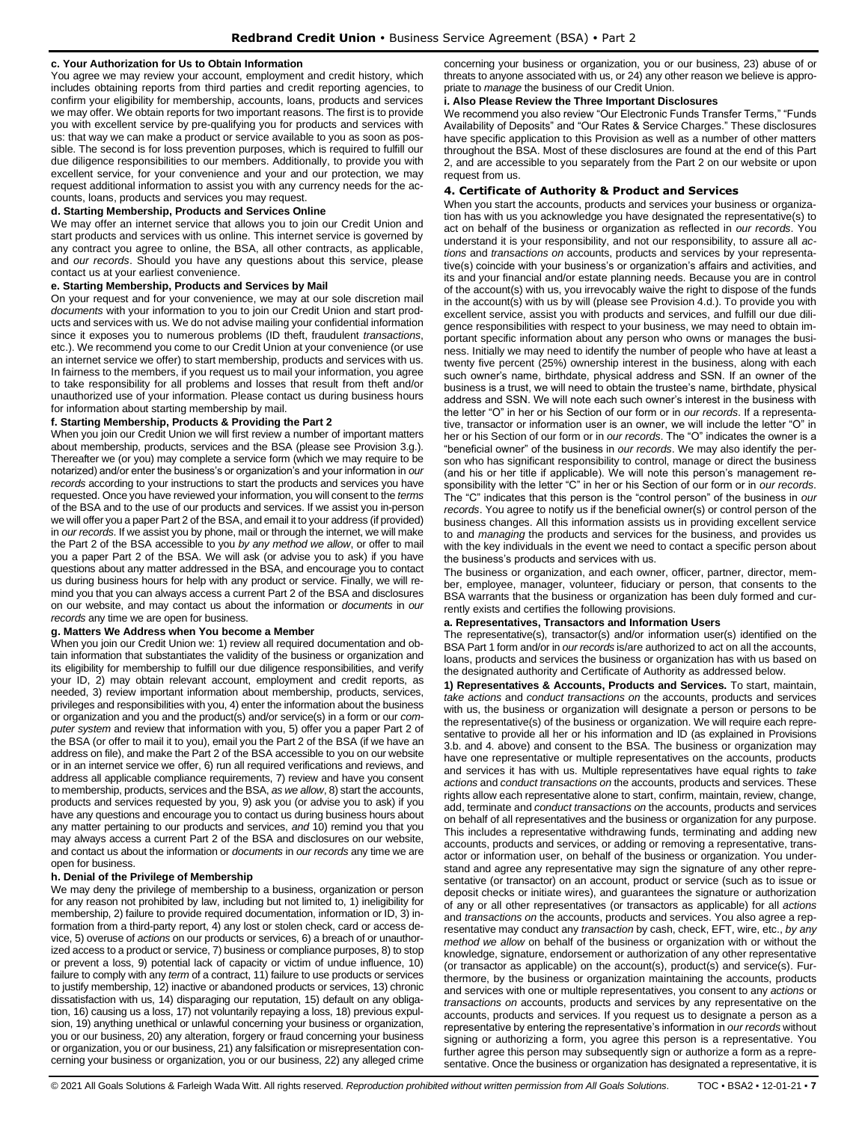#### **c. Your Authorization for Us to Obtain Information**

You agree we may review your account, employment and credit history, which includes obtaining reports from third parties and credit reporting agencies, to confirm your eligibility for membership, accounts, loans, products and services we may offer. We obtain reports for two important reasons. The first is to provide you with excellent service by pre-qualifying you for products and services with us: that way we can make a product or service available to you as soon as possible. The second is for loss prevention purposes, which is required to fulfill our due diligence responsibilities to our members. Additionally, to provide you with excellent service, for your convenience and your and our protection, we may request additional information to assist you with any currency needs for the accounts, loans, products and services you may request.

#### **d. Starting Membership, Products and Services Online**

We may offer an internet service that allows you to join our Credit Union and start products and services with us online. This internet service is governed by any contract you agree to online, the BSA, all other contracts, as applicable, and *our records*. Should you have any questions about this service, please contact us at your earliest convenience.

#### **e. Starting Membership, Products and Services by Mail**

On your request and for your convenience, we may at our sole discretion mail *documents* with your information to you to join our Credit Union and start products and services with us. We do not advise mailing your confidential information since it exposes you to numerous problems (ID theft, fraudulent *transactions*, etc.). We recommend you come to our Credit Union at your convenience (or use an internet service we offer) to start membership, products and services with us. In fairness to the members, if you request us to mail your information, you agree to take responsibility for all problems and losses that result from theft and/or unauthorized use of your information. Please contact us during business hours for information about starting membership by mail.

#### **f. Starting Membership, Products & Providing the Part 2**

When you join our Credit Union we will first review a number of important matters about membership, products, services and the BSA (please see Provision 3.g.). Thereafter we (or you) may complete a service form (which we may require to be notarized) and/or enter the business's or organization's and your information in *our records* according to your instructions to start the products and services you have requested. Once you have reviewed your information, you will consent to the *terms* of the BSA and to the use of our products and services. If we assist you in-person we will offer you a paper Part 2 of the BSA, and email it to your address (if provided) in *our records*. If we assist you by phone, mail or through the internet, we will make the Part 2 of the BSA accessible to you *by any method we allow*, or offer to mail you a paper Part 2 of the BSA. We will ask (or advise you to ask) if you have questions about any matter addressed in the BSA, and encourage you to contact us during business hours for help with any product or service. Finally, we will remind you that you can always access a current Part 2 of the BSA and disclosures on our website, and may contact us about the information or *documents* in *our records* any time we are open for business.

#### **g. Matters We Address when You become a Member**

When you join our Credit Union we: 1) review all required documentation and obtain information that substantiates the validity of the business or organization and its eligibility for membership to fulfill our due diligence responsibilities, and verify your ID, 2) may obtain relevant account, employment and credit reports, as needed, 3) review important information about membership, products, services, privileges and responsibilities with you, 4) enter the information about the business or organization and you and the product(s) and/or service(s) in a form or our *computer system* and review that information with you, 5) offer you a paper Part 2 of the BSA (or offer to mail it to you), email you the Part 2 of the BSA (if we have an address on file), and make the Part 2 of the BSA accessible to you on our website or in an internet service we offer, 6) run all required verifications and reviews, and address all applicable compliance requirements, 7) review and have you consent to membership, products, services and the BSA, *as we allow*, 8) start the accounts, products and services requested by you, 9) ask you (or advise you to ask) if you have any questions and encourage you to contact us during business hours about any matter pertaining to our products and services, *and* 10) remind you that you may always access a current Part 2 of the BSA and disclosures on our website, and contact us about the information or *documents* in *our records* any time we are open for business.

#### **h. Denial of the Privilege of Membership**

We may deny the privilege of membership to a business, organization or person for any reason not prohibited by law, including but not limited to, 1) ineligibility for membership, 2) failure to provide required documentation, information or ID, 3) information from a third-party report, 4) any lost or stolen check, card or access device, 5) overuse of *actions* on our products or services, 6) a breach of or unauthorized access to a product or service, 7) business or compliance purposes, 8) to stop or prevent a loss, 9) potential lack of capacity or victim of undue influence, 10) failure to comply with any *term* of a contract, 11) failure to use products or services to justify membership, 12) inactive or abandoned products or services, 13) chronic dissatisfaction with us, 14) disparaging our reputation, 15) default on any obligation, 16) causing us a loss, 17) not voluntarily repaying a loss, 18) previous expulsion, 19) anything unethical or unlawful concerning your business or organization, you or our business, 20) any alteration, forgery or fraud concerning your business or organization, you or our business, 21) any falsification or misrepresentation concerning your business or organization, you or our business, 22) any alleged crime

concerning your business or organization, you or our business, 23) abuse of or threats to anyone associated with us, or 24) any other reason we believe is appropriate to *manage* the business of our Credit Union.

#### **i. Also Please Review the Three Important Disclosures**

We recommend you also review "Our Electronic Funds Transfer Terms," "Funds Availability of Deposits" and "Our Rates & Service Charges." These disclosures have specific application to this Provision as well as a number of other matters throughout the BSA. Most of these disclosures are found at the end of this Part 2, and are accessible to you separately from the Part 2 on our website or upon request from us.

#### <span id="page-6-0"></span>**4. Certificate of Authority & Product and Services**

When you start the accounts, products and services your business or organization has with us you acknowledge you have designated the representative(s) to act on behalf of the business or organization as reflected in *our records*. You understand it is your responsibility, and not our responsibility, to assure all *actions* and *transactions on* accounts, products and services by your representative(s) coincide with your business's or organization's affairs and activities, and its and your financial and/or estate planning needs. Because you are in control of the account(s) with us, you irrevocably waive the right to dispose of the funds in the account(s) with us by will (please see Provision 4.d.). To provide you with excellent service, assist you with products and services, and fulfill our due diligence responsibilities with respect to your business, we may need to obtain important specific information about any person who owns or manages the business. Initially we may need to identify the number of people who have at least a twenty five percent (25%) ownership interest in the business, along with each such owner's name, birthdate, physical address and SSN. If an owner of the business is a trust, we will need to obtain the trustee's name, birthdate, physical address and SSN. We will note each such owner's interest in the business with the letter "O" in her or his Section of our form or in *our records*. If a representative, transactor or information user is an owner, we will include the letter "O" in her or his Section of our form or in *our records*. The "O" indicates the owner is a "beneficial owner" of the business in *our records*. We may also identify the person who has significant responsibility to control, manage or direct the business (and his or her title if applicable). We will note this person's management responsibility with the letter "C" in her or his Section of our form or in *our records*. The "C" indicates that this person is the "control person" of the business in *our records*. You agree to notify us if the beneficial owner(s) or control person of the business changes. All this information assists us in providing excellent service to and *managing* the products and services for the business, and provides us with the key individuals in the event we need to contact a specific person about the business's products and services with us.

The business or organization, and each owner, officer, partner, director, member, employee, manager, volunteer, fiduciary or person, that consents to the BSA warrants that the business or organization has been duly formed and currently exists and certifies the following provisions.

#### **a. Representatives, Transactors and Information Users**

The representative(s), transactor(s) and/or information user(s) identified on the BSA Part 1 form and/or in *our records* is/are authorized to act on all the accounts, loans, products and services the business or organization has with us based on the designated authority and Certificate of Authority as addressed below.

**1) Representatives & Accounts, Products and Services.** To start, maintain, *take actions* and *conduct transactions on* the accounts, products and services with us, the business or organization will designate a person or persons to be the representative(s) of the business or organization. We will require each representative to provide all her or his information and ID (as explained in Provisions 3.b. and 4. above) and consent to the BSA. The business or organization may have one representative or multiple representatives on the accounts, products and services it has with us. Multiple representatives have equal rights to *take actions* and *conduct transactions on* the accounts, products and services. These rights allow each representative alone to start, confirm, maintain, review, change, add, terminate and *conduct transactions on* the accounts, products and services on behalf of all representatives and the business or organization for any purpose. This includes a representative withdrawing funds, terminating and adding new accounts, products and services, or adding or removing a representative, transactor or information user, on behalf of the business or organization. You understand and agree any representative may sign the signature of any other representative (or transactor) on an account, product or service (such as to issue or deposit checks or initiate wires), and guarantees the signature or authorization of any or all other representatives (or transactors as applicable) for all *actions* and *transactions on* the accounts, products and services. You also agree a representative may conduct any *transaction* by cash, check, EFT, wire, etc., *by any method we allow* on behalf of the business or organization with or without the knowledge, signature, endorsement or authorization of any other representative (or transactor as applicable) on the account(s), product(s) and service(s). Furthermore, by the business or organization maintaining the accounts, products and services with one or multiple representatives, you consent to any *actions* or *transactions on* accounts, products and services by any representative on the accounts, products and services. If you request us to designate a person as a representative by entering the representative's information in *our records* without signing or authorizing a form, you agree this person is a representative. You further agree this person may subsequently sign or authorize a form as a representative. Once the business or organization has designated a representative, it is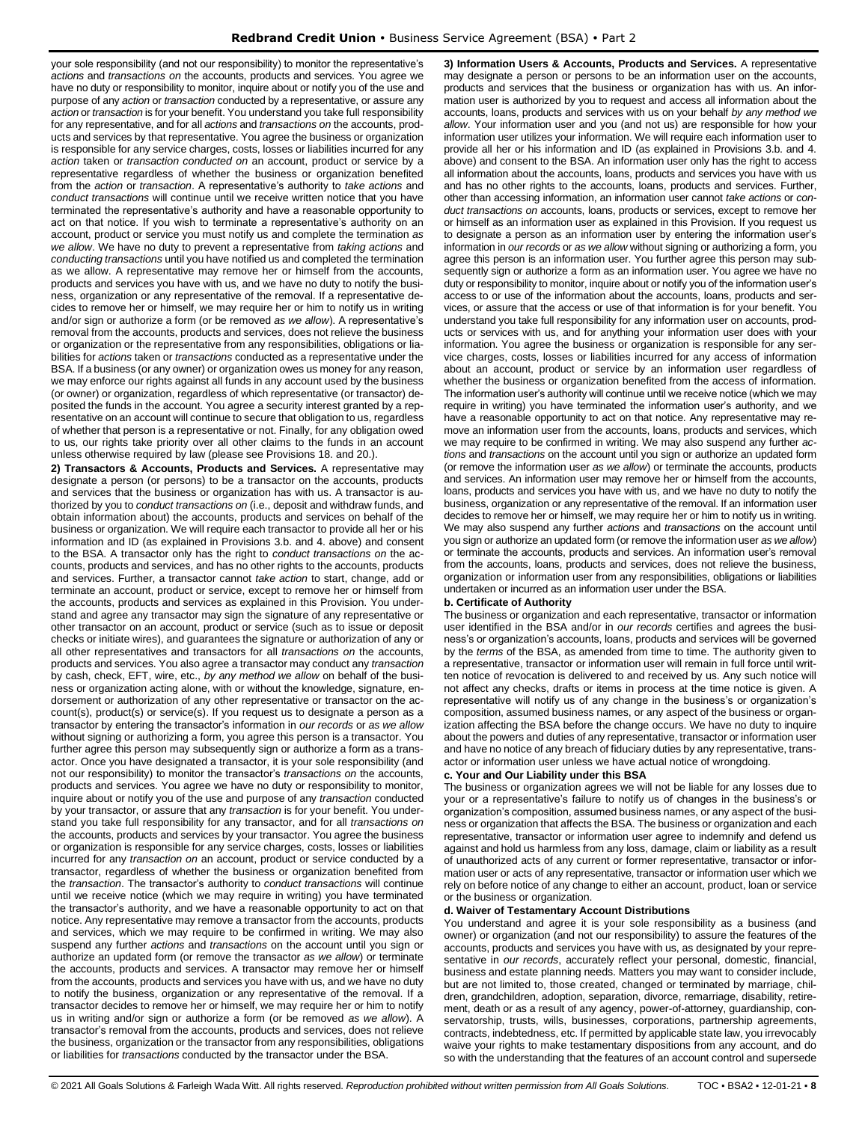your sole responsibility (and not our responsibility) to monitor the representative's *actions* and *transactions on* the accounts, products and services. You agree we have no duty or responsibility to monitor, inquire about or notify you of the use and purpose of any *action* or *transaction* conducted by a representative, or assure any *action* or *transaction* is for your benefit. You understand you take full responsibility for any representative, and for all *actions* and *transactions on* the accounts, products and services by that representative. You agree the business or organization is responsible for any service charges, costs, losses or liabilities incurred for any *action* taken or *transaction conducted on* an account, product or service by a representative regardless of whether the business or organization benefited from the *action* or *transaction*. A representative's authority to *take actions* and *conduct transactions* will continue until we receive written notice that you have terminated the representative's authority and have a reasonable opportunity to act on that notice. If you wish to terminate a representative's authority on an account, product or service you must notify us and complete the termination *as we allow*. We have no duty to prevent a representative from *taking actions* and *conducting transactions* until you have notified us and completed the termination as we allow. A representative may remove her or himself from the accounts, products and services you have with us, and we have no duty to notify the business, organization or any representative of the removal. If a representative decides to remove her or himself, we may require her or him to notify us in writing and/or sign or authorize a form (or be removed *as we allow*). A representative's removal from the accounts, products and services, does not relieve the business or organization or the representative from any responsibilities, obligations or liabilities for *actions* taken or *transactions* conducted as a representative under the BSA. If a business (or any owner) or organization owes us money for any reason, we may enforce our rights against all funds in any account used by the business (or owner) or organization, regardless of which representative (or transactor) deposited the funds in the account. You agree a security interest granted by a representative on an account will continue to secure that obligation to us, regardless of whether that person is a representative or not. Finally, for any obligation owed to us, our rights take priority over all other claims to the funds in an account unless otherwise required by law (please see Provisions 18. and 20.).

**2) Transactors & Accounts, Products and Services.** A representative may designate a person (or persons) to be a transactor on the accounts, products and services that the business or organization has with us. A transactor is authorized by you to *conduct transactions on* (i.e., deposit and withdraw funds, and obtain information about) the accounts, products and services on behalf of the business or organization. We will require each transactor to provide all her or his information and ID (as explained in Provisions 3.b. and 4. above) and consent to the BSA. A transactor only has the right to *conduct transactions on* the accounts, products and services, and has no other rights to the accounts, products and services. Further, a transactor cannot *take action* to start, change, add or terminate an account, product or service, except to remove her or himself from the accounts, products and services as explained in this Provision. You understand and agree any transactor may sign the signature of any representative or other transactor on an account, product or service (such as to issue or deposit checks or initiate wires), and guarantees the signature or authorization of any or all other representatives and transactors for all *transactions on* the accounts, products and services. You also agree a transactor may conduct any *transaction* by cash, check, EFT, wire, etc., *by any method we allow* on behalf of the business or organization acting alone, with or without the knowledge, signature, endorsement or authorization of any other representative or transactor on the account(s), product(s) or service(s). If you request us to designate a person as a transactor by entering the transactor's information in *our records* or *as we allow*  without signing or authorizing a form, you agree this person is a transactor. You further agree this person may subsequently sign or authorize a form as a transactor. Once you have designated a transactor, it is your sole responsibility (and not our responsibility) to monitor the transactor's *transactions on* the accounts, products and services. You agree we have no duty or responsibility to monitor, inquire about or notify you of the use and purpose of any *transaction* conducted by your transactor, or assure that any *transaction* is for your benefit. You understand you take full responsibility for any transactor, and for all *transactions on* the accounts, products and services by your transactor. You agree the business or organization is responsible for any service charges, costs, losses or liabilities incurred for any *transaction on* an account, product or service conducted by a transactor, regardless of whether the business or organization benefited from the *transaction*. The transactor's authority to *conduct transactions* will continue until we receive notice (which we may require in writing) you have terminated the transactor's authority, and we have a reasonable opportunity to act on that notice. Any representative may remove a transactor from the accounts, products and services, which we may require to be confirmed in writing. We may also suspend any further *actions* and *transactions* on the account until you sign or authorize an updated form (or remove the transactor *as we allow*) or terminate the accounts, products and services. A transactor may remove her or himself from the accounts, products and services you have with us, and we have no duty to notify the business, organization or any representative of the removal. If a transactor decides to remove her or himself, we may require her or him to notify us in writing and/or sign or authorize a form (or be removed *as we allow*). A transactor's removal from the accounts, products and services, does not relieve the business, organization or the transactor from any responsibilities, obligations or liabilities for *transactions* conducted by the transactor under the BSA.

**3) Information Users & Accounts, Products and Services.** A representative may designate a person or persons to be an information user on the accounts, products and services that the business or organization has with us. An information user is authorized by you to request and access all information about the accounts, loans, products and services with us on your behalf *by any method we allow*. Your information user and you (and not us) are responsible for how your information user utilizes your information. We will require each information user to provide all her or his information and ID (as explained in Provisions 3.b. and 4. above) and consent to the BSA. An information user only has the right to access all information about the accounts, loans, products and services you have with us and has no other rights to the accounts, loans, products and services. Further, other than accessing information, an information user cannot *take actions* or *conduct transactions on* accounts, loans, products or services, except to remove her or himself as an information user as explained in this Provision. If you request us to designate a person as an information user by entering the information user's information in *our records* or *as we allow* without signing or authorizing a form, you agree this person is an information user. You further agree this person may subsequently sign or authorize a form as an information user. You agree we have no duty or responsibility to monitor, inquire about or notify you of the information user's access to or use of the information about the accounts, loans, products and services, or assure that the access or use of that information is for your benefit. You understand you take full responsibility for any information user on accounts, products or services with us, and for anything your information user does with your information. You agree the business or organization is responsible for any service charges, costs, losses or liabilities incurred for any access of information about an account, product or service by an information user regardless of whether the business or organization benefited from the access of information. The information user's authority will continue until we receive notice (which we may require in writing) you have terminated the information user's authority, and we have a reasonable opportunity to act on that notice. Any representative may remove an information user from the accounts, loans, products and services, which we may require to be confirmed in writing. We may also suspend any further *actions* and *transactions* on the account until you sign or authorize an updated form (or remove the information user *as we allow*) or terminate the accounts, products and services. An information user may remove her or himself from the accounts, loans, products and services you have with us, and we have no duty to notify the business, organization or any representative of the removal. If an information user decides to remove her or himself, we may require her or him to notify us in writing. We may also suspend any further *actions* and *transactions* on the account until you sign or authorize an updated form (or remove the information user *as we allow*) or terminate the accounts, products and services. An information user's removal from the accounts, loans, products and services, does not relieve the business, organization or information user from any responsibilities, obligations or liabilities undertaken or incurred as an information user under the BSA.

#### **b. Certificate of Authority**

The business or organization and each representative, transactor or information user identified in the BSA and/or in *our records* certifies and agrees the business's or organization's accounts, loans, products and services will be governed by the *terms* of the BSA, as amended from time to time. The authority given to a representative, transactor or information user will remain in full force until written notice of revocation is delivered to and received by us. Any such notice will not affect any checks, drafts or items in process at the time notice is given. A representative will notify us of any change in the business's or organization's composition, assumed business names, or any aspect of the business or organization affecting the BSA before the change occurs. We have no duty to inquire about the powers and duties of any representative, transactor or information user and have no notice of any breach of fiduciary duties by any representative, transactor or information user unless we have actual notice of wrongdoing.

### **c. Your and Our Liability under this BSA**

The business or organization agrees we will not be liable for any losses due to your or a representative's failure to notify us of changes in the business's or organization's composition, assumed business names, or any aspect of the business or organization that affects the BSA. The business or organization and each representative, transactor or information user agree to indemnify and defend us against and hold us harmless from any loss, damage, claim or liability as a result of unauthorized acts of any current or former representative, transactor or information user or acts of any representative, transactor or information user which we rely on before notice of any change to either an account, product, loan or service or the business or organization.

#### **d. Waiver of Testamentary Account Distributions**

You understand and agree it is your sole responsibility as a business (and owner) or organization (and not our responsibility) to assure the features of the accounts, products and services you have with us, as designated by your representative in *our records*, accurately reflect your personal, domestic, financial, business and estate planning needs. Matters you may want to consider include, but are not limited to, those created, changed or terminated by marriage, children, grandchildren, adoption, separation, divorce, remarriage, disability, retirement, death or as a result of any agency, power-of-attorney, guardianship, conservatorship, trusts, wills, businesses, corporations, partnership agreements, contracts, indebtedness, etc. If permitted by applicable state law, you irrevocably waive your rights to make testamentary dispositions from any account, and do so with the understanding that the features of an account control and supersede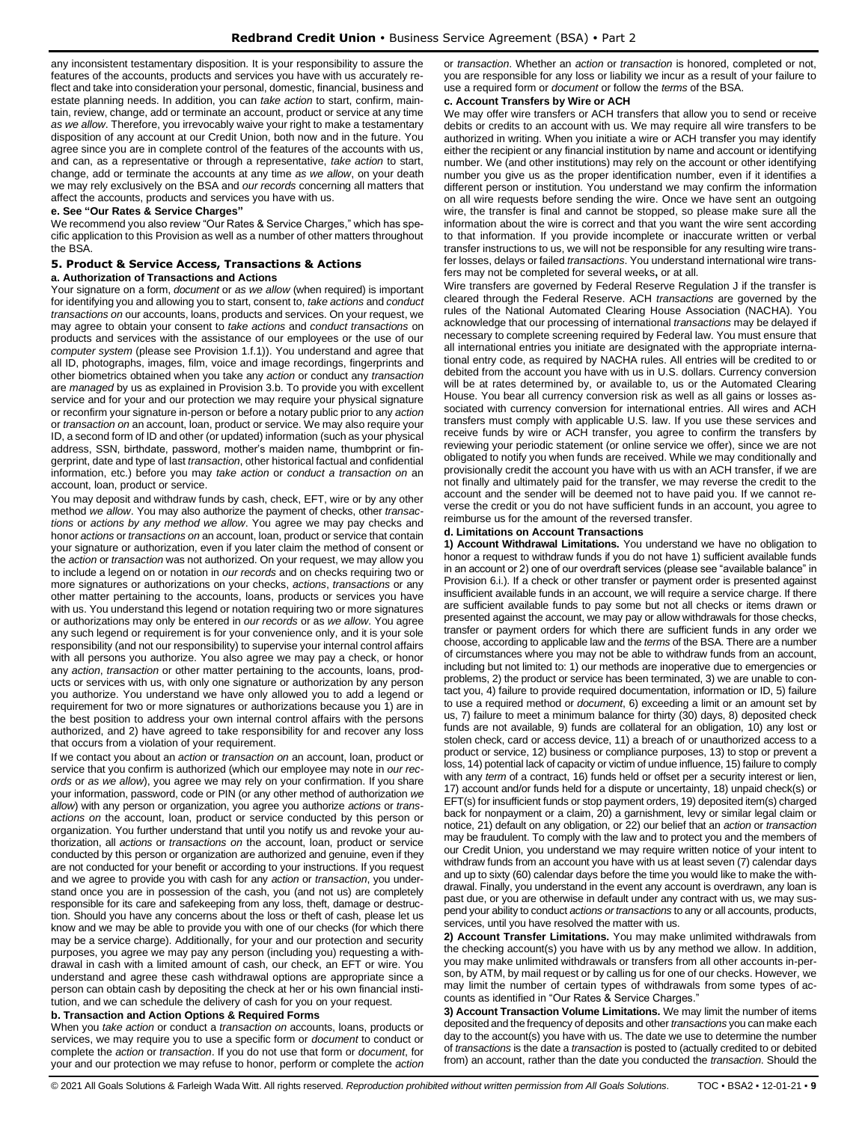any inconsistent testamentary disposition. It is your responsibility to assure the features of the accounts, products and services you have with us accurately reflect and take into consideration your personal, domestic, financial, business and estate planning needs. In addition, you can *take action* to start, confirm, maintain, review, change, add or terminate an account, product or service at any time *as we allow*. Therefore, you irrevocably waive your right to make a testamentary disposition of any account at our Credit Union, both now and in the future. You agree since you are in complete control of the features of the accounts with us, and can, as a representative or through a representative, *take action* to start, change, add or terminate the accounts at any time *as we allow*, on your death we may rely exclusively on the BSA and *our records* concerning all matters that affect the accounts, products and services you have with us.

#### **e. See "Our Rates & Service Charges"**

We recommend you also review "Our Rates & Service Charges," which has specific application to this Provision as well as a number of other matters throughout the BSA.

# <span id="page-8-0"></span>**5. Product & Service Access, Transactions & Actions**

# **a. Authorization of Transactions and Actions**

Your signature on a form, *document* or *as we allow* (when required) is important for identifying you and allowing you to start, consent to, *take actions* and *conduct transactions on* our accounts, loans, products and services. On your request, we may agree to obtain your consent to *take actions* and *conduct transactions* on products and services with the assistance of our employees or the use of our *computer system* (please see Provision 1.f.1)). You understand and agree that all ID, photographs, images, film, voice and image recordings, fingerprints and other biometrics obtained when you take any *action* or conduct any *transaction* are *managed* by us as explained in Provision 3.b. To provide you with excellent service and for your and our protection we may require your physical signature or reconfirm your signature in-person or before a notary public prior to any *action* or *transaction on* an account, loan, product or service. We may also require your ID, a second form of ID and other (or updated) information (such as your physical address, SSN, birthdate, password, mother's maiden name, thumbprint or fingerprint, date and type of last *transaction*, other historical factual and confidential information, etc.) before you may *take action* or *conduct a transaction on* an account, loan, product or service.

You may deposit and withdraw funds by cash, check, EFT, wire or by any other method *we allow*. You may also authorize the payment of checks, other *transactions* or *actions by any method we allow*. You agree we may pay checks and honor *actions* or *transactions on* an account, loan, product or service that contain your signature or authorization, even if you later claim the method of consent or the *action* or *transaction* was not authorized. On your request, we may allow you to include a legend on or notation in *our records* and on checks requiring two or more signatures or authorizations on your checks, *actions*, *transactions* or any other matter pertaining to the accounts, loans, products or services you have with us. You understand this legend or notation requiring two or more signatures or authorizations may only be entered in *our records* or as *we allow*. You agree any such legend or requirement is for your convenience only, and it is your sole responsibility (and not our responsibility) to supervise your internal control affairs with all persons you authorize. You also agree we may pay a check, or honor any *action*, *transaction* or other matter pertaining to the accounts, loans, products or services with us, with only one signature or authorization by any person you authorize. You understand we have only allowed you to add a legend or requirement for two or more signatures or authorizations because you 1) are in the best position to address your own internal control affairs with the persons authorized, and 2) have agreed to take responsibility for and recover any loss that occurs from a violation of your requirement.

If we contact you about an *action* or *transaction on* an account, loan, product or service that you confirm is authorized (which our employee may note in *our records* or *as we allow*), you agree we may rely on your confirmation. If you share your information, password, code or PIN (or any other method of authorization *we allow*) with any person or organization, you agree you authorize *actions* or *transactions on* the account, loan, product or service conducted by this person or organization. You further understand that until you notify us and revoke your authorization, all *actions* or *transactions on* the account, loan, product or service conducted by this person or organization are authorized and genuine, even if they are not conducted for your benefit or according to your instructions. If you request and we agree to provide you with cash for any *action* or *transaction*, you understand once you are in possession of the cash, you (and not us) are completely responsible for its care and safekeeping from any loss, theft, damage or destruction. Should you have any concerns about the loss or theft of cash, please let us know and we may be able to provide you with one of our checks (for which there may be a service charge). Additionally, for your and our protection and security purposes, you agree we may pay any person (including you) requesting a withdrawal in cash with a limited amount of cash, our check, an EFT or wire. You understand and agree these cash withdrawal options are appropriate since a person can obtain cash by depositing the check at her or his own financial institution, and we can schedule the delivery of cash for you on your request.

#### **b. Transaction and Action Options & Required Forms**

When you *take action* or conduct a *transaction on* accounts, loans, products or services, we may require you to use a specific form or *document* to conduct or complete the *action* or *transaction*. If you do not use that form or *document*, for your and our protection we may refuse to honor, perform or complete the *action*  or *transaction*. Whether an *action* or *transaction* is honored, completed or not, you are responsible for any loss or liability we incur as a result of your failure to use a required form or *document* or follow the *terms* of the BSA.

# **c. Account Transfers by Wire or ACH**

We may offer wire transfers or ACH transfers that allow you to send or receive debits or credits to an account with us. We may require all wire transfers to be authorized in writing. When you initiate a wire or ACH transfer you may identify either the recipient or any financial institution by name and account or identifying number. We (and other institutions) may rely on the account or other identifying number you give us as the proper identification number, even if it identifies a different person or institution. You understand we may confirm the information on all wire requests before sending the wire. Once we have sent an outgoing wire, the transfer is final and cannot be stopped, so please make sure all the information about the wire is correct and that you want the wire sent according to that information. If you provide incomplete or inaccurate written or verbal transfer instructions to us, we will not be responsible for any resulting wire transfer losses, delays or failed *transactions*. You understand international wire transfers may not be completed for several weeks**,** or at all.

Wire transfers are governed by Federal Reserve Regulation J if the transfer is cleared through the Federal Reserve. ACH *transactions* are governed by the rules of the National Automated Clearing House Association (NACHA). You acknowledge that our processing of international *transactions* may be delayed if necessary to complete screening required by Federal law. You must ensure that all international entries you initiate are designated with the appropriate international entry code, as required by NACHA rules. All entries will be credited to or debited from the account you have with us in U.S. dollars. Currency conversion will be at rates determined by, or available to, us or the Automated Clearing House. You bear all currency conversion risk as well as all gains or losses associated with currency conversion for international entries. All wires and ACH transfers must comply with applicable U.S. law. If you use these services and receive funds by wire or ACH transfer, you agree to confirm the transfers by reviewing your periodic statement (or online service we offer), since we are not obligated to notify you when funds are received. While we may conditionally and provisionally credit the account you have with us with an ACH transfer, if we are not finally and ultimately paid for the transfer, we may reverse the credit to the account and the sender will be deemed not to have paid you. If we cannot reverse the credit or you do not have sufficient funds in an account, you agree to reimburse us for the amount of the reversed transfer.

#### **d. Limitations on Account Transactions**

**1) Account Withdrawal Limitations.** You understand we have no obligation to honor a request to withdraw funds if you do not have 1) sufficient available funds in an account or 2) one of our overdraft services (please see "available balance" in Provision 6.i.). If a check or other transfer or payment order is presented against insufficient available funds in an account, we will require a service charge. If there are sufficient available funds to pay some but not all checks or items drawn or presented against the account, we may pay or allow withdrawals for those checks, transfer or payment orders for which there are sufficient funds in any order we choose, according to applicable law and the *terms* of the BSA. There are a number of circumstances where you may not be able to withdraw funds from an account, including but not limited to: 1) our methods are inoperative due to emergencies or problems, 2) the product or service has been terminated, 3) we are unable to contact you, 4) failure to provide required documentation, information or ID, 5) failure to use a required method or *document*, 6) exceeding a limit or an amount set by us, 7) failure to meet a minimum balance for thirty (30) days, 8) deposited check funds are not available, 9) funds are collateral for an obligation, 10) any lost or stolen check, card or access device, 11) a breach of or unauthorized access to a product or service, 12) business or compliance purposes, 13) to stop or prevent a loss, 14) potential lack of capacity or victim of undue influence, 15) failure to comply with any *term* of a contract, 16) funds held or offset per a security interest or lien, 17) account and/or funds held for a dispute or uncertainty, 18) unpaid check(s) or EFT(s) for insufficient funds or stop payment orders, 19) deposited item(s) charged back for nonpayment or a claim, 20) a garnishment, levy or similar legal claim or notice, 21) default on any obligation, or 22) our belief that an *action* or *transaction* may be fraudulent. To comply with the law and to protect you and the members of our Credit Union, you understand we may require written notice of your intent to withdraw funds from an account you have with us at least seven (7) calendar days and up to sixty (60) calendar days before the time you would like to make the withdrawal. Finally, you understand in the event any account is overdrawn, any loan is past due, or you are otherwise in default under any contract with us, we may suspend your ability to conduct *actions or transactions* to any or all accounts, products, services, until you have resolved the matter with us.

**2) Account Transfer Limitations.** You may make unlimited withdrawals from the checking account(s) you have with us by any method we allow. In addition, you may make unlimited withdrawals or transfers from all other accounts in-person, by ATM, by mail request or by calling us for one of our checks. However, we may limit the number of certain types of withdrawals from some types of accounts as identified in "Our Rates & Service Charges."

**3) Account Transaction Volume Limitations.** We may limit the number of items deposited and the frequency of deposits and other *transactions* you can make each day to the account(s) you have with us. The date we use to determine the number of *transactions* is the date a *transaction* is posted to (actually credited to or debited from) an account, rather than the date you conducted the *transaction*. Should the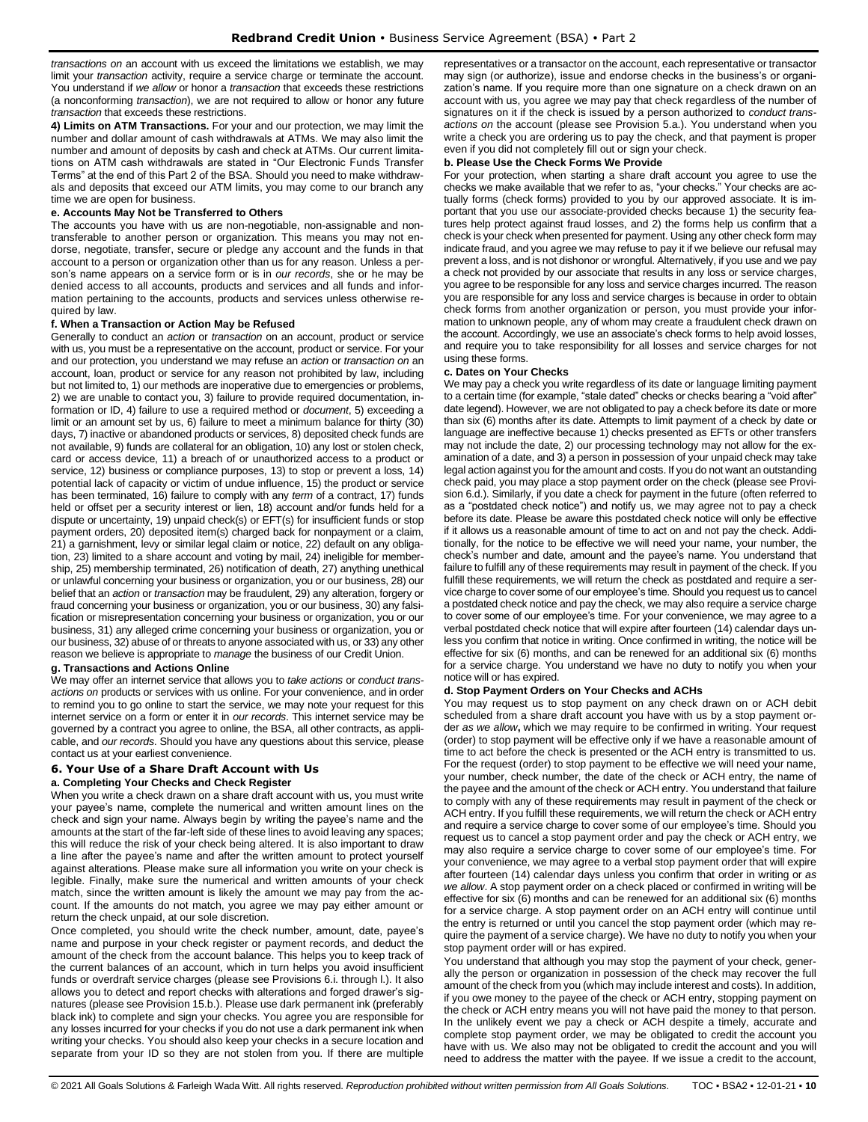*transactions on* an account with us exceed the limitations we establish, we may limit your *transaction* activity, require a service charge or terminate the account. You understand if *we allow* or honor a *transaction* that exceeds these restrictions (a nonconforming *transaction*), we are not required to allow or honor any future *transaction* that exceeds these restrictions.

**4) Limits on ATM Transactions.** For your and our protection, we may limit the number and dollar amount of cash withdrawals at ATMs. We may also limit the number and amount of deposits by cash and check at ATMs. Our current limitations on ATM cash withdrawals are stated in "Our Electronic Funds Transfer Terms" at the end of this Part 2 of the BSA. Should you need to make withdrawals and deposits that exceed our ATM limits, you may come to our branch any time we are open for business.

#### **e. Accounts May Not be Transferred to Others**

The accounts you have with us are non-negotiable, non-assignable and nontransferable to another person or organization. This means you may not endorse, negotiate, transfer, secure or pledge any account and the funds in that account to a person or organization other than us for any reason. Unless a person's name appears on a service form or is in *our records*, she or he may be denied access to all accounts, products and services and all funds and information pertaining to the accounts, products and services unless otherwise required by law.

#### **f. When a Transaction or Action May be Refused**

Generally to conduct an *action* or *transaction* on an account, product or service with us, you must be a representative on the account, product or service. For your and our protection, you understand we may refuse an *action* or *transaction on* an account, loan, product or service for any reason not prohibited by law, including but not limited to, 1) our methods are inoperative due to emergencies or problems, 2) we are unable to contact you, 3) failure to provide required documentation, information or ID, 4) failure to use a required method or *document*, 5) exceeding a limit or an amount set by us, 6) failure to meet a minimum balance for thirty (30) days, 7) inactive or abandoned products or services, 8) deposited check funds are not available, 9) funds are collateral for an obligation, 10) any lost or stolen check, card or access device, 11) a breach of or unauthorized access to a product or service, 12) business or compliance purposes, 13) to stop or prevent a loss, 14) potential lack of capacity or victim of undue influence, 15) the product or service has been terminated, 16) failure to comply with any *term* of a contract, 17) funds held or offset per a security interest or lien, 18) account and/or funds held for a dispute or uncertainty, 19) unpaid check(s) or EFT(s) for insufficient funds or stop payment orders, 20) deposited item(s) charged back for nonpayment or a claim, 21) a garnishment, levy or similar legal claim or notice, 22) default on any obligation, 23) limited to a share account and voting by mail, 24) ineligible for membership, 25) membership terminated, 26) notification of death, 27) anything unethical or unlawful concerning your business or organization, you or our business, 28) our belief that an *action* or *transaction* may be fraudulent, 29) any alteration, forgery or fraud concerning your business or organization, you or our business, 30) any falsification or misrepresentation concerning your business or organization, you or our business, 31) any alleged crime concerning your business or organization, you or our business, 32) abuse of or threats to anyone associated with us, or 33) any other reason we believe is appropriate to *manage* the business of our Credit Union.

#### **g. Transactions and Actions Online**

We may offer an internet service that allows you to *take actions* or *conduct transactions on* products or services with us online. For your convenience, and in order to remind you to go online to start the service, we may note your request for this internet service on a form or enter it in *our records*. This internet service may be governed by a contract you agree to online, the BSA, all other contracts, as applicable, and *our records*. Should you have any questions about this service, please contact us at your earliest convenience.

#### <span id="page-9-0"></span>**6. Your Use of a Share Draft Account with Us a. Completing Your Checks and Check Register**

When you write a check drawn on a share draft account with us, you must write your payee's name, complete the numerical and written amount lines on the check and sign your name. Always begin by writing the payee's name and the amounts at the start of the far-left side of these lines to avoid leaving any spaces; this will reduce the risk of your check being altered. It is also important to draw a line after the payee's name and after the written amount to protect yourself against alterations. Please make sure all information you write on your check is legible. Finally, make sure the numerical and written amounts of your check match, since the written amount is likely the amount we may pay from the account. If the amounts do not match, you agree we may pay either amount or return the check unpaid, at our sole discretion.

Once completed, you should write the check number, amount, date, payee's name and purpose in your check register or payment records, and deduct the amount of the check from the account balance. This helps you to keep track of the current balances of an account, which in turn helps you avoid insufficient funds or overdraft service charges (please see Provisions 6.i. through l.). It also allows you to detect and report checks with alterations and forged drawer's signatures (please see Provision 15.b.). Please use dark permanent ink (preferably black ink) to complete and sign your checks. You agree you are responsible for any losses incurred for your checks if you do not use a dark permanent ink when writing your checks. You should also keep your checks in a secure location and separate from your ID so they are not stolen from you. If there are multiple representatives or a transactor on the account, each representative or transactor may sign (or authorize), issue and endorse checks in the business's or organization's name. If you require more than one signature on a check drawn on an account with us, you agree we may pay that check regardless of the number of signatures on it if the check is issued by a person authorized to *conduct transactions on* the account (please see Provision 5.a.). You understand when you write a check you are ordering us to pay the check, and that payment is proper even if you did not completely fill out or sign your check.

#### **b. Please Use the Check Forms We Provide**

For your protection, when starting a share draft account you agree to use the checks we make available that we refer to as, "your checks." Your checks are actually forms (check forms) provided to you by our approved associate. It is important that you use our associate-provided checks because 1) the security features help protect against fraud losses, and 2) the forms help us confirm that a check is your check when presented for payment. Using any other check form may indicate fraud, and you agree we may refuse to pay it if we believe our refusal may prevent a loss, and is not dishonor or wrongful. Alternatively, if you use and we pay a check not provided by our associate that results in any loss or service charges, you agree to be responsible for any loss and service charges incurred. The reason you are responsible for any loss and service charges is because in order to obtain check forms from another organization or person, you must provide your information to unknown people, any of whom may create a fraudulent check drawn on the account. Accordingly, we use an associate's check forms to help avoid losses, and require you to take responsibility for all losses and service charges for not using these forms.

#### **c. Dates on Your Checks**

We may pay a check you write regardless of its date or language limiting payment to a certain time (for example, "stale dated" checks or checks bearing a "void after" date legend). However, we are not obligated to pay a check before its date or more than six (6) months after its date. Attempts to limit payment of a check by date or language are ineffective because 1) checks presented as EFTs or other transfers may not include the date, 2) our processing technology may not allow for the examination of a date, and 3) a person in possession of your unpaid check may take legal action against you for the amount and costs. If you do not want an outstanding check paid, you may place a stop payment order on the check (please see Provision 6.d.). Similarly, if you date a check for payment in the future (often referred to as a "postdated check notice") and notify us, we may agree not to pay a check before its date. Please be aware this postdated check notice will only be effective if it allows us a reasonable amount of time to act on and not pay the check. Additionally, for the notice to be effective we will need your name, your number, the check's number and date, amount and the payee's name. You understand that failure to fulfill any of these requirements may result in payment of the check. If you fulfill these requirements, we will return the check as postdated and require a service charge to cover some of our employee's time. Should you request us to cancel a postdated check notice and pay the check, we may also require a service charge to cover some of our employee's time. For your convenience, we may agree to a verbal postdated check notice that will expire after fourteen (14) calendar days unless you confirm that notice in writing. Once confirmed in writing, the notice will be effective for six (6) months, and can be renewed for an additional six (6) months for a service charge. You understand we have no duty to notify you when your notice will or has expired.

#### **d. Stop Payment Orders on Your Checks and ACHs**

You may request us to stop payment on any check drawn on or ACH debit scheduled from a share draft account you have with us by a stop payment order *as we allow***,** which we may require to be confirmed in writing. Your request (order) to stop payment will be effective only if we have a reasonable amount of time to act before the check is presented or the ACH entry is transmitted to us. For the request (order) to stop payment to be effective we will need your name, your number, check number, the date of the check or ACH entry, the name of the payee and the amount of the check or ACH entry. You understand that failure to comply with any of these requirements may result in payment of the check or ACH entry. If you fulfill these requirements, we will return the check or ACH entry and require a service charge to cover some of our employee's time. Should you request us to cancel a stop payment order and pay the check or ACH entry, we may also require a service charge to cover some of our employee's time. For your convenience, we may agree to a verbal stop payment order that will expire after fourteen (14) calendar days unless you confirm that order in writing or *as we allow*. A stop payment order on a check placed or confirmed in writing will be effective for six (6) months and can be renewed for an additional six (6) months for a service charge. A stop payment order on an ACH entry will continue until the entry is returned or until you cancel the stop payment order (which may require the payment of a service charge). We have no duty to notify you when your stop payment order will or has expired.

You understand that although you may stop the payment of your check, generally the person or organization in possession of the check may recover the full amount of the check from you (which may include interest and costs). In addition, if you owe money to the payee of the check or ACH entry, stopping payment on the check or ACH entry means you will not have paid the money to that person. In the unlikely event we pay a check or ACH despite a timely, accurate and complete stop payment order, we may be obligated to credit the account you have with us. We also may not be obligated to credit the account and you will need to address the matter with the payee. If we issue a credit to the account,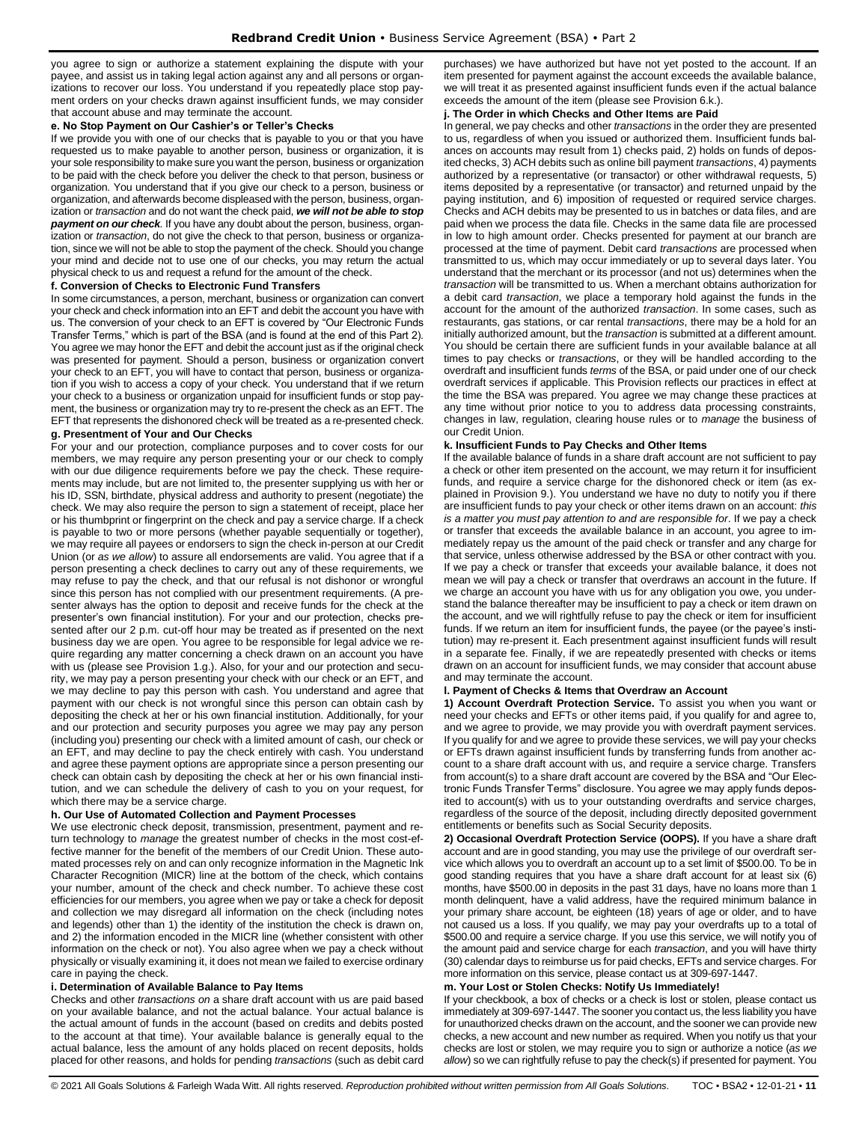you agree to sign or authorize a statement explaining the dispute with your payee, and assist us in taking legal action against any and all persons or organizations to recover our loss. You understand if you repeatedly place stop payment orders on your checks drawn against insufficient funds, we may consider that account abuse and may terminate the account.

## **e. No Stop Payment on Our Cashier's or Teller's Checks**

If we provide you with one of our checks that is payable to you or that you have requested us to make payable to another person, business or organization, it is your sole responsibility to make sure you want the person, business or organization to be paid with the check before you deliver the check to that person, business or organization. You understand that if you give our check to a person, business or organization, and afterwards become displeased with the person, business, organization or *transaction* and do not want the check paid, *we will not be able to stop payment on our check.* If you have any doubt about the person, business, organization or *transaction*, do not give the check to that person, business or organization, since we will not be able to stop the payment of the check. Should you change your mind and decide not to use one of our checks, you may return the actual physical check to us and request a refund for the amount of the check.

#### **f. Conversion of Checks to Electronic Fund Transfers**

In some circumstances, a person, merchant, business or organization can convert your check and check information into an EFT and debit the account you have with us. The conversion of your check to an EFT is covered by "Our Electronic Funds Transfer Terms," which is part of the BSA (and is found at the end of this Part 2). You agree we may honor the EFT and debit the account just as if the original check was presented for payment. Should a person, business or organization convert your check to an EFT, you will have to contact that person, business or organization if you wish to access a copy of your check. You understand that if we return your check to a business or organization unpaid for insufficient funds or stop payment, the business or organization may try to re-present the check as an EFT. The EFT that represents the dishonored check will be treated as a re-presented check.

# **g. Presentment of Your and Our Checks**

For your and our protection, compliance purposes and to cover costs for our members, we may require any person presenting your or our check to comply with our due diligence requirements before we pay the check. These requirements may include, but are not limited to, the presenter supplying us with her or his ID, SSN, birthdate, physical address and authority to present (negotiate) the check. We may also require the person to sign a statement of receipt, place her or his thumbprint or fingerprint on the check and pay a service charge. If a check is payable to two or more persons (whether payable sequentially or together), we may require all payees or endorsers to sign the check in-person at our Credit Union (or *as we allow*) to assure all endorsements are valid. You agree that if a person presenting a check declines to carry out any of these requirements, we may refuse to pay the check, and that our refusal is not dishonor or wrongful since this person has not complied with our presentment requirements. (A presenter always has the option to deposit and receive funds for the check at the presenter's own financial institution). For your and our protection, checks presented after our 2 p.m. cut-off hour may be treated as if presented on the next business day we are open. You agree to be responsible for legal advice we require regarding any matter concerning a check drawn on an account you have with us (please see Provision 1.g.). Also, for your and our protection and security, we may pay a person presenting your check with our check or an EFT, and we may decline to pay this person with cash. You understand and agree that payment with our check is not wrongful since this person can obtain cash by depositing the check at her or his own financial institution. Additionally, for your and our protection and security purposes you agree we may pay any person (including you) presenting our check with a limited amount of cash, our check or an EFT, and may decline to pay the check entirely with cash. You understand and agree these payment options are appropriate since a person presenting our check can obtain cash by depositing the check at her or his own financial institution, and we can schedule the delivery of cash to you on your request, for which there may be a service charge.

#### **h. Our Use of Automated Collection and Payment Processes**

We use electronic check deposit, transmission, presentment, payment and return technology to *manage* the greatest number of checks in the most cost-effective manner for the benefit of the members of our Credit Union. These automated processes rely on and can only recognize information in the Magnetic Ink Character Recognition (MICR) line at the bottom of the check, which contains your number, amount of the check and check number. To achieve these cost efficiencies for our members, you agree when we pay or take a check for deposit and collection we may disregard all information on the check (including notes and legends) other than 1) the identity of the institution the check is drawn on, and 2) the information encoded in the MICR line (whether consistent with other information on the check or not). You also agree when we pay a check without physically or visually examining it, it does not mean we failed to exercise ordinary care in paying the check.

## **i. Determination of Available Balance to Pay Items**

Checks and other *transactions on* a share draft account with us are paid based on your available balance, and not the actual balance. Your actual balance is the actual amount of funds in the account (based on credits and debits posted to the account at that time). Your available balance is generally equal to the actual balance, less the amount of any holds placed on recent deposits, holds placed for other reasons, and holds for pending *transactions* (such as debit card purchases) we have authorized but have not yet posted to the account. If an item presented for payment against the account exceeds the available balance, we will treat it as presented against insufficient funds even if the actual balance exceeds the amount of the item (please see Provision 6.k.).

## **j. The Order in which Checks and Other Items are Paid**

In general, we pay checks and other *transactions* in the order they are presented to us, regardless of when you issued or authorized them. Insufficient funds balances on accounts may result from 1) checks paid, 2) holds on funds of deposited checks, 3) ACH debits such as online bill payment *transactions*, 4) payments authorized by a representative (or transactor) or other withdrawal requests, 5) items deposited by a representative (or transactor) and returned unpaid by the paying institution, and 6) imposition of requested or required service charges. Checks and ACH debits may be presented to us in batches or data files, and are paid when we process the data file. Checks in the same data file are processed in low to high amount order. Checks presented for payment at our branch are processed at the time of payment. Debit card *transactions* are processed when transmitted to us, which may occur immediately or up to several days later. You understand that the merchant or its processor (and not us) determines when the *transaction* will be transmitted to us. When a merchant obtains authorization for a debit card *transaction*, we place a temporary hold against the funds in the account for the amount of the authorized *transaction*. In some cases, such as restaurants, gas stations, or car rental *transactions*, there may be a hold for an initially authorized amount, but the *transaction* is submitted at a different amount. You should be certain there are sufficient funds in your available balance at all times to pay checks or *transactions*, or they will be handled according to the overdraft and insufficient funds *terms* of the BSA, or paid under one of our check overdraft services if applicable. This Provision reflects our practices in effect at the time the BSA was prepared. You agree we may change these practices at any time without prior notice to you to address data processing constraints, changes in law, regulation, clearing house rules or to *manage* the business of our Credit Union.

# **k. Insufficient Funds to Pay Checks and Other Items**

If the available balance of funds in a share draft account are not sufficient to pay a check or other item presented on the account, we may return it for insufficient funds, and require a service charge for the dishonored check or item (as explained in Provision 9.). You understand we have no duty to notify you if there are insufficient funds to pay your check or other items drawn on an account: *this is a matter you must pay attention to and are responsible for*. If we pay a check or transfer that exceeds the available balance in an account, you agree to immediately repay us the amount of the paid check or transfer and any charge for that service, unless otherwise addressed by the BSA or other contract with you. If we pay a check or transfer that exceeds your available balance, it does not mean we will pay a check or transfer that overdraws an account in the future. If we charge an account you have with us for any obligation you owe, you understand the balance thereafter may be insufficient to pay a check or item drawn on the account, and we will rightfully refuse to pay the check or item for insufficient funds. If we return an item for insufficient funds, the payee (or the payee's institution) may re-present it. Each presentment against insufficient funds will result in a separate fee. Finally, if we are repeatedly presented with checks or items drawn on an account for insufficient funds, we may consider that account abuse and may terminate the account.

# **l. Payment of Checks & Items that Overdraw an Account**

**1) Account Overdraft Protection Service.** To assist you when you want or need your checks and EFTs or other items paid, if you qualify for and agree to, and we agree to provide, we may provide you with overdraft payment services. If you qualify for and we agree to provide these services, we will pay your checks or EFTs drawn against insufficient funds by transferring funds from another account to a share draft account with us, and require a service charge. Transfers from account(s) to a share draft account are covered by the BSA and "Our Electronic Funds Transfer Terms" disclosure. You agree we may apply funds deposited to account(s) with us to your outstanding overdrafts and service charges, regardless of the source of the deposit, including directly deposited government entitlements or benefits such as Social Security deposits.

**2) Occasional Overdraft Protection Service (OOPS).** If you have a share draft account and are in good standing, you may use the privilege of our overdraft service which allows you to overdraft an account up to a set limit of \$500.00. To be in good standing requires that you have a share draft account for at least six (6) months, have \$500.00 in deposits in the past 31 days, have no loans more than 1 month delinquent, have a valid address, have the required minimum balance in your primary share account, be eighteen (18) years of age or older, and to have not caused us a loss. If you qualify, we may pay your overdrafts up to a total of \$500.00 and require a service charge. If you use this service, we will notify you of the amount paid and service charge for each *transaction*, and you will have thirty (30) calendar days to reimburse us for paid checks, EFTs and service charges. For more information on this service, please contact us at 309-697-1447.

# **m. Your Lost or Stolen Checks: Notify Us Immediately!**

If your checkbook, a box of checks or a check is lost or stolen, please contact us immediately at 309-697-1447. The sooner you contact us, the less liability you have for unauthorized checks drawn on the account, and the sooner we can provide new checks, a new account and new number as required. When you notify us that your checks are lost or stolen, we may require you to sign or authorize a notice (*as we allow*) so we can rightfully refuse to pay the check(s) if presented for payment. You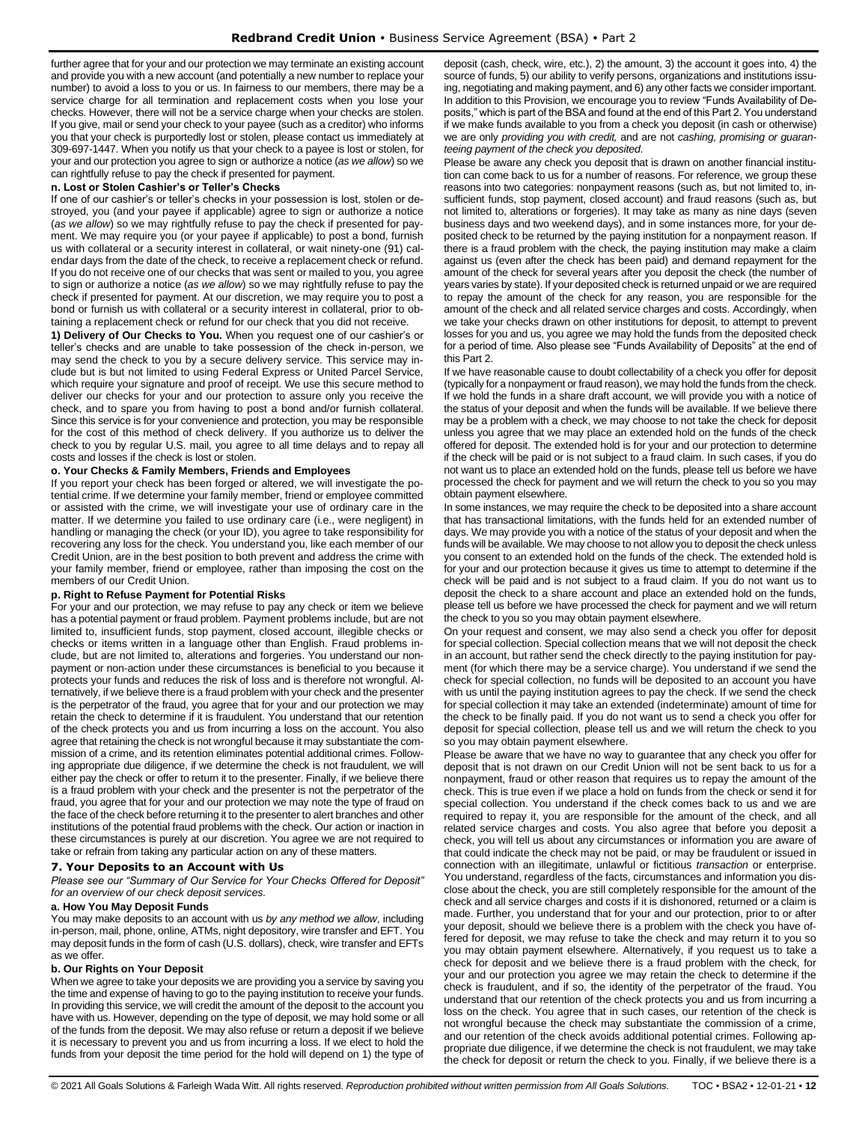further agree that for your and our protection we may terminate an existing account and provide you with a new account (and potentially a new number to replace your number) to avoid a loss to you or us. In fairness to our members, there may be a service charge for all termination and replacement costs when you lose your checks. However, there will not be a service charge when your checks are stolen. If you give, mail or send your check to your payee (such as a creditor) who informs you that your check is purportedly lost or stolen, please contact us immediately at 309-697-1447. When you notify us that your check to a payee is lost or stolen, for your and our protection you agree to sign or authorize a notice (*as we allow*) so we can rightfully refuse to pay the check if presented for payment.

#### **n. Lost or Stolen Cashier's or Teller's Checks**

If one of our cashier's or teller's checks in your possession is lost, stolen or destroyed, you (and your payee if applicable) agree to sign or authorize a notice (*as we allow*) so we may rightfully refuse to pay the check if presented for payment. We may require you (or your payee if applicable) to post a bond, furnish us with collateral or a security interest in collateral, or wait ninety-one (91) calendar days from the date of the check, to receive a replacement check or refund. If you do not receive one of our checks that was sent or mailed to you, you agree to sign or authorize a notice (*as we allow*) so we may rightfully refuse to pay the check if presented for payment. At our discretion, we may require you to post a bond or furnish us with collateral or a security interest in collateral, prior to obtaining a replacement check or refund for our check that you did not receive.

**1) Delivery of Our Checks to You.** When you request one of our cashier's or teller's checks and are unable to take possession of the check in-person, we may send the check to you by a secure delivery service. This service may include but is but not limited to using Federal Express or United Parcel Service, which require your signature and proof of receipt. We use this secure method to deliver our checks for your and our protection to assure only you receive the check, and to spare you from having to post a bond and/or furnish collateral. Since this service is for your convenience and protection, you may be responsible for the cost of this method of check delivery. If you authorize us to deliver the check to you by regular U.S. mail, you agree to all time delays and to repay all costs and losses if the check is lost or stolen.

#### **o. Your Checks & Family Members, Friends and Employees**

If you report your check has been forged or altered, we will investigate the potential crime. If we determine your family member, friend or employee committed or assisted with the crime, we will investigate your use of ordinary care in the matter. If we determine you failed to use ordinary care (i.e., were negligent) in handling or managing the check (or your ID), you agree to take responsibility for recovering any loss for the check. You understand you, like each member of our Credit Union, are in the best position to both prevent and address the crime with your family member, friend or employee, rather than imposing the cost on the members of our Credit Union.

#### **p. Right to Refuse Payment for Potential Risks**

For your and our protection, we may refuse to pay any check or item we believe has a potential payment or fraud problem. Payment problems include, but are not limited to, insufficient funds, stop payment, closed account, illegible checks or checks or items written in a language other than English. Fraud problems include, but are not limited to, alterations and forgeries. You understand our nonpayment or non-action under these circumstances is beneficial to you because it protects your funds and reduces the risk of loss and is therefore not wrongful. Alternatively, if we believe there is a fraud problem with your check and the presenter is the perpetrator of the fraud, you agree that for your and our protection we may retain the check to determine if it is fraudulent. You understand that our retention of the check protects you and us from incurring a loss on the account. You also agree that retaining the check is not wrongful because it may substantiate the commission of a crime, and its retention eliminates potential additional crimes. Following appropriate due diligence, if we determine the check is not fraudulent, we will either pay the check or offer to return it to the presenter. Finally, if we believe there is a fraud problem with your check and the presenter is not the perpetrator of the fraud, you agree that for your and our protection we may note the type of fraud on the face of the check before returning it to the presenter to alert branches and other institutions of the potential fraud problems with the check. Our action or inaction in these circumstances is purely at our discretion. You agree we are not required to take or refrain from taking any particular action on any of these matters.

#### <span id="page-11-0"></span>**7. Your Deposits to an Account with Us**

*Please see our "Summary of Our Service for Your Checks Offered for Deposit" for an overview of our check deposit services.*

#### **a. How You May Deposit Funds**

You may make deposits to an account with us *by any method we allow*, including in-person, mail, phone, online, ATMs, night depository, wire transfer and EFT. You may deposit funds in the form of cash (U.S. dollars), check, wire transfer and EFTs as we offer.

#### **b. Our Rights on Your Deposit**

When we agree to take your deposits we are providing you a service by saving you the time and expense of having to go to the paying institution to receive your funds. In providing this service, we will credit the amount of the deposit to the account you have with us. However, depending on the type of deposit, we may hold some or all of the funds from the deposit. We may also refuse or return a deposit if we believe it is necessary to prevent you and us from incurring a loss. If we elect to hold the funds from your deposit the time period for the hold will depend on 1) the type of

deposit (cash, check, wire, etc.), 2) the amount, 3) the account it goes into, 4) the source of funds, 5) our ability to verify persons, organizations and institutions issuing, negotiating and making payment, and 6) any other facts we consider important. In addition to this Provision, we encourage you to review "Funds Availability of Deposits," which is part of the BSA and found at the end of this Part 2. You understand if we make funds available to you from a check you deposit (in cash or otherwise) we are only *providing you with credit,* and are not *cashing, promising or guaranteeing payment of the check you deposited*.

Please be aware any check you deposit that is drawn on another financial institution can come back to us for a number of reasons. For reference, we group these reasons into two categories: nonpayment reasons (such as, but not limited to, insufficient funds, stop payment, closed account) and fraud reasons (such as, but not limited to, alterations or forgeries). It may take as many as nine days (seven business days and two weekend days), and in some instances more, for your deposited check to be returned by the paying institution for a nonpayment reason. If there is a fraud problem with the check, the paying institution may make a claim against us (even after the check has been paid) and demand repayment for the amount of the check for several years after you deposit the check (the number of years varies by state). If your deposited check is returned unpaid or we are required to repay the amount of the check for any reason, you are responsible for the amount of the check and all related service charges and costs. Accordingly, when we take your checks drawn on other institutions for deposit, to attempt to prevent losses for you and us, you agree we may hold the funds from the deposited check for a period of time. Also please see "Funds Availability of Deposits" at the end of this Part 2.

If we have reasonable cause to doubt collectability of a check you offer for deposit (typically for a nonpayment or fraud reason), we may hold the funds from the check. If we hold the funds in a share draft account, we will provide you with a notice of the status of your deposit and when the funds will be available. If we believe there may be a problem with a check, we may choose to not take the check for deposit unless you agree that we may place an extended hold on the funds of the check offered for deposit. The extended hold is for your and our protection to determine if the check will be paid or is not subject to a fraud claim. In such cases, if you do not want us to place an extended hold on the funds, please tell us before we have processed the check for payment and we will return the check to you so you may obtain payment elsewhere.

In some instances, we may require the check to be deposited into a share account that has transactional limitations, with the funds held for an extended number of days. We may provide you with a notice of the status of your deposit and when the funds will be available. We may choose to not allow you to deposit the check unless you consent to an extended hold on the funds of the check. The extended hold is for your and our protection because it gives us time to attempt to determine if the check will be paid and is not subject to a fraud claim. If you do not want us to deposit the check to a share account and place an extended hold on the funds, please tell us before we have processed the check for payment and we will return the check to you so you may obtain payment elsewhere.

On your request and consent, we may also send a check you offer for deposit for special collection. Special collection means that we will not deposit the check in an account, but rather send the check directly to the paying institution for payment (for which there may be a service charge). You understand if we send the check for special collection, no funds will be deposited to an account you have with us until the paying institution agrees to pay the check. If we send the check for special collection it may take an extended (indeterminate) amount of time for the check to be finally paid. If you do not want us to send a check you offer for deposit for special collection, please tell us and we will return the check to you so you may obtain payment elsewhere.

Please be aware that we have no way to guarantee that any check you offer for deposit that is not drawn on our Credit Union will not be sent back to us for a nonpayment, fraud or other reason that requires us to repay the amount of the check. This is true even if we place a hold on funds from the check or send it for special collection. You understand if the check comes back to us and we are required to repay it, you are responsible for the amount of the check, and all related service charges and costs. You also agree that before you deposit a check, you will tell us about any circumstances or information you are aware of that could indicate the check may not be paid, or may be fraudulent or issued in connection with an illegitimate, unlawful or fictitious *transaction* or enterprise. You understand, regardless of the facts, circumstances and information you disclose about the check, you are still completely responsible for the amount of the check and all service charges and costs if it is dishonored, returned or a claim is made. Further, you understand that for your and our protection, prior to or after your deposit, should we believe there is a problem with the check you have offered for deposit, we may refuse to take the check and may return it to you so you may obtain payment elsewhere. Alternatively, if you request us to take a check for deposit and we believe there is a fraud problem with the check, for your and our protection you agree we may retain the check to determine if the check is fraudulent, and if so, the identity of the perpetrator of the fraud. You understand that our retention of the check protects you and us from incurring a loss on the check. You agree that in such cases, our retention of the check is not wrongful because the check may substantiate the commission of a crime, and our retention of the check avoids additional potential crimes. Following appropriate due diligence, if we determine the check is not fraudulent, we may take the check for deposit or return the check to you. Finally, if we believe there is a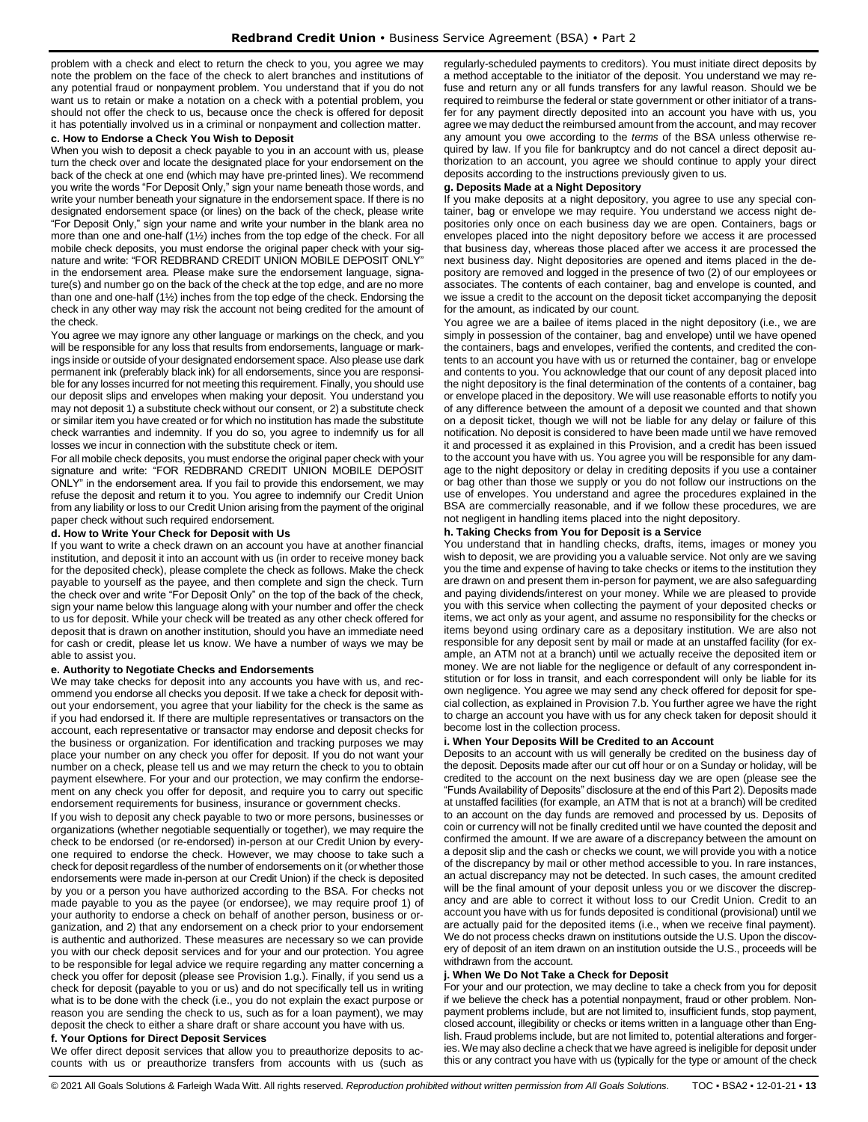problem with a check and elect to return the check to you, you agree we may note the problem on the face of the check to alert branches and institutions of any potential fraud or nonpayment problem. You understand that if you do not want us to retain or make a notation on a check with a potential problem, you should not offer the check to us, because once the check is offered for deposit it has potentially involved us in a criminal or nonpayment and collection matter.

## **c. How to Endorse a Check You Wish to Deposit**

When you wish to deposit a check payable to you in an account with us, please turn the check over and locate the designated place for your endorsement on the back of the check at one end (which may have pre-printed lines). We recommend you write the words "For Deposit Only," sign your name beneath those words, and write your number beneath your signature in the endorsement space. If there is no designated endorsement space (or lines) on the back of the check, please write "For Deposit Only," sign your name and write your number in the blank area no more than one and one-half (1½) inches from the top edge of the check. For all mobile check deposits, you must endorse the original paper check with your signature and write: "FOR REDBRAND CREDIT UNION MOBILE DEPOSIT ONLY" in the endorsement area. Please make sure the endorsement language, signature(s) and number go on the back of the check at the top edge, and are no more than one and one-half (1½) inches from the top edge of the check. Endorsing the check in any other way may risk the account not being credited for the amount of the check.

You agree we may ignore any other language or markings on the check, and you will be responsible for any loss that results from endorsements, language or markings inside or outside of your designated endorsement space. Also please use dark permanent ink (preferably black ink) for all endorsements, since you are responsible for any losses incurred for not meeting this requirement. Finally, you should use our deposit slips and envelopes when making your deposit. You understand you may not deposit 1) a substitute check without our consent, or 2) a substitute check or similar item you have created or for which no institution has made the substitute check warranties and indemnity. If you do so, you agree to indemnify us for all losses we incur in connection with the substitute check or item.

For all mobile check deposits, you must endorse the original paper check with your signature and write: "FOR REDBRAND CREDIT UNION MOBILE DEPOSIT ONLY" in the endorsement area. If you fail to provide this endorsement, we may refuse the deposit and return it to you. You agree to indemnify our Credit Union from any liability or loss to our Credit Union arising from the payment of the original paper check without such required endorsement.

#### **d. How to Write Your Check for Deposit with Us**

If you want to write a check drawn on an account you have at another financial institution, and deposit it into an account with us (in order to receive money back for the deposited check), please complete the check as follows. Make the check payable to yourself as the payee, and then complete and sign the check. Turn the check over and write "For Deposit Only" on the top of the back of the check, sign your name below this language along with your number and offer the check to us for deposit. While your check will be treated as any other check offered for deposit that is drawn on another institution, should you have an immediate need for cash or credit, please let us know. We have a number of ways we may be able to assist you.

#### **e. Authority to Negotiate Checks and Endorsements**

We may take checks for deposit into any accounts you have with us, and recommend you endorse all checks you deposit. If we take a check for deposit without your endorsement, you agree that your liability for the check is the same as if you had endorsed it. If there are multiple representatives or transactors on the account, each representative or transactor may endorse and deposit checks for the business or organization. For identification and tracking purposes we may place your number on any check you offer for deposit. If you do not want your number on a check, please tell us and we may return the check to you to obtain payment elsewhere. For your and our protection, we may confirm the endorsement on any check you offer for deposit, and require you to carry out specific endorsement requirements for business, insurance or government checks.

If you wish to deposit any check payable to two or more persons, businesses or organizations (whether negotiable sequentially or together), we may require the check to be endorsed (or re-endorsed) in-person at our Credit Union by everyone required to endorse the check. However, we may choose to take such a check for deposit regardless of the number of endorsements on it (or whether those endorsements were made in-person at our Credit Union) if the check is deposited by you or a person you have authorized according to the BSA. For checks not made payable to you as the payee (or endorsee), we may require proof 1) of your authority to endorse a check on behalf of another person, business or organization, and 2) that any endorsement on a check prior to your endorsement is authentic and authorized. These measures are necessary so we can provide you with our check deposit services and for your and our protection. You agree to be responsible for legal advice we require regarding any matter concerning a check you offer for deposit (please see Provision 1.g.). Finally, if you send us a check for deposit (payable to you or us) and do not specifically tell us in writing what is to be done with the check (i.e., you do not explain the exact purpose or reason you are sending the check to us, such as for a loan payment), we may deposit the check to either a share draft or share account you have with us.

## **f. Your Options for Direct Deposit Services**

We offer direct deposit services that allow you to preauthorize deposits to accounts with us or preauthorize transfers from accounts with us (such as regularly-scheduled payments to creditors). You must initiate direct deposits by a method acceptable to the initiator of the deposit. You understand we may refuse and return any or all funds transfers for any lawful reason. Should we be required to reimburse the federal or state government or other initiator of a transfer for any payment directly deposited into an account you have with us, you agree we may deduct the reimbursed amount from the account, and may recover any amount you owe according to the *terms* of the BSA unless otherwise required by law. If you file for bankruptcy and do not cancel a direct deposit authorization to an account, you agree we should continue to apply your direct deposits according to the instructions previously given to us.

# **g. Deposits Made at a Night Depository**

If you make deposits at a night depository, you agree to use any special container, bag or envelope we may require. You understand we access night depositories only once on each business day we are open. Containers, bags or envelopes placed into the night depository before we access it are processed that business day, whereas those placed after we access it are processed the next business day. Night depositories are opened and items placed in the depository are removed and logged in the presence of two (2) of our employees or associates. The contents of each container, bag and envelope is counted, and we issue a credit to the account on the deposit ticket accompanying the deposit for the amount, as indicated by our count.

You agree we are a bailee of items placed in the night depository (i.e., we are simply in possession of the container, bag and envelope) until we have opened the containers, bags and envelopes, verified the contents, and credited the contents to an account you have with us or returned the container, bag or envelope and contents to you. You acknowledge that our count of any deposit placed into the night depository is the final determination of the contents of a container, bag or envelope placed in the depository. We will use reasonable efforts to notify you of any difference between the amount of a deposit we counted and that shown on a deposit ticket, though we will not be liable for any delay or failure of this notification. No deposit is considered to have been made until we have removed it and processed it as explained in this Provision, and a credit has been issued to the account you have with us. You agree you will be responsible for any damage to the night depository or delay in crediting deposits if you use a container or bag other than those we supply or you do not follow our instructions on the use of envelopes. You understand and agree the procedures explained in the BSA are commercially reasonable, and if we follow these procedures, we are not negligent in handling items placed into the night depository.

#### **h. Taking Checks from You for Deposit is a Service**

You understand that in handling checks, drafts, items, images or money you wish to deposit, we are providing you a valuable service. Not only are we saving you the time and expense of having to take checks or items to the institution they are drawn on and present them in-person for payment, we are also safeguarding and paying dividends/interest on your money. While we are pleased to provide you with this service when collecting the payment of your deposited checks or items, we act only as your agent, and assume no responsibility for the checks or items beyond using ordinary care as a depositary institution. We are also not responsible for any deposit sent by mail or made at an unstaffed facility (for example, an ATM not at a branch) until we actually receive the deposited item or money. We are not liable for the negligence or default of any correspondent institution or for loss in transit, and each correspondent will only be liable for its own negligence. You agree we may send any check offered for deposit for special collection, as explained in Provision 7.b. You further agree we have the right to charge an account you have with us for any check taken for deposit should it become lost in the collection process.

### **i. When Your Deposits Will be Credited to an Account**

Deposits to an account with us will generally be credited on the business day of the deposit. Deposits made after our cut off hour or on a Sunday or holiday, will be credited to the account on the next business day we are open (please see the "Funds Availability of Deposits" disclosure at the end of this Part 2). Deposits made at unstaffed facilities (for example, an ATM that is not at a branch) will be credited to an account on the day funds are removed and processed by us. Deposits of coin or currency will not be finally credited until we have counted the deposit and confirmed the amount. If we are aware of a discrepancy between the amount on a deposit slip and the cash or checks we count, we will provide you with a notice of the discrepancy by mail or other method accessible to you. In rare instances, an actual discrepancy may not be detected. In such cases, the amount credited will be the final amount of your deposit unless you or we discover the discrepancy and are able to correct it without loss to our Credit Union. Credit to an account you have with us for funds deposited is conditional (provisional) until we are actually paid for the deposited items (i.e., when we receive final payment). We do not process checks drawn on institutions outside the U.S. Upon the discovery of deposit of an item drawn on an institution outside the U.S., proceeds will be withdrawn from the account.

#### **j. When We Do Not Take a Check for Deposit**

For your and our protection, we may decline to take a check from you for deposit if we believe the check has a potential nonpayment, fraud or other problem. Nonpayment problems include, but are not limited to, insufficient funds, stop payment, closed account, illegibility or checks or items written in a language other than English. Fraud problems include, but are not limited to, potential alterations and forgeries. We may also decline a check that we have agreed is ineligible for deposit under this or any contract you have with us (typically for the type or amount of the check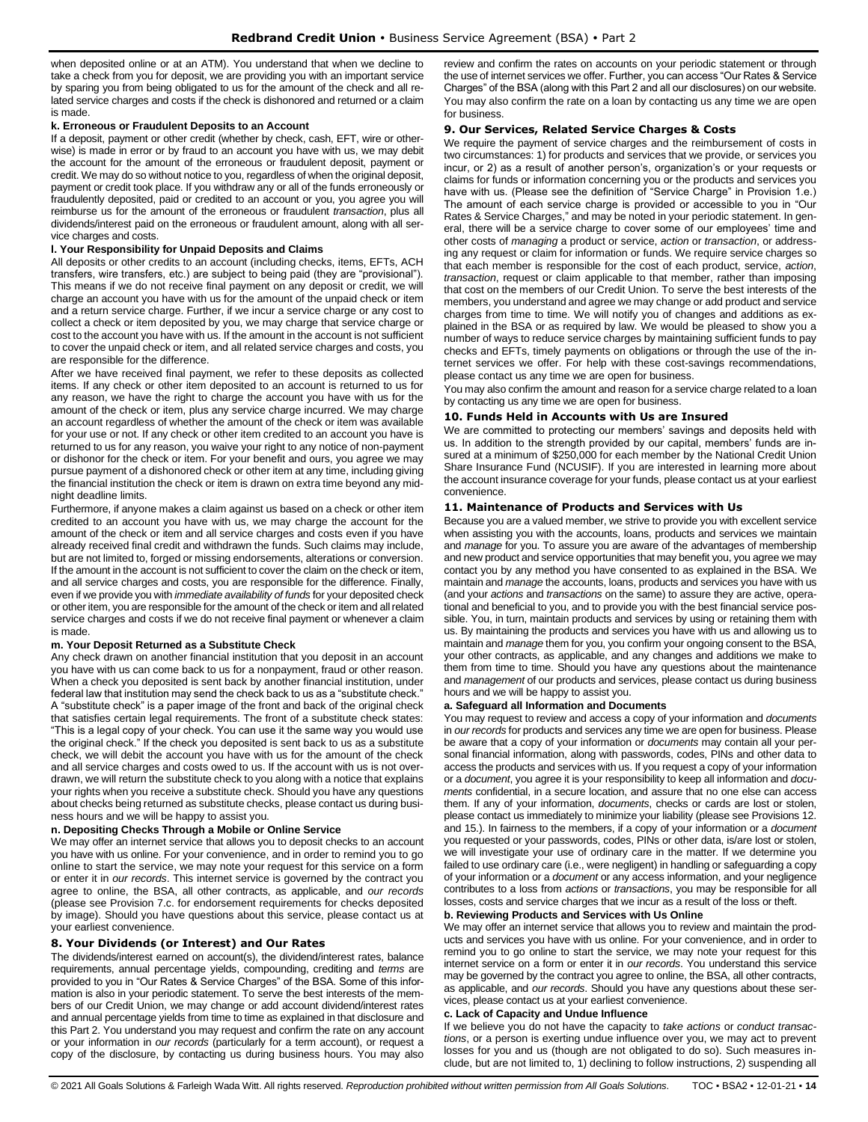when deposited online or at an ATM). You understand that when we decline to take a check from you for deposit, we are providing you with an important service by sparing you from being obligated to us for the amount of the check and all related service charges and costs if the check is dishonored and returned or a claim is made.

#### **k. Erroneous or Fraudulent Deposits to an Account**

If a deposit, payment or other credit (whether by check, cash, EFT, wire or otherwise) is made in error or by fraud to an account you have with us, we may debit the account for the amount of the erroneous or fraudulent deposit, payment or credit. We may do so without notice to you, regardless of when the original deposit, payment or credit took place. If you withdraw any or all of the funds erroneously or fraudulently deposited, paid or credited to an account or you, you agree you will reimburse us for the amount of the erroneous or fraudulent *transaction*, plus all dividends/interest paid on the erroneous or fraudulent amount, along with all service charges and costs.

# **l. Your Responsibility for Unpaid Deposits and Claims**

All deposits or other credits to an account (including checks, items, EFTs, ACH transfers, wire transfers, etc.) are subject to being paid (they are "provisional"). This means if we do not receive final payment on any deposit or credit, we will charge an account you have with us for the amount of the unpaid check or item and a return service charge. Further, if we incur a service charge or any cost to collect a check or item deposited by you, we may charge that service charge or cost to the account you have with us. If the amount in the account is not sufficient to cover the unpaid check or item, and all related service charges and costs, you are responsible for the difference.

After we have received final payment, we refer to these deposits as collected items. If any check or other item deposited to an account is returned to us for any reason, we have the right to charge the account you have with us for the amount of the check or item, plus any service charge incurred. We may charge an account regardless of whether the amount of the check or item was available for your use or not. If any check or other item credited to an account you have is returned to us for any reason, you waive your right to any notice of non-payment or dishonor for the check or item. For your benefit and ours, you agree we may pursue payment of a dishonored check or other item at any time, including giving the financial institution the check or item is drawn on extra time beyond any midnight deadline limits.

Furthermore, if anyone makes a claim against us based on a check or other item credited to an account you have with us, we may charge the account for the amount of the check or item and all service charges and costs even if you have already received final credit and withdrawn the funds. Such claims may include, but are not limited to, forged or missing endorsements, alterations or conversion. If the amount in the account is not sufficient to cover the claim on the check or item, and all service charges and costs, you are responsible for the difference. Finally, even if we provide you with *immediate availability of funds* for your deposited check or other item, you are responsible for the amount of the check or item and all related service charges and costs if we do not receive final payment or whenever a claim is made.

#### **m. Your Deposit Returned as a Substitute Check**

Any check drawn on another financial institution that you deposit in an account you have with us can come back to us for a nonpayment, fraud or other reason. When a check you deposited is sent back by another financial institution, under federal law that institution may send the check back to us as a "substitute check." A "substitute check" is a paper image of the front and back of the original check that satisfies certain legal requirements. The front of a substitute check states: "This is a legal copy of your check. You can use it the same way you would use the original check." If the check you deposited is sent back to us as a substitute check, we will debit the account you have with us for the amount of the check and all service charges and costs owed to us. If the account with us is not overdrawn, we will return the substitute check to you along with a notice that explains your rights when you receive a substitute check. Should you have any questions about checks being returned as substitute checks, please contact us during business hours and we will be happy to assist you.

#### **n. Depositing Checks Through a Mobile or Online Service**

We may offer an internet service that allows you to deposit checks to an account you have with us online. For your convenience, and in order to remind you to go online to start the service, we may note your request for this service on a form or enter it in *our records*. This internet service is governed by the contract you agree to online, the BSA, all other contracts, as applicable, and *our records* (please see Provision 7.c. for endorsement requirements for checks deposited by image). Should you have questions about this service, please contact us at your earliest convenience.

# <span id="page-13-0"></span>**8. Your Dividends (or Interest) and Our Rates**

The dividends/interest earned on account(s), the dividend/interest rates, balance requirements, annual percentage yields, compounding, crediting and *terms* are provided to you in "Our Rates & Service Charges" of the BSA. Some of this information is also in your periodic statement. To serve the best interests of the members of our Credit Union, we may change or add account dividend/interest rates and annual percentage yields from time to time as explained in that disclosure and this Part 2. You understand you may request and confirm the rate on any account or your information in *our records* (particularly for a term account), or request a copy of the disclosure, by contacting us during business hours. You may also

review and confirm the rates on accounts on your periodic statement or through the use of internet services we offer. Further, you can access "Our Rates & Service Charges" of the BSA (along with this Part 2 and all our disclosures) on our website. You may also confirm the rate on a loan by contacting us any time we are open for business.

#### <span id="page-13-1"></span>**9. Our Services, Related Service Charges & Costs**

We require the payment of service charges and the reimbursement of costs in two circumstances: 1) for products and services that we provide, or services you incur, or 2) as a result of another person's, organization's or your requests or claims for funds or information concerning you or the products and services you have with us. (Please see the definition of "Service Charge" in Provision 1.e.) The amount of each service charge is provided or accessible to you in "Our Rates & Service Charges," and may be noted in your periodic statement. In general, there will be a service charge to cover some of our employees' time and other costs of *managing* a product or service, *action* or *transaction*, or addressing any request or claim for information or funds. We require service charges so that each member is responsible for the cost of each product, service, *action*, *transaction*, request or claim applicable to that member, rather than imposing that cost on the members of our Credit Union. To serve the best interests of the members, you understand and agree we may change or add product and service charges from time to time. We will notify you of changes and additions as explained in the BSA or as required by law. We would be pleased to show you a number of ways to reduce service charges by maintaining sufficient funds to pay checks and EFTs, timely payments on obligations or through the use of the internet services we offer. For help with these cost-savings recommendations, please contact us any time we are open for business.

You may also confirm the amount and reason for a service charge related to a loan by contacting us any time we are open for business.

#### <span id="page-13-2"></span>**10. Funds Held in Accounts with Us are Insured**

We are committed to protecting our members' savings and deposits held with us. In addition to the strength provided by our capital, members' funds are insured at a minimum of \$250,000 for each member by the National Credit Union Share Insurance Fund (NCUSIF). If you are interested in learning more about the account insurance coverage for your funds, please contact us at your earliest convenience.

#### <span id="page-13-3"></span>**11. Maintenance of Products and Services with Us**

Because you are a valued member, we strive to provide you with excellent service when assisting you with the accounts, loans, products and services we maintain and *manage* for you. To assure you are aware of the advantages of membership and new product and service opportunities that may benefit you, you agree we may contact you by any method you have consented to as explained in the BSA. We maintain and *manage* the accounts, loans, products and services you have with us (and your *actions* and *transactions* on the same) to assure they are active, operational and beneficial to you, and to provide you with the best financial service possible. You, in turn, maintain products and services by using or retaining them with us. By maintaining the products and services you have with us and allowing us to maintain and *manage* them for you, you confirm your ongoing consent to the BSA, your other contracts, as applicable, and any changes and additions we make to them from time to time. Should you have any questions about the maintenance and *management* of our products and services, please contact us during business hours and we will be happy to assist you.

### **a. Safeguard all Information and Documents**

You may request to review and access a copy of your information and *documents* in *our records* for products and services any time we are open for business. Please be aware that a copy of your information or *documents* may contain all your personal financial information, along with passwords, codes, PINs and other data to access the products and services with us. If you request a copy of your information or a *document*, you agree it is your responsibility to keep all information and *documents* confidential, in a secure location, and assure that no one else can access them. If any of your information, *documents*, checks or cards are lost or stolen, please contact us immediately to minimize your liability (please see Provisions 12. and 15.). In fairness to the members, if a copy of your information or a *document* you requested or your passwords, codes, PINs or other data, is/are lost or stolen, we will investigate your use of ordinary care in the matter. If we determine you failed to use ordinary care (i.e., were negligent) in handling or safeguarding a copy of your information or a *document* or any access information, and your negligence contributes to a loss from *actions* or *transactions*, you may be responsible for all losses, costs and service charges that we incur as a result of the loss or theft.

#### **b. Reviewing Products and Services with Us Online**

We may offer an internet service that allows you to review and maintain the products and services you have with us online. For your convenience, and in order to remind you to go online to start the service, we may note your request for this internet service on a form or enter it in *our records*. You understand this service may be governed by the contract you agree to online, the BSA, all other contracts, as applicable, and *our records*. Should you have any questions about these services, please contact us at your earliest convenience.

# **c. Lack of Capacity and Undue Influence**

If we believe you do not have the capacity to *take actions* or *conduct transactions*, or a person is exerting undue influence over you, we may act to prevent losses for you and us (though are not obligated to do so). Such measures include, but are not limited to, 1) declining to follow instructions, 2) suspending all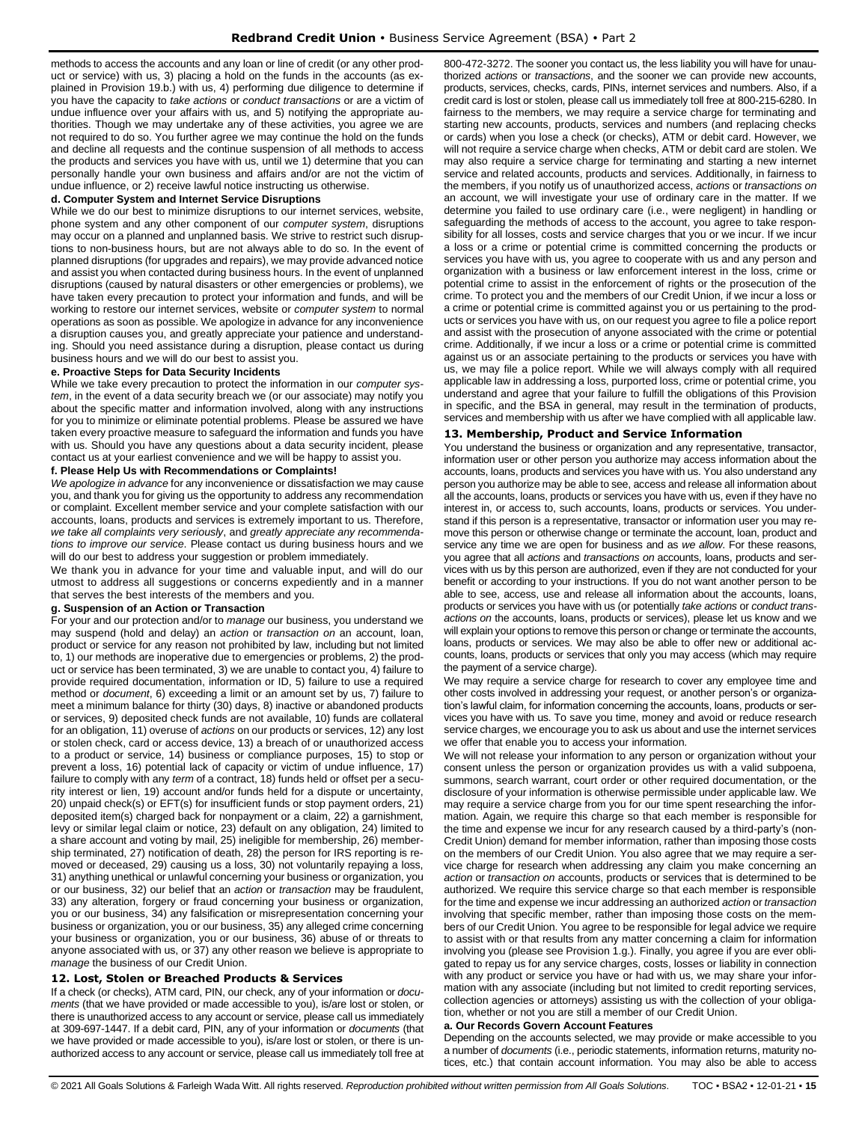methods to access the accounts and any loan or line of credit (or any other product or service) with us, 3) placing a hold on the funds in the accounts (as explained in Provision 19.b.) with us, 4) performing due diligence to determine if you have the capacity to *take actions* or *conduct transactions* or are a victim of undue influence over your affairs with us, and 5) notifying the appropriate authorities. Though we may undertake any of these activities, you agree we are not required to do so. You further agree we may continue the hold on the funds and decline all requests and the continue suspension of all methods to access the products and services you have with us, until we 1) determine that you can personally handle your own business and affairs and/or are not the victim of undue influence, or 2) receive lawful notice instructing us otherwise.

#### **d. Computer System and Internet Service Disruptions**

While we do our best to minimize disruptions to our internet services, website, phone system and any other component of our *computer system*, disruptions may occur on a planned and unplanned basis. We strive to restrict such disruptions to non-business hours, but are not always able to do so. In the event of planned disruptions (for upgrades and repairs), we may provide advanced notice and assist you when contacted during business hours. In the event of unplanned disruptions (caused by natural disasters or other emergencies or problems), we have taken every precaution to protect your information and funds, and will be working to restore our internet services, website or *computer system* to normal operations as soon as possible. We apologize in advance for any inconvenience a disruption causes you, and greatly appreciate your patience and understanding. Should you need assistance during a disruption, please contact us during business hours and we will do our best to assist you.

#### **e. Proactive Steps for Data Security Incidents**

While we take every precaution to protect the information in our *computer system*, in the event of a data security breach we (or our associate) may notify you about the specific matter and information involved, along with any instructions for you to minimize or eliminate potential problems. Please be assured we have taken every proactive measure to safeguard the information and funds you have with us. Should you have any questions about a data security incident, please contact us at your earliest convenience and we will be happy to assist you.

#### **f. Please Help Us with Recommendations or Complaints!**

*We apologize in advance* for any inconvenience or dissatisfaction we may cause you, and thank you for giving us the opportunity to address any recommendation or complaint. Excellent member service and your complete satisfaction with our accounts, loans, products and services is extremely important to us. Therefore, *we take all complaints very seriously*, and *greatly appreciate any recommendations to improve our service*. Please contact us during business hours and we will do our best to address your suggestion or problem immediately.

We thank you in advance for your time and valuable input, and will do our utmost to address all suggestions or concerns expediently and in a manner that serves the best interests of the members and you.

#### **g. Suspension of an Action or Transaction**

For your and our protection and/or to *manage* our business, you understand we may suspend (hold and delay) an *action* or *transaction on* an account, loan, product or service for any reason not prohibited by law, including but not limited to, 1) our methods are inoperative due to emergencies or problems, 2) the product or service has been terminated, 3) we are unable to contact you, 4) failure to provide required documentation, information or ID, 5) failure to use a required method or *document*, 6) exceeding a limit or an amount set by us, 7) failure to meet a minimum balance for thirty (30) days, 8) inactive or abandoned products or services, 9) deposited check funds are not available, 10) funds are collateral for an obligation, 11) overuse of *actions* on our products or services, 12) any lost or stolen check, card or access device, 13) a breach of or unauthorized access to a product or service, 14) business or compliance purposes, 15) to stop or prevent a loss, 16) potential lack of capacity or victim of undue influence, 17) failure to comply with any *term* of a contract, 18) funds held or offset per a security interest or lien, 19) account and/or funds held for a dispute or uncertainty, 20) unpaid check(s) or EFT(s) for insufficient funds or stop payment orders, 21) deposited item(s) charged back for nonpayment or a claim, 22) a garnishment, levy or similar legal claim or notice, 23) default on any obligation, 24) limited to a share account and voting by mail, 25) ineligible for membership, 26) membership terminated, 27) notification of death, 28) the person for IRS reporting is removed or deceased, 29) causing us a loss, 30) not voluntarily repaying a loss, 31) anything unethical or unlawful concerning your business or organization, you or our business, 32) our belief that an *action* or *transaction* may be fraudulent, 33) any alteration, forgery or fraud concerning your business or organization, you or our business, 34) any falsification or misrepresentation concerning your business or organization, you or our business, 35) any alleged crime concerning your business or organization, you or our business, 36) abuse of or threats to anyone associated with us, or 37) any other reason we believe is appropriate to *manage* the business of our Credit Union.

# <span id="page-14-0"></span>**12. Lost, Stolen or Breached Products & Services**

If a check (or checks), ATM card, PIN, our check, any of your information or *documents* (that we have provided or made accessible to you), is/are lost or stolen, or there is unauthorized access to any account or service, please call us immediately at 309-697-1447. If a debit card, PIN, any of your information or *documents* (that we have provided or made accessible to you), is/are lost or stolen, or there is unauthorized access to any account or service, please call us immediately toll free at 800-472-3272. The sooner you contact us, the less liability you will have for unauthorized *actions* or *transactions*, and the sooner we can provide new accounts, products, services, checks, cards, PINs, internet services and numbers. Also, if a credit card is lost or stolen, please call us immediately toll free at 800-215-6280. In fairness to the members, we may require a service charge for terminating and starting new accounts, products, services and numbers (and replacing checks or cards) when you lose a check (or checks), ATM or debit card. However, we will not require a service charge when checks, ATM or debit card are stolen. We may also require a service charge for terminating and starting a new internet service and related accounts, products and services. Additionally, in fairness to the members, if you notify us of unauthorized access, *actions* or *transactions on* an account, we will investigate your use of ordinary care in the matter. If we determine you failed to use ordinary care (i.e., were negligent) in handling or safeguarding the methods of access to the account, you agree to take responsibility for all losses, costs and service charges that you or we incur. If we incur a loss or a crime or potential crime is committed concerning the products or services you have with us, you agree to cooperate with us and any person and organization with a business or law enforcement interest in the loss, crime or potential crime to assist in the enforcement of rights or the prosecution of the crime. To protect you and the members of our Credit Union, if we incur a loss or a crime or potential crime is committed against you or us pertaining to the products or services you have with us, on our request you agree to file a police report and assist with the prosecution of anyone associated with the crime or potential crime. Additionally, if we incur a loss or a crime or potential crime is committed against us or an associate pertaining to the products or services you have with us, we may file a police report. While we will always comply with all required applicable law in addressing a loss, purported loss, crime or potential crime, you understand and agree that your failure to fulfill the obligations of this Provision in specific, and the BSA in general, may result in the termination of products, services and membership with us after we have complied with all applicable law.

#### <span id="page-14-1"></span>**13. Membership, Product and Service Information**

You understand the business or organization and any representative, transactor, information user or other person you authorize may access information about the accounts, loans, products and services you have with us. You also understand any person you authorize may be able to see, access and release all information about all the accounts, loans, products or services you have with us, even if they have no interest in, or access to, such accounts, loans, products or services. You understand if this person is a representative, transactor or information user you may remove this person or otherwise change or terminate the account, loan, product and service any time we are open for business and as *we allow*. For these reasons, you agree that all *actions* and *transactions on* accounts, loans, products and services with us by this person are authorized, even if they are not conducted for your benefit or according to your instructions. If you do not want another person to be able to see, access, use and release all information about the accounts, loans, products or services you have with us (or potentially *take actions* or *conduct transactions on* the accounts, loans, products or services), please let us know and we will explain your options to remove this person or change or terminate the accounts, loans, products or services. We may also be able to offer new or additional accounts, loans, products or services that only you may access (which may require the payment of a service charge).

We may require a service charge for research to cover any employee time and other costs involved in addressing your request, or another person's or organization's lawful claim, for information concerning the accounts, loans, products or services you have with us. To save you time, money and avoid or reduce research service charges, we encourage you to ask us about and use the internet services we offer that enable you to access your information.

We will not release your information to any person or organization without your consent unless the person or organization provides us with a valid subpoena, summons, search warrant, court order or other required documentation, or the disclosure of your information is otherwise permissible under applicable law. We may require a service charge from you for our time spent researching the information. Again, we require this charge so that each member is responsible for the time and expense we incur for any research caused by a third-party's (non-Credit Union) demand for member information, rather than imposing those costs on the members of our Credit Union. You also agree that we may require a service charge for research when addressing any claim you make concerning an *action* or *transaction on* accounts, products or services that is determined to be authorized. We require this service charge so that each member is responsible for the time and expense we incur addressing an authorized *action* or *transaction* involving that specific member, rather than imposing those costs on the members of our Credit Union. You agree to be responsible for legal advice we require to assist with or that results from any matter concerning a claim for information involving you (please see Provision 1.g.). Finally, you agree if you are ever obligated to repay us for any service charges, costs, losses or liability in connection with any product or service you have or had with us, we may share your information with any associate (including but not limited to credit reporting services, collection agencies or attorneys) assisting us with the collection of your obligation, whether or not you are still a member of our Credit Union.

#### **a. Our Records Govern Account Features**

Depending on the accounts selected, we may provide or make accessible to you a number of *documents* (i.e., periodic statements, information returns, maturity notices, etc.) that contain account information. You may also be able to access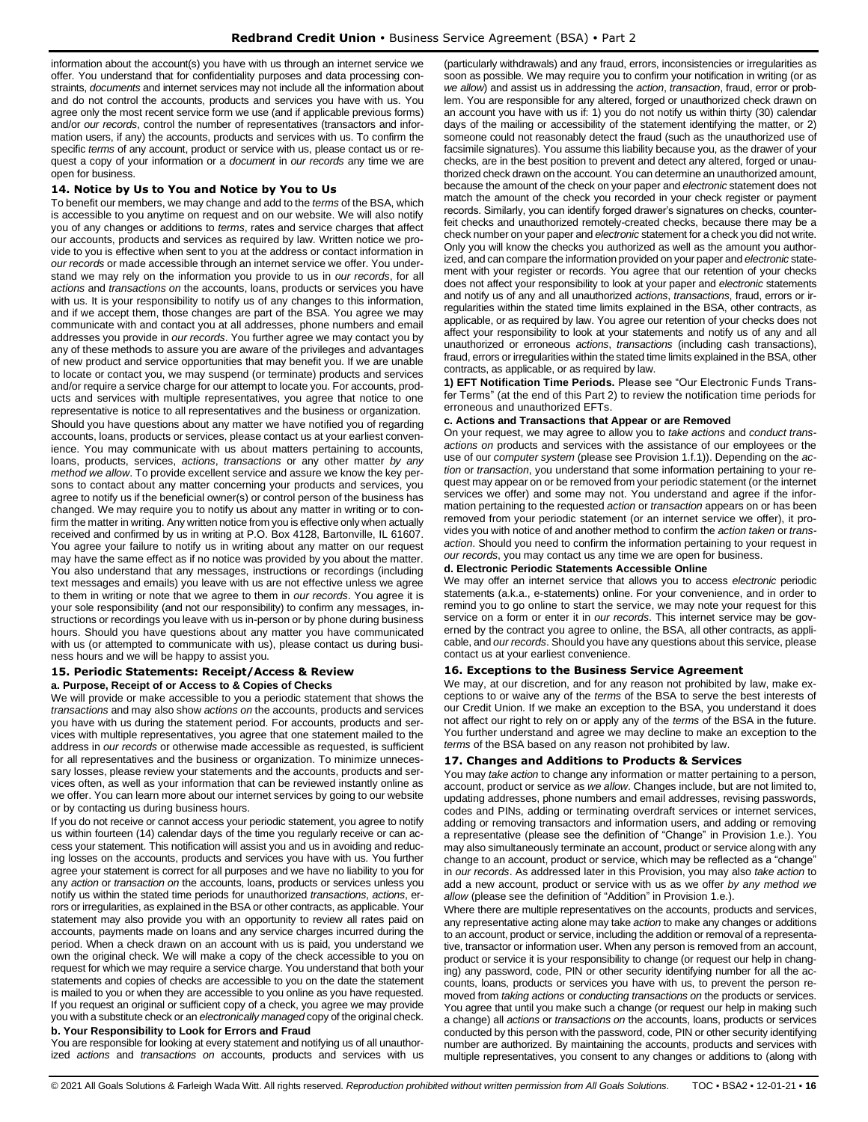information about the account(s) you have with us through an internet service we offer. You understand that for confidentiality purposes and data processing constraints, *documents* and internet services may not include all the information about and do not control the accounts, products and services you have with us. You agree only the most recent service form we use (and if applicable previous forms) and/or *our records*, control the number of representatives (transactors and information users, if any) the accounts, products and services with us. To confirm the specific *terms* of any account, product or service with us, please contact us or request a copy of your information or a *document* in *our records* any time we are open for business.

# <span id="page-15-0"></span>**14. Notice by Us to You and Notice by You to Us**

To benefit our members, we may change and add to the *terms* of the BSA, which is accessible to you anytime on request and on our website. We will also notify you of any changes or additions to *terms*, rates and service charges that affect our accounts, products and services as required by law. Written notice we provide to you is effective when sent to you at the address or contact information in *our records* or made accessible through an internet service we offer. You understand we may rely on the information you provide to us in *our records*, for all *actions* and *transactions on* the accounts, loans, products or services you have with us. It is your responsibility to notify us of any changes to this information, and if we accept them, those changes are part of the BSA. You agree we may communicate with and contact you at all addresses, phone numbers and email addresses you provide in *our records*. You further agree we may contact you by any of these methods to assure you are aware of the privileges and advantages of new product and service opportunities that may benefit you. If we are unable to locate or contact you, we may suspend (or terminate) products and services and/or require a service charge for our attempt to locate you. For accounts, products and services with multiple representatives, you agree that notice to one representative is notice to all representatives and the business or organization. Should you have questions about any matter we have notified you of regarding accounts, loans, products or services, please contact us at your earliest convenience. You may communicate with us about matters pertaining to accounts, loans, products, services, *actions*, *transactions* or any other matter *by any method we allow*. To provide excellent service and assure we know the key persons to contact about any matter concerning your products and services, you agree to notify us if the beneficial owner(s) or control person of the business has changed. We may require you to notify us about any matter in writing or to confirm the matter in writing. Any written notice from you is effective only when actually received and confirmed by us in writing at P.O. Box 4128, Bartonville, IL 61607. You agree your failure to notify us in writing about any matter on our request may have the same effect as if no notice was provided by you about the matter. You also understand that any messages, instructions or recordings (including text messages and emails) you leave with us are not effective unless we agree to them in writing or note that we agree to them in *our records*. You agree it is your sole responsibility (and not our responsibility) to confirm any messages, instructions or recordings you leave with us in-person or by phone during business hours. Should you have questions about any matter you have communicated with us (or attempted to communicate with us), please contact us during business hours and we will be happy to assist you.

#### <span id="page-15-1"></span>**15. Periodic Statements: Receipt/Access & Review a. Purpose, Receipt of or Access to & Copies of Checks**

We will provide or make accessible to you a periodic statement that shows the *transactions* and may also show *actions on* the accounts, products and services you have with us during the statement period. For accounts, products and services with multiple representatives, you agree that one statement mailed to the address in *our records* or otherwise made accessible as requested, is sufficient for all representatives and the business or organization. To minimize unnecessary losses, please review your statements and the accounts, products and services often, as well as your information that can be reviewed instantly online as we offer. You can learn more about our internet services by going to our website or by contacting us during business hours.

If you do not receive or cannot access your periodic statement, you agree to notify us within fourteen (14) calendar days of the time you regularly receive or can access your statement. This notification will assist you and us in avoiding and reducing losses on the accounts, products and services you have with us. You further agree your statement is correct for all purposes and we have no liability to you for any *action* or *transaction on* the accounts, loans, products or services unless you notify us within the stated time periods for unauthorized *transactions*, *actions*, errors or irregularities, as explained in the BSA or other contracts, as applicable. Your statement may also provide you with an opportunity to review all rates paid on accounts, payments made on loans and any service charges incurred during the period. When a check drawn on an account with us is paid, you understand we own the original check. We will make a copy of the check accessible to you on request for which we may require a service charge. You understand that both your statements and copies of checks are accessible to you on the date the statement is mailed to you or when they are accessible to you online as you have requested. If you request an original or sufficient copy of a check, you agree we may provide you with a substitute check or an *electronically managed* copy of the original check. **b. Your Responsibility to Look for Errors and Fraud**

You are responsible for looking at every statement and notifying us of all unauthorized *actions* and *transactions on* accounts, products and services with us (particularly withdrawals) and any fraud, errors, inconsistencies or irregularities as soon as possible. We may require you to confirm your notification in writing (or as *we allow*) and assist us in addressing the *action*, *transaction*, fraud, error or problem. You are responsible for any altered, forged or unauthorized check drawn on an account you have with us if: 1) you do not notify us within thirty (30) calendar days of the mailing or accessibility of the statement identifying the matter, or 2) someone could not reasonably detect the fraud (such as the unauthorized use of facsimile signatures). You assume this liability because you, as the drawer of your checks, are in the best position to prevent and detect any altered, forged or unauthorized check drawn on the account. You can determine an unauthorized amount, because the amount of the check on your paper and *electronic* statement does not match the amount of the check you recorded in your check register or payment records. Similarly, you can identify forged drawer's signatures on checks, counterfeit checks and unauthorized remotely-created checks, because there may be a check number on your paper and *electronic* statement for a check you did not write. Only you will know the checks you authorized as well as the amount you authorized, and can compare the information provided on your paper and *electronic* statement with your register or records. You agree that our retention of your checks does not affect your responsibility to look at your paper and *electronic* statements and notify us of any and all unauthorized *actions*, *transactions*, fraud, errors or irregularities within the stated time limits explained in the BSA, other contracts, as applicable, or as required by law. You agree our retention of your checks does not affect your responsibility to look at your statements and notify us of any and all unauthorized or erroneous *actions*, *transactions* (including cash transactions), fraud, errors or irregularities within the stated time limits explained in the BSA, other contracts, as applicable, or as required by law.

**1) EFT Notification Time Periods.** Please see "Our Electronic Funds Transfer Terms" (at the end of this Part 2) to review the notification time periods for erroneous and unauthorized EFTs.

# **c. Actions and Transactions that Appear or are Removed**

On your request, we may agree to allow you to *take actions* and *conduct transactions on* products and services with the assistance of our employees or the use of our *computer system* (please see Provision 1.f.1)). Depending on the *action* or *transaction*, you understand that some information pertaining to your request may appear on or be removed from your periodic statement (or the internet services we offer) and some may not. You understand and agree if the information pertaining to the requested *action* or *transaction* appears on or has been removed from your periodic statement (or an internet service we offer), it provides you with notice of and another method to confirm the *action taken* or *transaction*. Should you need to confirm the information pertaining to your request in *our records*, you may contact us any time we are open for business.

## **d. Electronic Periodic Statements Accessible Online**

We may offer an internet service that allows you to access *electronic* periodic statements (a.k.a., e-statements) online. For your convenience, and in order to remind you to go online to start the service, we may note your request for this service on a form or enter it in *our records*. This internet service may be governed by the contract you agree to online, the BSA, all other contracts, as applicable, and *our records*. Should you have any questions about this service, please contact us at your earliest convenience.

# <span id="page-15-2"></span>**16. Exceptions to the Business Service Agreement**

We may, at our discretion, and for any reason not prohibited by law, make exceptions to or waive any of the *terms* of the BSA to serve the best interests of our Credit Union. If we make an exception to the BSA, you understand it does not affect our right to rely on or apply any of the *terms* of the BSA in the future. You further understand and agree we may decline to make an exception to the *terms* of the BSA based on any reason not prohibited by law.

# <span id="page-15-3"></span>**17. Changes and Additions to Products & Services**

You may *take action* to change any information or matter pertaining to a person, account, product or service as *we allow*. Changes include, but are not limited to, updating addresses, phone numbers and email addresses, revising passwords, codes and PINs, adding or terminating overdraft services or internet services, adding or removing transactors and information users, and adding or removing a representative (please see the definition of "Change" in Provision 1.e.). You may also simultaneously terminate an account, product or service along with any change to an account, product or service, which may be reflected as a "change" in *our records*. As addressed later in this Provision, you may also *take action* to add a new account, product or service with us as we offer *by any method we allow* (please see the definition of "Addition" in Provision 1.e.).

Where there are multiple representatives on the accounts, products and services, any representative acting alone may take *action* to make any changes or additions to an account, product or service, including the addition or removal of a representative, transactor or information user. When any person is removed from an account, product or service it is your responsibility to change (or request our help in changing) any password, code, PIN or other security identifying number for all the accounts, loans, products or services you have with us, to prevent the person removed from *taking actions* or *conducting transactions on* the products or services. You agree that until you make such a change (or request our help in making such a change) all *actions* or *transactions on* the accounts, loans, products or services conducted by this person with the password, code, PIN or other security identifying number are authorized. By maintaining the accounts, products and services with multiple representatives, you consent to any changes or additions to (along with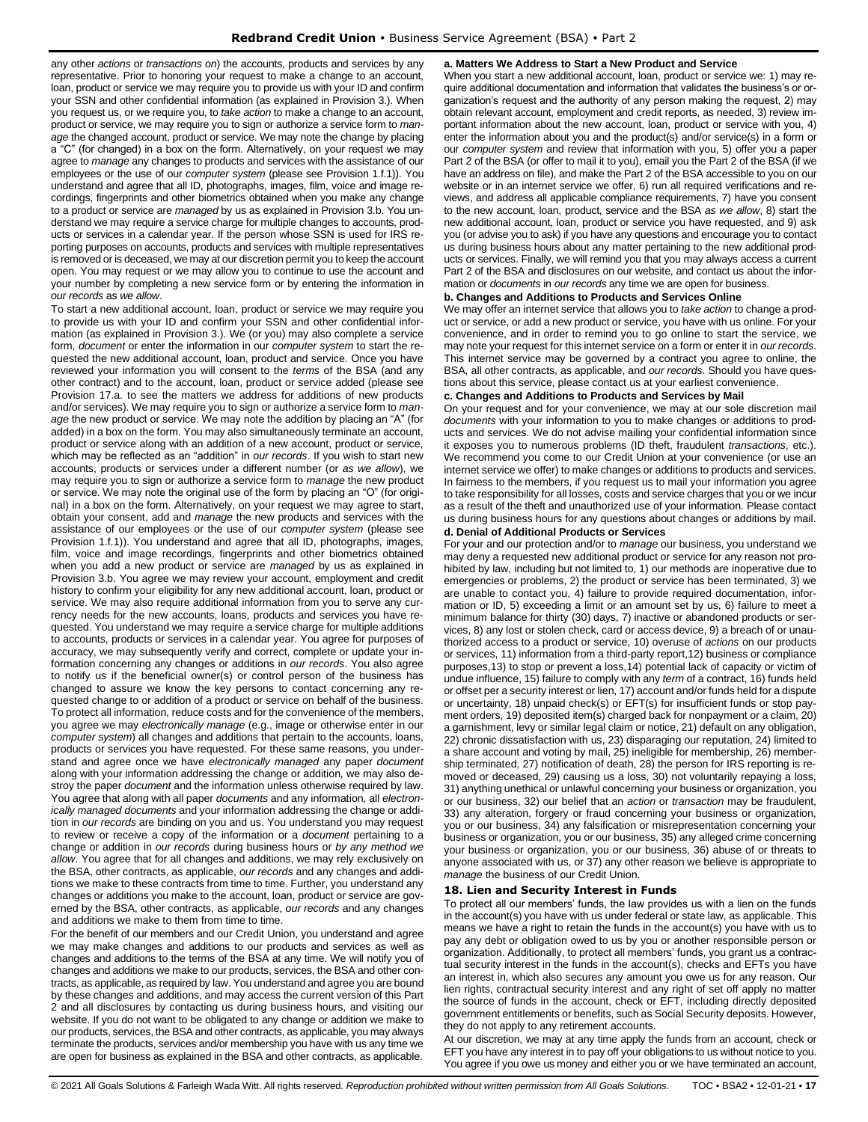any other *actions* or *transactions on*) the accounts, products and services by any representative. Prior to honoring your request to make a change to an account, loan, product or service we may require you to provide us with your ID and confirm your SSN and other confidential information (as explained in Provision 3.). When you request us, or we require you, to *take action* to make a change to an account, product or service, we may require you to sign or authorize a service form to *manage* the changed account, product or service. We may note the change by placing a "C" (for changed) in a box on the form. Alternatively, on your request we may agree to *manage* any changes to products and services with the assistance of our employees or the use of our *computer system* (please see Provision 1.f.1)). You understand and agree that all ID, photographs, images, film, voice and image recordings, fingerprints and other biometrics obtained when you make any change to a product or service are *managed* by us as explained in Provision 3.b. You understand we may require a service charge for multiple changes to accounts, products or services in a calendar year. If the person whose SSN is used for IRS reporting purposes on accounts, products and services with multiple representatives is removed or is deceased, we may at our discretion permit you to keep the account open. You may request or we may allow you to continue to use the account and your number by completing a new service form or by entering the information in *our records* as *we allow*.

To start a new additional account, loan, product or service we may require you to provide us with your ID and confirm your SSN and other confidential information (as explained in Provision 3.). We (or you) may also complete a service form, *document* or enter the information in our *computer system* to start the requested the new additional account, loan, product and service. Once you have reviewed your information you will consent to the *terms* of the BSA (and any other contract) and to the account, loan, product or service added (please see Provision 17.a. to see the matters we address for additions of new products and/or services). We may require you to sign or authorize a service form to *manage* the new product or service. We may note the addition by placing an "A" (for added) in a box on the form. You may also simultaneously terminate an account, product or service along with an addition of a new account, product or service, which may be reflected as an "addition" in *our records*. If you wish to start new accounts, products or services under a different number (or *as we allow*), we may require you to sign or authorize a service form to *manage* the new product or service. We may note the original use of the form by placing an "O" (for original) in a box on the form. Alternatively, on your request we may agree to start, obtain your consent, add and *manage* the new products and services with the assistance of our employees or the use of our *computer system* (please see Provision 1.f.1)). You understand and agree that all ID, photographs, images, film, voice and image recordings, fingerprints and other biometrics obtained when you add a new product or service are *managed* by us as explained in Provision 3.b. You agree we may review your account, employment and credit history to confirm your eligibility for any new additional account, loan, product or service. We may also require additional information from you to serve any currency needs for the new accounts, loans, products and services you have requested. You understand we may require a service charge for multiple additions to accounts, products or services in a calendar year. You agree for purposes of accuracy, we may subsequently verify and correct, complete or update your information concerning any changes or additions in *our records*. You also agree to notify us if the beneficial owner(s) or control person of the business has changed to assure we know the key persons to contact concerning any requested change to or addition of a product or service on behalf of the business. To protect all information, reduce costs and for the convenience of the members, you agree we may *electronically manage* (e.g., image or otherwise enter in our *computer system*) all changes and additions that pertain to the accounts, loans, products or services you have requested. For these same reasons, you understand and agree once we have *electronically managed* any paper *document*  along with your information addressing the change or addition*,* we may also destroy the paper *document* and the information unless otherwise required by law. You agree that along with all paper *documents* and any information*,* all *electronically managed documents* and your information addressing the change or addition in *our records* are binding on you and us. You understand you may request to review or receive a copy of the information or a *document* pertaining to a change or addition in *our records* during business hours or *by any method we allow*. You agree that for all changes and additions, we may rely exclusively on the BSA, other contracts, as applicable, *our records* and any changes and additions we make to these contracts from time to time. Further, you understand any changes or additions you make to the account, loan, product or service are governed by the BSA, other contracts, as applicable, *our records* and any changes and additions we make to them from time to time.

For the benefit of our members and our Credit Union, you understand and agree we may make changes and additions to our products and services as well as changes and additions to the terms of the BSA at any time. We will notify you of changes and additions we make to our products, services, the BSA and other contracts, as applicable, as required by law. You understand and agree you are bound by these changes and additions, and may access the current version of this Part 2 and all disclosures by contacting us during business hours, and visiting our website. If you do not want to be obligated to any change or addition we make to our products, services, the BSA and other contracts, as applicable, you may always terminate the products, services and/or membership you have with us any time we are open for business as explained in the BSA and other contracts, as applicable.

#### **a. Matters We Address to Start a New Product and Service**

When you start a new additional account, loan, product or service we: 1) may require additional documentation and information that validates the business's or organization's request and the authority of any person making the request, 2) may obtain relevant account, employment and credit reports, as needed, 3) review important information about the new account, loan, product or service with you, 4) enter the information about you and the product(s) and/or service(s) in a form or our *computer system* and review that information with you, 5) offer you a paper Part 2 of the BSA (or offer to mail it to you), email you the Part 2 of the BSA (if we have an address on file), and make the Part 2 of the BSA accessible to you on our website or in an internet service we offer, 6) run all required verifications and reviews, and address all applicable compliance requirements, 7) have you consent to the new account, loan, product, service and the BSA *as we allow*, 8) start the new additional account, loan, product or service you have requested, and 9) ask you (or advise you to ask) if you have any questions and encourage you to contact us during business hours about any matter pertaining to the new additional products or services. Finally, we will remind you that you may always access a current Part 2 of the BSA and disclosures on our website, and contact us about the information or *documents* in *our records* any time we are open for business.

## **b. Changes and Additions to Products and Services Online**

We may offer an internet service that allows you to *take action* to change a product or service, or add a new product or service, you have with us online. For your convenience, and in order to remind you to go online to start the service, we may note your request for this internet service on a form or enter it in *our records*. This internet service may be governed by a contract you agree to online, the BSA, all other contracts, as applicable, and *our records*. Should you have questions about this service, please contact us at your earliest convenience.

# **c. Changes and Additions to Products and Services by Mail**

On your request and for your convenience, we may at our sole discretion mail *documents* with your information to you to make changes or additions to products and services. We do not advise mailing your confidential information since it exposes you to numerous problems (ID theft, fraudulent *transactions*, etc.). We recommend you come to our Credit Union at your convenience (or use an internet service we offer) to make changes or additions to products and services. In fairness to the members, if you request us to mail your information you agree to take responsibility for all losses, costs and service charges that you or we incur as a result of the theft and unauthorized use of your information. Please contact us during business hours for any questions about changes or additions by mail. **d. Denial of Additional Products or Services**

For your and our protection and/or to *manage* our business, you understand we may deny a requested new additional product or service for any reason not prohibited by law, including but not limited to, 1) our methods are inoperative due to emergencies or problems, 2) the product or service has been terminated, 3) we are unable to contact you, 4) failure to provide required documentation, information or ID, 5) exceeding a limit or an amount set by us, 6) failure to meet a minimum balance for thirty (30) days, 7) inactive or abandoned products or services, 8) any lost or stolen check, card or access device, 9) a breach of or unauthorized access to a product or service, 10) overuse of *actions* on our products or services, 11) information from a third-party report,12) business or compliance purposes,13) to stop or prevent a loss,14) potential lack of capacity or victim of undue influence, 15) failure to comply with any *term* of a contract, 16) funds held or offset per a security interest or lien, 17) account and/or funds held for a dispute or uncertainty, 18) unpaid check(s) or EFT(s) for insufficient funds or stop payment orders, 19) deposited item(s) charged back for nonpayment or a claim, 20) a garnishment, levy or similar legal claim or notice, 21) default on any obligation, 22) chronic dissatisfaction with us, 23) disparaging our reputation, 24) limited to a share account and voting by mail, 25) ineligible for membership, 26) membership terminated, 27) notification of death, 28) the person for IRS reporting is removed or deceased, 29) causing us a loss, 30) not voluntarily repaying a loss, 31) anything unethical or unlawful concerning your business or organization, you or our business, 32) our belief that an *action* or *transaction* may be fraudulent, 33) any alteration, forgery or fraud concerning your business or organization, you or our business, 34) any falsification or misrepresentation concerning your business or organization, you or our business, 35) any alleged crime concerning your business or organization, you or our business, 36) abuse of or threats to anyone associated with us, or 37) any other reason we believe is appropriate to *manage* the business of our Credit Union.

#### <span id="page-16-0"></span>**18. Lien and Security Interest in Funds**

To protect all our members' funds, the law provides us with a lien on the funds in the account(s) you have with us under federal or state law, as applicable. This means we have a right to retain the funds in the account(s) you have with us to pay any debt or obligation owed to us by you or another responsible person or organization. Additionally, to protect all members' funds, you grant us a contractual security interest in the funds in the account(s), checks and EFTs you have an interest in, which also secures any amount you owe us for any reason. Our lien rights, contractual security interest and any right of set off apply no matter the source of funds in the account, check or EFT, including directly deposited government entitlements or benefits, such as Social Security deposits. However, they do not apply to any retirement accounts.

At our discretion, we may at any time apply the funds from an account, check or EFT you have any interest in to pay off your obligations to us without notice to you. You agree if you owe us money and either you or we have terminated an account,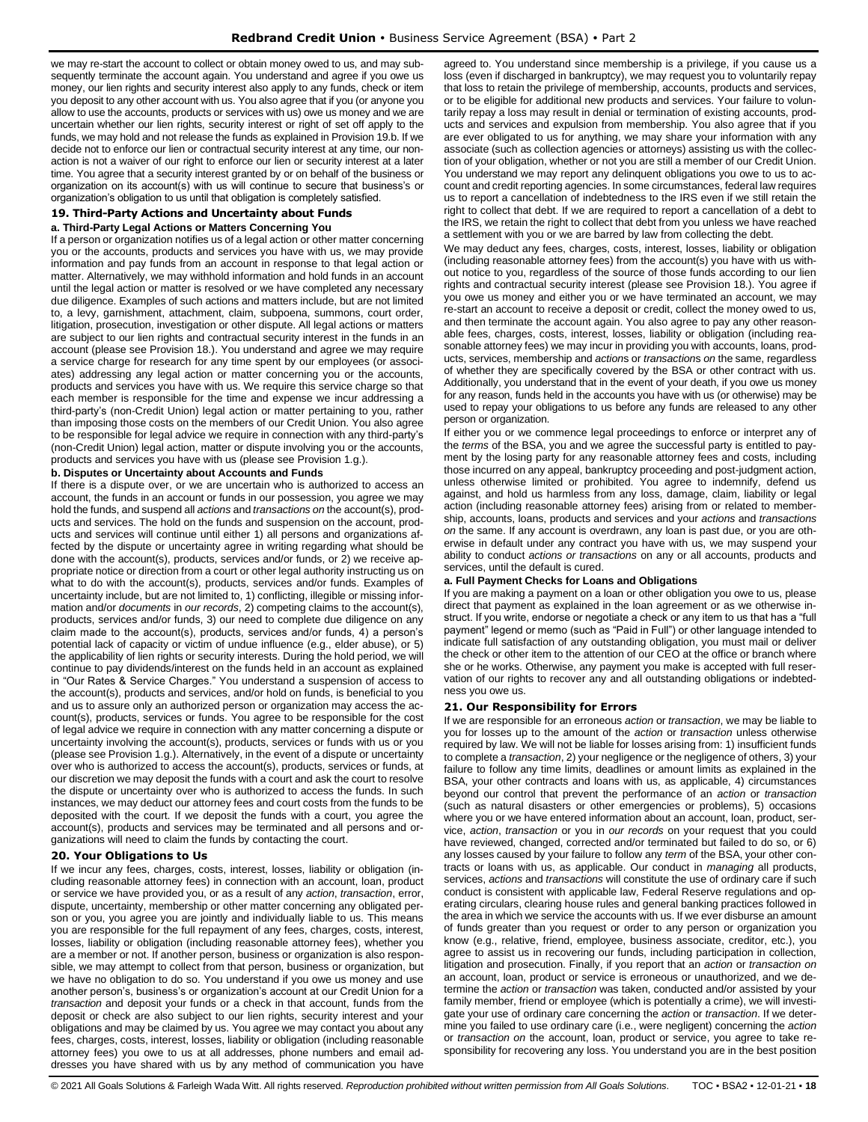we may re-start the account to collect or obtain money owed to us, and may subsequently terminate the account again. You understand and agree if you owe us money, our lien rights and security interest also apply to any funds, check or item you deposit to any other account with us. You also agree that if you (or anyone you allow to use the accounts, products or services with us) owe us money and we are uncertain whether our lien rights, security interest or right of set off apply to the funds, we may hold and not release the funds as explained in Provision 19.b. If we decide not to enforce our lien or contractual security interest at any time, our nonaction is not a waiver of our right to enforce our lien or security interest at a later time. You agree that a security interest granted by or on behalf of the business or organization on its account(s) with us will continue to secure that business's or organization's obligation to us until that obligation is completely satisfied.

# <span id="page-17-0"></span>**19. Third-Party Actions and Uncertainty about Funds**

## **a. Third-Party Legal Actions or Matters Concerning You**

If a person or organization notifies us of a legal action or other matter concerning you or the accounts, products and services you have with us, we may provide information and pay funds from an account in response to that legal action or matter. Alternatively, we may withhold information and hold funds in an account until the legal action or matter is resolved or we have completed any necessary due diligence. Examples of such actions and matters include, but are not limited to, a levy, garnishment, attachment, claim, subpoena, summons, court order, litigation, prosecution, investigation or other dispute. All legal actions or matters are subject to our lien rights and contractual security interest in the funds in an account (please see Provision 18.). You understand and agree we may require a service charge for research for any time spent by our employees (or associates) addressing any legal action or matter concerning you or the accounts, products and services you have with us. We require this service charge so that each member is responsible for the time and expense we incur addressing a third-party's (non-Credit Union) legal action or matter pertaining to you, rather than imposing those costs on the members of our Credit Union. You also agree to be responsible for legal advice we require in connection with any third-party's (non-Credit Union) legal action, matter or dispute involving you or the accounts, products and services you have with us (please see Provision 1.g.).

#### **b. Disputes or Uncertainty about Accounts and Funds**

If there is a dispute over, or we are uncertain who is authorized to access an account, the funds in an account or funds in our possession, you agree we may hold the funds, and suspend all *actions* and *transactions on* the account(s), products and services. The hold on the funds and suspension on the account, products and services will continue until either 1) all persons and organizations affected by the dispute or uncertainty agree in writing regarding what should be done with the account(s), products, services and/or funds, or 2) we receive appropriate notice or direction from a court or other legal authority instructing us on what to do with the account(s), products, services and/or funds. Examples of uncertainty include, but are not limited to, 1) conflicting, illegible or missing information and/or *documents* in *our records*, 2) competing claims to the account(s), products, services and/or funds, 3) our need to complete due diligence on any claim made to the account(s), products, services and/or funds, 4) a person's potential lack of capacity or victim of undue influence (e.g., elder abuse), or 5) the applicability of lien rights or security interests. During the hold period, we will continue to pay dividends/interest on the funds held in an account as explained in "Our Rates & Service Charges." You understand a suspension of access to the account(s), products and services, and/or hold on funds, is beneficial to you and us to assure only an authorized person or organization may access the account(s), products, services or funds. You agree to be responsible for the cost of legal advice we require in connection with any matter concerning a dispute or uncertainty involving the account(s), products, services or funds with us or you (please see Provision 1.g.). Alternatively, in the event of a dispute or uncertainty over who is authorized to access the account(s), products, services or funds, at our discretion we may deposit the funds with a court and ask the court to resolve the dispute or uncertainty over who is authorized to access the funds. In such instances, we may deduct our attorney fees and court costs from the funds to be deposited with the court. If we deposit the funds with a court, you agree the account(s), products and services may be terminated and all persons and organizations will need to claim the funds by contacting the court.

# <span id="page-17-1"></span>**20. Your Obligations to Us**

If we incur any fees, charges, costs, interest, losses, liability or obligation (including reasonable attorney fees) in connection with an account, loan, product or service we have provided you, or as a result of any *action*, *transaction*, error, dispute, uncertainty, membership or other matter concerning any obligated person or you, you agree you are jointly and individually liable to us. This means you are responsible for the full repayment of any fees, charges, costs, interest, losses, liability or obligation (including reasonable attorney fees), whether you are a member or not. If another person, business or organization is also responsible, we may attempt to collect from that person, business or organization, but we have no obligation to do so. You understand if you owe us money and use another person's, business's or organization's account at our Credit Union for a *transaction* and deposit your funds or a check in that account, funds from the deposit or check are also subject to our lien rights, security interest and your obligations and may be claimed by us. You agree we may contact you about any fees, charges, costs, interest, losses, liability or obligation (including reasonable attorney fees) you owe to us at all addresses, phone numbers and email addresses you have shared with us by any method of communication you have

agreed to. You understand since membership is a privilege, if you cause us a loss (even if discharged in bankruptcy), we may request you to voluntarily repay that loss to retain the privilege of membership, accounts, products and services, or to be eligible for additional new products and services. Your failure to voluntarily repay a loss may result in denial or termination of existing accounts, products and services and expulsion from membership. You also agree that if you are ever obligated to us for anything, we may share your information with any associate (such as collection agencies or attorneys) assisting us with the collection of your obligation, whether or not you are still a member of our Credit Union. You understand we may report any delinquent obligations you owe to us to account and credit reporting agencies. In some circumstances, federal law requires us to report a cancellation of indebtedness to the IRS even if we still retain the right to collect that debt. If we are required to report a cancellation of a debt to the IRS, we retain the right to collect that debt from you unless we have reached a settlement with you or we are barred by law from collecting the debt.

We may deduct any fees, charges, costs, interest, losses, liability or obligation (including reasonable attorney fees) from the account(s) you have with us without notice to you, regardless of the source of those funds according to our lien rights and contractual security interest (please see Provision 18.). You agree if you owe us money and either you or we have terminated an account, we may re-start an account to receive a deposit or credit, collect the money owed to us, and then terminate the account again. You also agree to pay any other reasonable fees, charges, costs, interest, losses, liability or obligation (including reasonable attorney fees) we may incur in providing you with accounts, loans, products, services, membership and *action*s or *transaction*s *on* the same, regardless of whether they are specifically covered by the BSA or other contract with us. Additionally, you understand that in the event of your death, if you owe us money for any reason, funds held in the accounts you have with us (or otherwise) may be used to repay your obligations to us before any funds are released to any other person or organization.

If either you or we commence legal proceedings to enforce or interpret any of the *terms* of the BSA, you and we agree the successful party is entitled to payment by the losing party for any reasonable attorney fees and costs, including those incurred on any appeal, bankruptcy proceeding and post-judgment action, unless otherwise limited or prohibited. You agree to indemnify, defend us against, and hold us harmless from any loss, damage, claim, liability or legal action (including reasonable attorney fees) arising from or related to membership, accounts, loans, products and services and your *actions* and *transactions on* the same. If any account is overdrawn, any loan is past due, or you are otherwise in default under any contract you have with us, we may suspend your ability to conduct *actions or transactions* on any or all accounts, products and services, until the default is cured.

#### **a. Full Payment Checks for Loans and Obligations**

If you are making a payment on a loan or other obligation you owe to us, please direct that payment as explained in the loan agreement or as we otherwise instruct. If you write, endorse or negotiate a check or any item to us that has a "full payment" legend or memo (such as "Paid in Full") or other language intended to indicate full satisfaction of any outstanding obligation, you must mail or deliver the check or other item to the attention of our CEO at the office or branch where she or he works. Otherwise, any payment you make is accepted with full reservation of our rights to recover any and all outstanding obligations or indebtedness you owe us.

# <span id="page-17-2"></span>**21. Our Responsibility for Errors**

If we are responsible for an erroneous *action* or *transaction*, we may be liable to you for losses up to the amount of the *action* or *transaction* unless otherwise required by law. We will not be liable for losses arising from: 1) insufficient funds to complete a *transaction*, 2) your negligence or the negligence of others, 3) your failure to follow any time limits, deadlines or amount limits as explained in the BSA, your other contracts and loans with us, as applicable, 4) circumstances beyond our control that prevent the performance of an *action* or *transaction*  (such as natural disasters or other emergencies or problems), 5) occasions where you or we have entered information about an account, loan, product, service, *action*, *transaction* or you in *our records* on your request that you could have reviewed, changed, corrected and/or terminated but failed to do so, or 6) any losses caused by your failure to follow any *term* of the BSA, your other contracts or loans with us, as applicable. Our conduct in *managing* all products, services, *actions* and *transactions* will constitute the use of ordinary care if such conduct is consistent with applicable law, Federal Reserve regulations and operating circulars, clearing house rules and general banking practices followed in the area in which we service the accounts with us. If we ever disburse an amount of funds greater than you request or order to any person or organization you know (e.g., relative, friend, employee, business associate, creditor, etc.), you agree to assist us in recovering our funds, including participation in collection, litigation and prosecution. Finally, if you report that an *action* or *transaction on*  an account, loan, product or service is erroneous or unauthorized, and we determine the *action* or *transaction* was taken, conducted and/or assisted by your family member, friend or employee (which is potentially a crime), we will investigate your use of ordinary care concerning the *action* or *transaction*. If we determine you failed to use ordinary care (i.e., were negligent) concerning the *action* or *transaction on* the account, loan, product or service, you agree to take responsibility for recovering any loss. You understand you are in the best position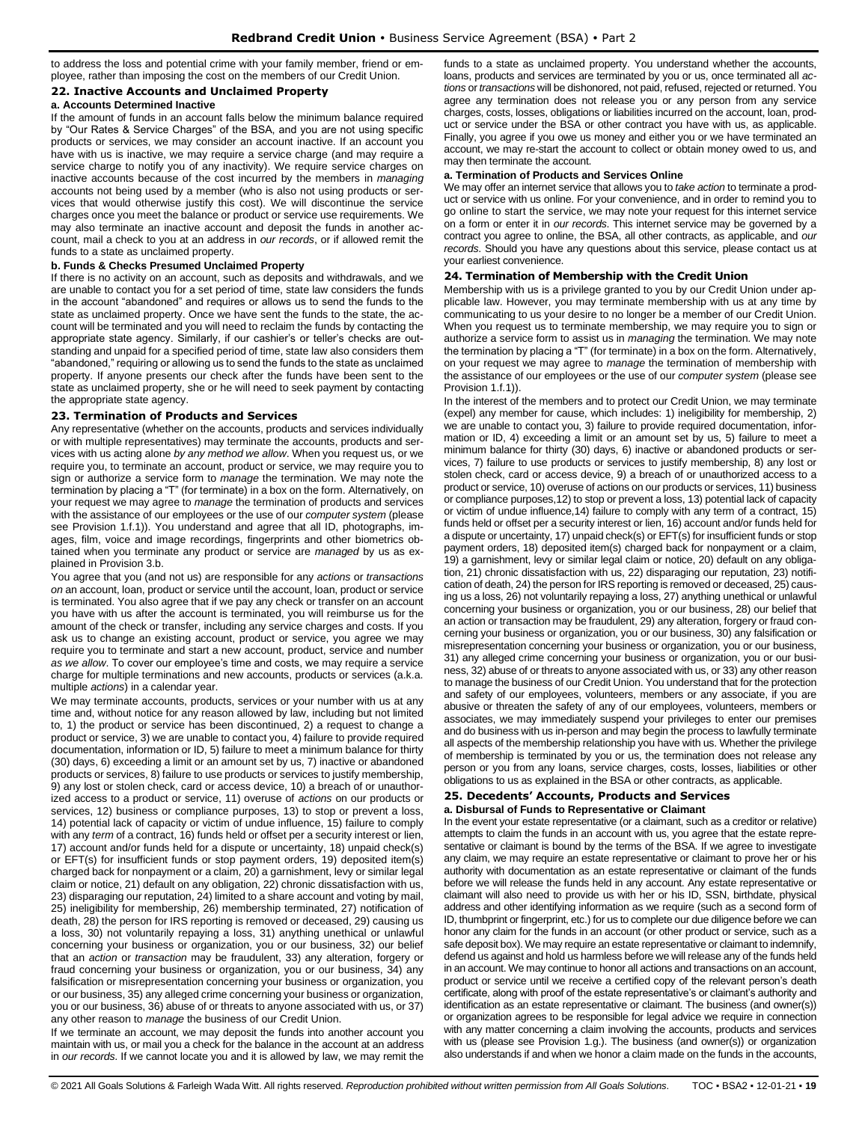to address the loss and potential crime with your family member, friend or employee, rather than imposing the cost on the members of our Credit Union.

# <span id="page-18-0"></span>**22. Inactive Accounts and Unclaimed Property**

# **a. Accounts Determined Inactive**

If the amount of funds in an account falls below the minimum balance required by "Our Rates & Service Charges" of the BSA, and you are not using specific products or services, we may consider an account inactive. If an account you have with us is inactive, we may require a service charge (and may require a service charge to notify you of any inactivity). We require service charges on inactive accounts because of the cost incurred by the members in *managing* accounts not being used by a member (who is also not using products or services that would otherwise justify this cost). We will discontinue the service charges once you meet the balance or product or service use requirements. We may also terminate an inactive account and deposit the funds in another account, mail a check to you at an address in *our records*, or if allowed remit the funds to a state as unclaimed property.

#### **b. Funds & Checks Presumed Unclaimed Property**

If there is no activity on an account, such as deposits and withdrawals, and we are unable to contact you for a set period of time, state law considers the funds in the account "abandoned" and requires or allows us to send the funds to the state as unclaimed property. Once we have sent the funds to the state, the account will be terminated and you will need to reclaim the funds by contacting the appropriate state agency. Similarly, if our cashier's or teller's checks are outstanding and unpaid for a specified period of time, state law also considers them "abandoned," requiring or allowing us to send the funds to the state as unclaimed property. If anyone presents our check after the funds have been sent to the state as unclaimed property, she or he will need to seek payment by contacting the appropriate state agency.

#### <span id="page-18-1"></span>**23. Termination of Products and Services**

Any representative (whether on the accounts, products and services individually or with multiple representatives) may terminate the accounts, products and services with us acting alone *by any method we allow*. When you request us, or we require you, to terminate an account, product or service, we may require you to sign or authorize a service form to *manage* the termination. We may note the termination by placing a "T" (for terminate) in a box on the form. Alternatively, on your request we may agree to *manage* the termination of products and services with the assistance of our employees or the use of our *computer system* (please see Provision 1.f.1)). You understand and agree that all ID, photographs, images, film, voice and image recordings, fingerprints and other biometrics obtained when you terminate any product or service are *managed* by us as explained in Provision 3.b.

You agree that you (and not us) are responsible for any *actions* or *transactions on* an account, loan, product or service until the account, loan, product or service is terminated. You also agree that if we pay any check or transfer on an account you have with us after the account is terminated, you will reimburse us for the amount of the check or transfer, including any service charges and costs. If you ask us to change an existing account, product or service, you agree we may require you to terminate and start a new account, product, service and number *as we allow*. To cover our employee's time and costs, we may require a service charge for multiple terminations and new accounts, products or services (a.k.a. multiple *actions*) in a calendar year.

We may terminate accounts, products, services or your number with us at any time and, without notice for any reason allowed by law, including but not limited to, 1) the product or service has been discontinued, 2) a request to change a product or service, 3) we are unable to contact you, 4) failure to provide required documentation, information or ID, 5) failure to meet a minimum balance for thirty (30) days, 6) exceeding a limit or an amount set by us, 7) inactive or abandoned products or services, 8) failure to use products or services to justify membership, 9) any lost or stolen check, card or access device, 10) a breach of or unauthorized access to a product or service, 11) overuse of *actions* on our products or services, 12) business or compliance purposes, 13) to stop or prevent a loss, 14) potential lack of capacity or victim of undue influence, 15) failure to comply with any *term* of a contract, 16) funds held or offset per a security interest or lien, 17) account and/or funds held for a dispute or uncertainty, 18) unpaid check(s) or EFT(s) for insufficient funds or stop payment orders, 19) deposited item(s) charged back for nonpayment or a claim, 20) a garnishment, levy or similar legal claim or notice, 21) default on any obligation, 22) chronic dissatisfaction with us, 23) disparaging our reputation, 24) limited to a share account and voting by mail, 25) ineligibility for membership, 26) membership terminated, 27) notification of death, 28) the person for IRS reporting is removed or deceased, 29) causing us a loss, 30) not voluntarily repaying a loss, 31) anything unethical or unlawful concerning your business or organization, you or our business, 32) our belief that an *action* or *transaction* may be fraudulent, 33) any alteration, forgery or fraud concerning your business or organization, you or our business, 34) any falsification or misrepresentation concerning your business or organization, you or our business, 35) any alleged crime concerning your business or organization, you or our business, 36) abuse of or threats to anyone associated with us, or 37) any other reason to *manage* the business of our Credit Union.

If we terminate an account, we may deposit the funds into another account you maintain with us, or mail you a check for the balance in the account at an address in *our records*. If we cannot locate you and it is allowed by law, we may remit the funds to a state as unclaimed property. You understand whether the accounts, loans, products and services are terminated by you or us, once terminated all *actions* or *transactions* will be dishonored, not paid, refused, rejected or returned. You agree any termination does not release you or any person from any service charges, costs, losses, obligations or liabilities incurred on the account, loan, product or service under the BSA or other contract you have with us, as applicable. Finally, you agree if you owe us money and either you or we have terminated an account, we may re-start the account to collect or obtain money owed to us, and may then terminate the account.

#### **a. Termination of Products and Services Online**

We may offer an internet service that allows you to *take action* to terminate a product or service with us online. For your convenience, and in order to remind you to go online to start the service, we may note your request for this internet service on a form or enter it in *our records*. This internet service may be governed by a contract you agree to online, the BSA, all other contracts, as applicable, and *our records*. Should you have any questions about this service, please contact us at your earliest convenience.

#### <span id="page-18-2"></span>**24. Termination of Membership with the Credit Union**

Membership with us is a privilege granted to you by our Credit Union under applicable law. However, you may terminate membership with us at any time by communicating to us your desire to no longer be a member of our Credit Union. When you request us to terminate membership, we may require you to sign or authorize a service form to assist us in *managing* the termination. We may note the termination by placing a "T" (for terminate) in a box on the form. Alternatively, on your request we may agree to *manage* the termination of membership with the assistance of our employees or the use of our *computer system* (please see Provision 1.f.1)).

In the interest of the members and to protect our Credit Union, we may terminate (expel) any member for cause, which includes: 1) ineligibility for membership, 2) we are unable to contact you, 3) failure to provide required documentation, information or ID, 4) exceeding a limit or an amount set by us, 5) failure to meet a minimum balance for thirty (30) days, 6) inactive or abandoned products or services, 7) failure to use products or services to justify membership, 8) any lost or stolen check, card or access device, 9) a breach of or unauthorized access to a product or service, 10) overuse of actions on our products or services, 11) business or compliance purposes,12) to stop or prevent a loss, 13) potential lack of capacity or victim of undue influence,14) failure to comply with any term of a contract, 15) funds held or offset per a security interest or lien, 16) account and/or funds held for a dispute or uncertainty, 17) unpaid check(s) or EFT(s) for insufficient funds or stop payment orders, 18) deposited item(s) charged back for nonpayment or a claim, 19) a garnishment, levy or similar legal claim or notice, 20) default on any obligation, 21) chronic dissatisfaction with us, 22) disparaging our reputation, 23) notification of death, 24) the person for IRS reporting is removed or deceased, 25) causing us a loss, 26) not voluntarily repaying a loss, 27) anything unethical or unlawful concerning your business or organization, you or our business, 28) our belief that an action or transaction may be fraudulent, 29) any alteration, forgery or fraud concerning your business or organization, you or our business, 30) any falsification or misrepresentation concerning your business or organization, you or our business, 31) any alleged crime concerning your business or organization, you or our business, 32) abuse of or threats to anyone associated with us, or 33) any other reason to manage the business of our Credit Union. You understand that for the protection and safety of our employees, volunteers, members or any associate, if you are abusive or threaten the safety of any of our employees, volunteers, members or associates, we may immediately suspend your privileges to enter our premises and do business with us in-person and may begin the process to lawfully terminate all aspects of the membership relationship you have with us. Whether the privilege of membership is terminated by you or us, the termination does not release any person or you from any loans, service charges, costs, losses, liabilities or other obligations to us as explained in the BSA or other contracts, as applicable.

#### <span id="page-18-3"></span>**25. Decedents' Accounts, Products and Services a. Disbursal of Funds to Representative or Claimant**

In the event your estate representative (or a claimant, such as a creditor or relative) attempts to claim the funds in an account with us, you agree that the estate representative or claimant is bound by the terms of the BSA. If we agree to investigate any claim, we may require an estate representative or claimant to prove her or his authority with documentation as an estate representative or claimant of the funds before we will release the funds held in any account. Any estate representative or claimant will also need to provide us with her or his ID, SSN, birthdate, physical address and other identifying information as we require (such as a second form of ID, thumbprint or fingerprint, etc.) for us to complete our due diligence before we can honor any claim for the funds in an account (or other product or service, such as a safe deposit box). We may require an estate representative or claimant to indemnify, defend us against and hold us harmless before we will release any of the funds held in an account. We may continue to honor all actions and transactions on an account, product or service until we receive a certified copy of the relevant person's death certificate, along with proof of the estate representative's or claimant's authority and identification as an estate representative or claimant. The business (and owner(s)) or organization agrees to be responsible for legal advice we require in connection with any matter concerning a claim involving the accounts, products and services with us (please see Provision 1.g.). The business (and owner(s)) or organization also understands if and when we honor a claim made on the funds in the accounts,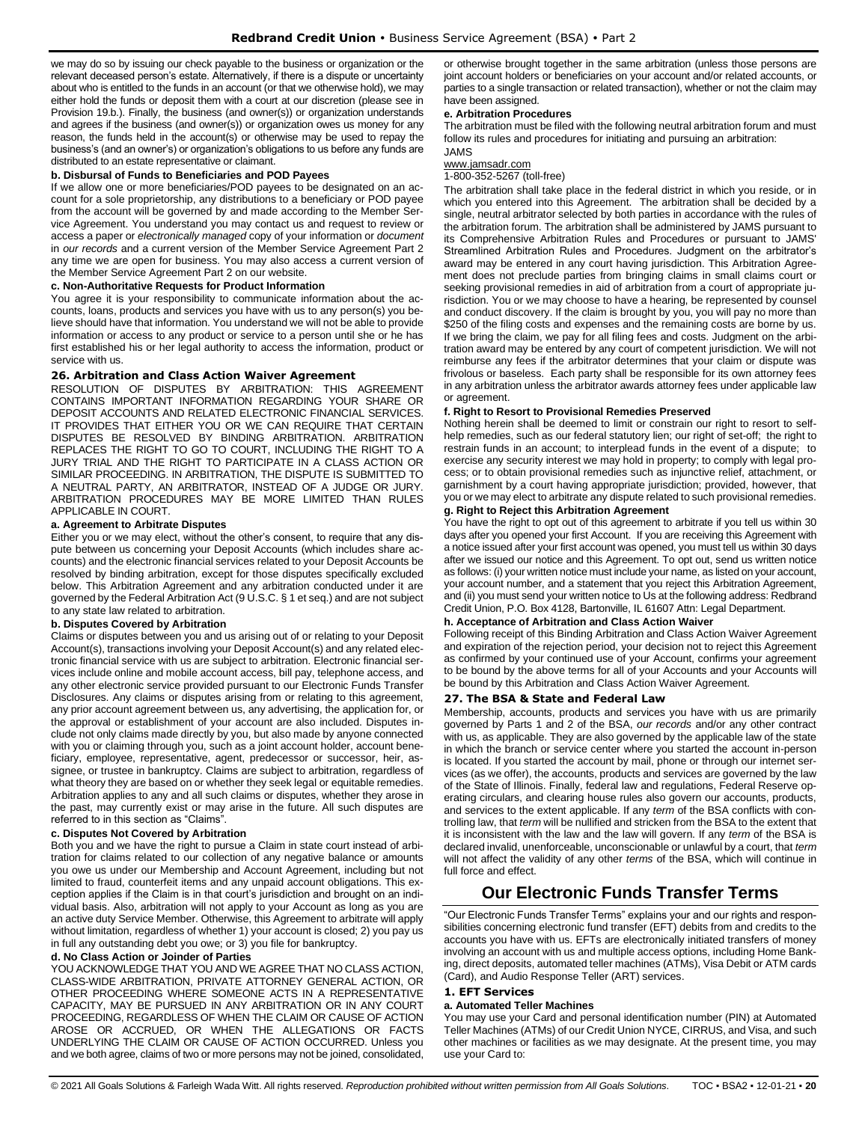we may do so by issuing our check payable to the business or organization or the relevant deceased person's estate. Alternatively, if there is a dispute or uncertainty about who is entitled to the funds in an account (or that we otherwise hold), we may either hold the funds or deposit them with a court at our discretion (please see in Provision 19.b.). Finally, the business (and owner(s)) or organization understands and agrees if the business (and owner(s)) or organization owes us money for any reason, the funds held in the account(s) or otherwise may be used to repay the business's (and an owner's) or organization's obligations to us before any funds are distributed to an estate representative or claimant.

#### **b. Disbursal of Funds to Beneficiaries and POD Payees**

If we allow one or more beneficiaries/POD payees to be designated on an account for a sole proprietorship, any distributions to a beneficiary or POD payee from the account will be governed by and made according to the Member Service Agreement. You understand you may contact us and request to review or access a paper or *electronically managed* copy of your information or *document*  in *our records* and a current version of the Member Service Agreement Part 2 any time we are open for business. You may also access a current version of the Member Service Agreement Part 2 on our website.

# **c. Non-Authoritative Requests for Product Information**

You agree it is your responsibility to communicate information about the accounts, loans, products and services you have with us to any person(s) you believe should have that information. You understand we will not be able to provide information or access to any product or service to a person until she or he has first established his or her legal authority to access the information, product or service with us.

#### <span id="page-19-0"></span>**26. Arbitration and Class Action Waiver Agreement**

RESOLUTION OF DISPUTES BY ARBITRATION: THIS AGREEMENT CONTAINS IMPORTANT INFORMATION REGARDING YOUR SHARE OR DEPOSIT ACCOUNTS AND RELATED ELECTRONIC FINANCIAL SERVICES. IT PROVIDES THAT EITHER YOU OR WE CAN REQUIRE THAT CERTAIN DISPUTES BE RESOLVED BY BINDING ARBITRATION. ARBITRATION REPLACES THE RIGHT TO GO TO COURT, INCLUDING THE RIGHT TO A JURY TRIAL AND THE RIGHT TO PARTICIPATE IN A CLASS ACTION OR SIMILAR PROCEEDING. IN ARBITRATION, THE DISPUTE IS SUBMITTED TO A NEUTRAL PARTY, AN ARBITRATOR, INSTEAD OF A JUDGE OR JURY. ARBITRATION PROCEDURES MAY BE MORE LIMITED THAN RULES APPLICABLE IN COURT.

# **a. Agreement to Arbitrate Disputes**

Either you or we may elect, without the other's consent, to require that any dispute between us concerning your Deposit Accounts (which includes share accounts) and the electronic financial services related to your Deposit Accounts be resolved by binding arbitration, except for those disputes specifically excluded below. This Arbitration Agreement and any arbitration conducted under it are governed by the Federal Arbitration Act (9 U.S.C. § 1 et seq.) and are not subject to any state law related to arbitration.

#### **b. Disputes Covered by Arbitration**

Claims or disputes between you and us arising out of or relating to your Deposit Account(s), transactions involving your Deposit Account(s) and any related electronic financial service with us are subject to arbitration. Electronic financial services include online and mobile account access, bill pay, telephone access, and any other electronic service provided pursuant to our Electronic Funds Transfer Disclosures. Any claims or disputes arising from or relating to this agreement, any prior account agreement between us, any advertising, the application for, or the approval or establishment of your account are also included. Disputes include not only claims made directly by you, but also made by anyone connected with you or claiming through you, such as a joint account holder, account beneficiary, employee, representative, agent, predecessor or successor, heir, assignee, or trustee in bankruptcy. Claims are subject to arbitration, regardless of what theory they are based on or whether they seek legal or equitable remedies. Arbitration applies to any and all such claims or disputes, whether they arose in the past, may currently exist or may arise in the future. All such disputes are referred to in this section as "Claims".

#### **c. Disputes Not Covered by Arbitration**

Both you and we have the right to pursue a Claim in state court instead of arbitration for claims related to our collection of any negative balance or amounts you owe us under our Membership and Account Agreement, including but not limited to fraud, counterfeit items and any unpaid account obligations. This exception applies if the Claim is in that court's jurisdiction and brought on an individual basis. Also, arbitration will not apply to your Account as long as you are an active duty Service Member. Otherwise, this Agreement to arbitrate will apply without limitation, regardless of whether 1) your account is closed; 2) you pay us in full any outstanding debt you owe; or 3) you file for bankruptcy.

#### **d. No Class Action or Joinder of Parties**

YOU ACKNOWLEDGE THAT YOU AND WE AGREE THAT NO CLASS ACTION, CLASS-WIDE ARBITRATION, PRIVATE ATTORNEY GENERAL ACTION, OR OTHER PROCEEDING WHERE SOMEONE ACTS IN A REPRESENTATIVE CAPACITY, MAY BE PURSUED IN ANY ARBITRATION OR IN ANY COURT PROCEEDING, REGARDLESS OF WHEN THE CLAIM OR CAUSE OF ACTION AROSE OR ACCRUED, OR WHEN THE ALLEGATIONS OR FACTS UNDERLYING THE CLAIM OR CAUSE OF ACTION OCCURRED. Unless you and we both agree, claims of two or more persons may not be joined, consolidated, or otherwise brought together in the same arbitration (unless those persons are joint account holders or beneficiaries on your account and/or related accounts, or parties to a single transaction or related transaction), whether or not the claim may have been assigned.

#### **e. Arbitration Procedures**

The arbitration must be filed with the following neutral arbitration forum and must follow its rules and procedures for initiating and pursuing an arbitration:

# JAMS

[www.jamsadr.com](http://www.jamsadr.com/)

1-800-352-5267 (toll-free)

The arbitration shall take place in the federal district in which you reside, or in which you entered into this Agreement. The arbitration shall be decided by a single, neutral arbitrator selected by both parties in accordance with the rules of the arbitration forum. The arbitration shall be administered by JAMS pursuant to its Comprehensive Arbitration Rules and Procedures or pursuant to JAMS' Streamlined Arbitration Rules and Procedures. Judgment on the arbitrator's award may be entered in any court having jurisdiction. This Arbitration Agreement does not preclude parties from bringing claims in small claims court or seeking provisional remedies in aid of arbitration from a court of appropriate jurisdiction. You or we may choose to have a hearing, be represented by counsel and conduct discovery. If the claim is brought by you, you will pay no more than \$250 of the filing costs and expenses and the remaining costs are borne by us. If we bring the claim, we pay for all filing fees and costs. Judgment on the arbitration award may be entered by any court of competent jurisdiction. We will not reimburse any fees if the arbitrator determines that your claim or dispute was frivolous or baseless. Each party shall be responsible for its own attorney fees in any arbitration unless the arbitrator awards attorney fees under applicable law or agreement.

#### **f. Right to Resort to Provisional Remedies Preserved**

Nothing herein shall be deemed to limit or constrain our right to resort to selfhelp remedies, such as our federal statutory lien; our right of set-off; the right to restrain funds in an account; to interplead funds in the event of a dispute; to exercise any security interest we may hold in property; to comply with legal process; or to obtain provisional remedies such as injunctive relief, attachment, or garnishment by a court having appropriate jurisdiction; provided, however, that you or we may elect to arbitrate any dispute related to such provisional remedies.

#### **g. Right to Reject this Arbitration Agreement**

You have the right to opt out of this agreement to arbitrate if you tell us within 30 days after you opened your first Account. If you are receiving this Agreement with a notice issued after your first account was opened, you must tell us within 30 days after we issued our notice and this Agreement. To opt out, send us written notice as follows: (i) your written notice must include your name, as listed on your account, your account number, and a statement that you reject this Arbitration Agreement, and (ii) you must send your written notice to Us at the following address: Redbrand Credit Union, P.O. Box 4128, Bartonville, IL 61607 Attn: Legal Department.

# **h. Acceptance of Arbitration and Class Action Waiver**

Following receipt of this Binding Arbitration and Class Action Waiver Agreement and expiration of the rejection period, your decision not to reject this Agreement as confirmed by your continued use of your Account, confirms your agreement to be bound by the above terms for all of your Accounts and your Accounts will be bound by this Arbitration and Class Action Waiver Agreement.

#### <span id="page-19-1"></span>**27. The BSA & State and Federal Law**

Membership, accounts, products and services you have with us are primarily governed by Parts 1 and 2 of the BSA, *our records* and/or any other contract with us, as applicable. They are also governed by the applicable law of the state in which the branch or service center where you started the account in-person is located. If you started the account by mail, phone or through our internet services (as we offer), the accounts, products and services are governed by the law of the State of Illinois. Finally, federal law and regulations, Federal Reserve operating circulars, and clearing house rules also govern our accounts, products, and services to the extent applicable. If any *term* of the BSA conflicts with controlling law, that *term* will be nullified and stricken from the BSA to the extent that it is inconsistent with the law and the law will govern. If any *term* of the BSA is declared invalid, unenforceable, unconscionable or unlawful by a court, that *term* will not affect the validity of any other *terms* of the BSA, which will continue in full force and effect.

# **Our Electronic Funds Transfer Terms**

<span id="page-19-2"></span>"Our Electronic Funds Transfer Terms" explains your and our rights and responsibilities concerning electronic fund transfer (EFT) debits from and credits to the accounts you have with us. EFTs are electronically initiated transfers of money involving an account with us and multiple access options, including Home Banking, direct deposits, automated teller machines (ATMs), Visa Debit or ATM cards (Card), and Audio Response Teller (ART) services.

# <span id="page-19-3"></span>**1. EFT Services**

# **a. Automated Teller Machines**

You may use your Card and personal identification number (PIN) at Automated Teller Machines (ATMs) of our Credit Union NYCE, CIRRUS, and Visa, and such other machines or facilities as we may designate. At the present time, you may use your Card to: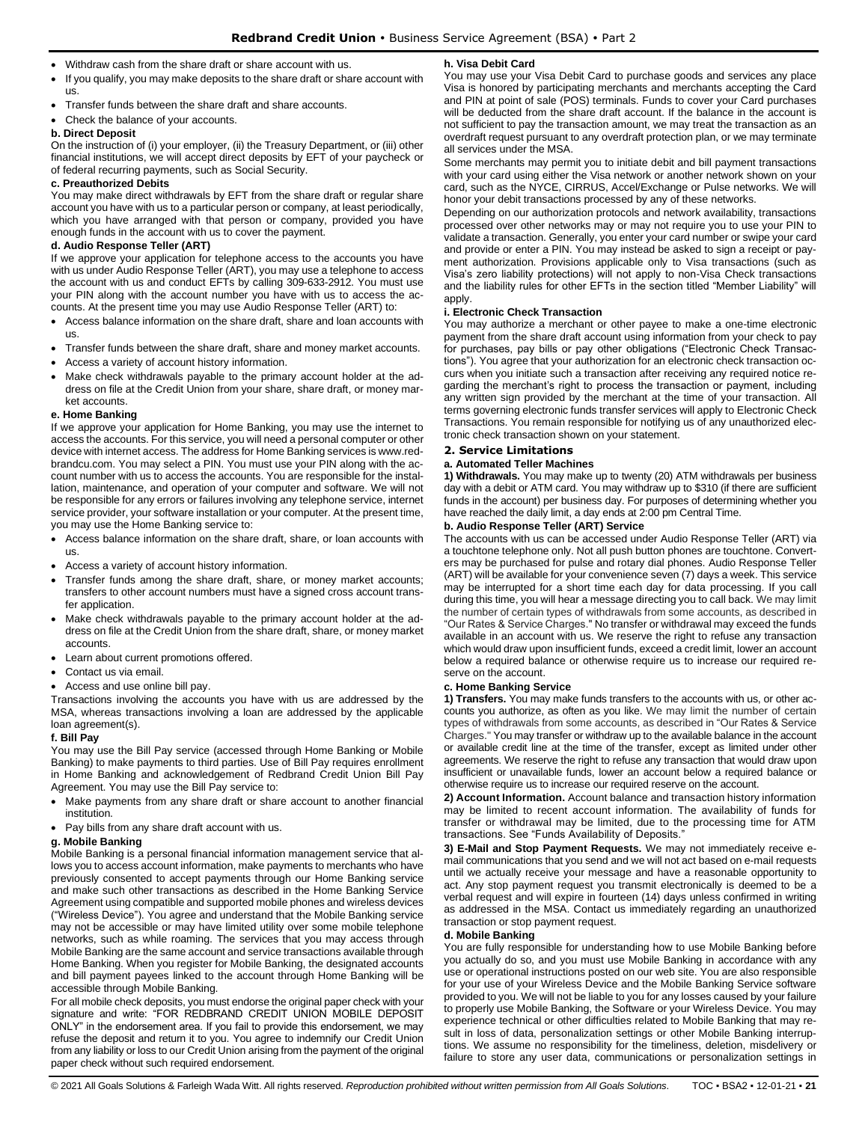- Withdraw cash from the share draft or share account with us.
- If you qualify, you may make deposits to the share draft or share account with us.
- Transfer funds between the share draft and share accounts.
- Check the balance of your accounts.

#### **b. Direct Deposit**

On the instruction of (i) your employer, (ii) the Treasury Department, or (iii) other financial institutions, we will accept direct deposits by EFT of your paycheck or of federal recurring payments, such as Social Security.

#### **c. Preauthorized Debits**

You may make direct withdrawals by EFT from the share draft or regular share account you have with us to a particular person or company, at least periodically, which you have arranged with that person or company, provided you have enough funds in the account with us to cover the payment.

#### **d. Audio Response Teller (ART)**

If we approve your application for telephone access to the accounts you have with us under Audio Response Teller (ART), you may use a telephone to access the account with us and conduct EFTs by calling 309-633-2912. You must use your PIN along with the account number you have with us to access the accounts. At the present time you may use Audio Response Teller (ART) to:

- Access balance information on the share draft, share and loan accounts with us.
- Transfer funds between the share draft, share and money market accounts.
- Access a variety of account history information.
- Make check withdrawals payable to the primary account holder at the address on file at the Credit Union from your share, share draft, or money market accounts.

#### **e. Home Banking**

If we approve your application for Home Banking, you may use the internet to access the accounts. For this service, you will need a personal computer or other device with internet access. The address for Home Banking services is www.redbrandcu.com. You may select a PIN. You must use your PIN along with the account number with us to access the accounts. You are responsible for the installation, maintenance, and operation of your computer and software. We will not be responsible for any errors or failures involving any telephone service, internet service provider, your software installation or your computer. At the present time, you may use the Home Banking service to:

- Access balance information on the share draft, share, or loan accounts with us.
- Access a variety of account history information.
- Transfer funds among the share draft, share, or money market accounts; transfers to other account numbers must have a signed cross account transfer application.
- Make check withdrawals payable to the primary account holder at the address on file at the Credit Union from the share draft, share, or money market accounts.
- Learn about current promotions offered.
- Contact us via email.
- Access and use online bill pay.

Transactions involving the accounts you have with us are addressed by the MSA, whereas transactions involving a loan are addressed by the applicable loan agreement(s).

#### **f. Bill Pay**

You may use the Bill Pay service (accessed through Home Banking or Mobile Banking) to make payments to third parties. Use of Bill Pay requires enrollment in Home Banking and acknowledgement of Redbrand Credit Union Bill Pay Agreement. You may use the Bill Pay service to:

- Make payments from any share draft or share account to another financial institution.
- Pay bills from any share draft account with us.

#### **g. Mobile Banking**

Mobile Banking is a personal financial information management service that allows you to access account information, make payments to merchants who have previously consented to accept payments through our Home Banking service and make such other transactions as described in the Home Banking Service Agreement using compatible and supported mobile phones and wireless devices ("Wireless Device"). You agree and understand that the Mobile Banking service may not be accessible or may have limited utility over some mobile telephone networks, such as while roaming. The services that you may access through Mobile Banking are the same account and service transactions available through Home Banking. When you register for Mobile Banking, the designated accounts and bill payment payees linked to the account through Home Banking will be accessible through Mobile Banking.

For all mobile check deposits, you must endorse the original paper check with your signature and write: "FOR REDBRAND CREDIT UNION MOBILE DEPOSIT ONLY" in the endorsement area. If you fail to provide this endorsement, we may refuse the deposit and return it to you. You agree to indemnify our Credit Union from any liability or loss to our Credit Union arising from the payment of the original paper check without such required endorsement.

#### **h. Visa Debit Card**

You may use your Visa Debit Card to purchase goods and services any place Visa is honored by participating merchants and merchants accepting the Card and PIN at point of sale (POS) terminals. Funds to cover your Card purchases will be deducted from the share draft account. If the balance in the account is not sufficient to pay the transaction amount, we may treat the transaction as an overdraft request pursuant to any overdraft protection plan, or we may terminate all services under the MSA.

Some merchants may permit you to initiate debit and bill payment transactions with your card using either the Visa network or another network shown on your card, such as the NYCE, CIRRUS, Accel/Exchange or Pulse networks. We will honor your debit transactions processed by any of these networks.

Depending on our authorization protocols and network availability, transactions processed over other networks may or may not require you to use your PIN to validate a transaction. Generally, you enter your card number or swipe your card and provide or enter a PIN. You may instead be asked to sign a receipt or payment authorization. Provisions applicable only to Visa transactions (such as Visa's zero liability protections) will not apply to non-Visa Check transactions and the liability rules for other EFTs in the section titled "Member Liability" will apply.

#### **i. Electronic Check Transaction**

You may authorize a merchant or other payee to make a one-time electronic payment from the share draft account using information from your check to pay for purchases, pay bills or pay other obligations ("Electronic Check Transactions"). You agree that your authorization for an electronic check transaction occurs when you initiate such a transaction after receiving any required notice regarding the merchant's right to process the transaction or payment, including any written sign provided by the merchant at the time of your transaction. All terms governing electronic funds transfer services will apply to Electronic Check Transactions. You remain responsible for notifying us of any unauthorized electronic check transaction shown on your statement.

# <span id="page-20-0"></span>**2. Service Limitations**

#### **a. Automated Teller Machines**

**1) Withdrawals.** You may make up to twenty (20) ATM withdrawals per business day with a debit or ATM card. You may withdraw up to \$310 (if there are sufficient funds in the account) per business day. For purposes of determining whether you have reached the daily limit, a day ends at 2:00 pm Central Time.

#### **b. Audio Response Teller (ART) Service**

The accounts with us can be accessed under Audio Response Teller (ART) via a touchtone telephone only. Not all push button phones are touchtone. Converters may be purchased for pulse and rotary dial phones. Audio Response Teller (ART) will be available for your convenience seven (7) days a week. This service may be interrupted for a short time each day for data processing. If you call during this time, you will hear a message directing you to call back. We may limit the number of certain types of withdrawals from some accounts, as described in "Our Rates & Service Charges." No transfer or withdrawal may exceed the funds available in an account with us. We reserve the right to refuse any transaction which would draw upon insufficient funds, exceed a credit limit, lower an account below a required balance or otherwise require us to increase our required reserve on the account.

# **c. Home Banking Service**

**1) Transfers.** You may make funds transfers to the accounts with us, or other accounts you authorize, as often as you like. We may limit the number of certain types of withdrawals from some accounts, as described in "Our Rates & Service Charges." You may transfer or withdraw up to the available balance in the account or available credit line at the time of the transfer, except as limited under other agreements. We reserve the right to refuse any transaction that would draw upon insufficient or unavailable funds, lower an account below a required balance or otherwise require us to increase our required reserve on the account.

**2) Account Information.** Account balance and transaction history information may be limited to recent account information. The availability of funds for transfer or withdrawal may be limited, due to the processing time for ATM transactions. See "Funds Availability of Deposits."

**3) E-Mail and Stop Payment Requests.** We may not immediately receive email communications that you send and we will not act based on e-mail requests until we actually receive your message and have a reasonable opportunity to act. Any stop payment request you transmit electronically is deemed to be a verbal request and will expire in fourteen (14) days unless confirmed in writing as addressed in the MSA. Contact us immediately regarding an unauthorized transaction or stop payment request.

## **d. Mobile Banking**

You are fully responsible for understanding how to use Mobile Banking before you actually do so, and you must use Mobile Banking in accordance with any use or operational instructions posted on our web site. You are also responsible for your use of your Wireless Device and the Mobile Banking Service software provided to you. We will not be liable to you for any losses caused by your failure to properly use Mobile Banking, the Software or your Wireless Device. You may experience technical or other difficulties related to Mobile Banking that may result in loss of data, personalization settings or other Mobile Banking interruptions. We assume no responsibility for the timeliness, deletion, misdelivery or failure to store any user data, communications or personalization settings in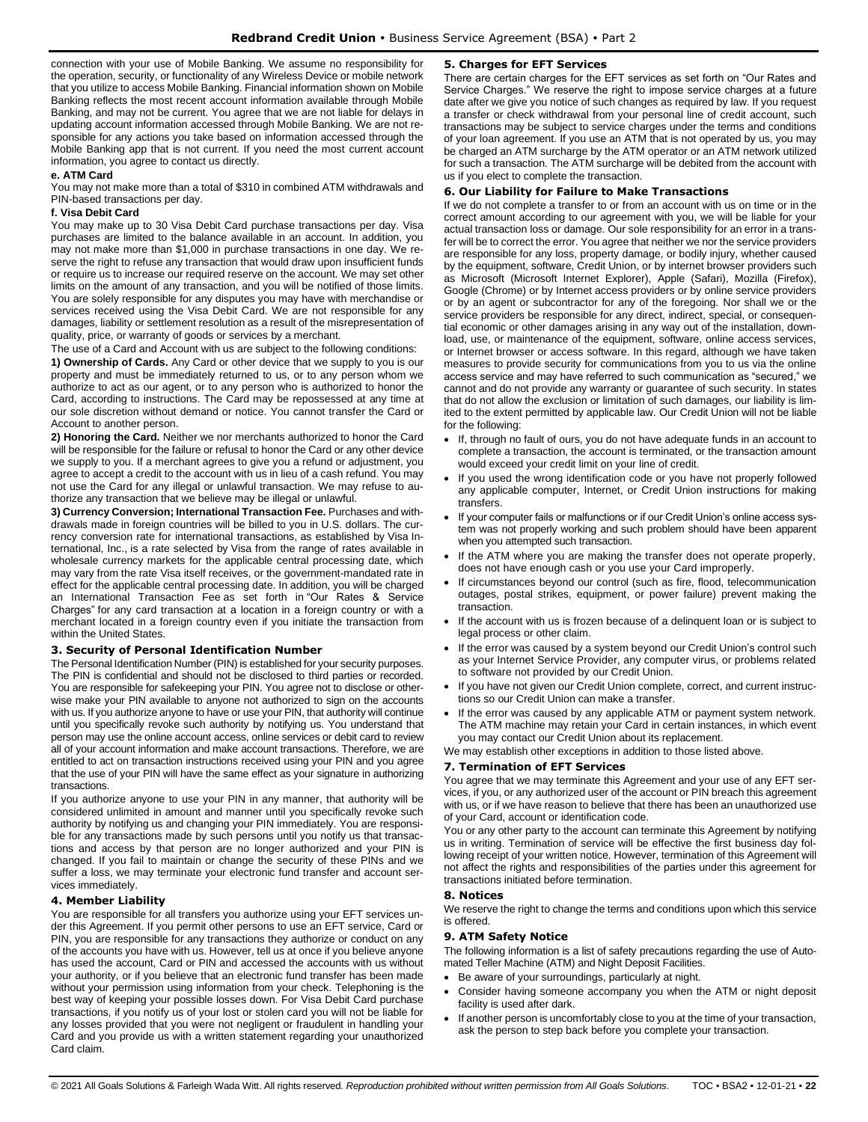connection with your use of Mobile Banking. We assume no responsibility for the operation, security, or functionality of any Wireless Device or mobile network that you utilize to access Mobile Banking. Financial information shown on Mobile Banking reflects the most recent account information available through Mobile Banking, and may not be current. You agree that we are not liable for delays in updating account information accessed through Mobile Banking. We are not responsible for any actions you take based on information accessed through the Mobile Banking app that is not current. If you need the most current account information, you agree to contact us directly.

#### **e. ATM Card**

You may not make more than a total of \$310 in combined ATM withdrawals and PIN-based transactions per day.

#### **f. Visa Debit Card**

You may make up to 30 Visa Debit Card purchase transactions per day. Visa purchases are limited to the balance available in an account. In addition, you may not make more than \$1,000 in purchase transactions in one day. We reserve the right to refuse any transaction that would draw upon insufficient funds or require us to increase our required reserve on the account. We may set other limits on the amount of any transaction, and you will be notified of those limits. You are solely responsible for any disputes you may have with merchandise or services received using the Visa Debit Card. We are not responsible for any damages, liability or settlement resolution as a result of the misrepresentation of quality, price, or warranty of goods or services by a merchant.

The use of a Card and Account with us are subject to the following conditions:

**1) Ownership of Cards.** Any Card or other device that we supply to you is our property and must be immediately returned to us, or to any person whom we authorize to act as our agent, or to any person who is authorized to honor the Card, according to instructions. The Card may be repossessed at any time at our sole discretion without demand or notice. You cannot transfer the Card or Account to another person.

**2) Honoring the Card.** Neither we nor merchants authorized to honor the Card will be responsible for the failure or refusal to honor the Card or any other device we supply to you. If a merchant agrees to give you a refund or adjustment, you agree to accept a credit to the account with us in lieu of a cash refund. You may not use the Card for any illegal or unlawful transaction. We may refuse to authorize any transaction that we believe may be illegal or unlawful.

**3) Currency Conversion; International Transaction Fee.** Purchases and withdrawals made in foreign countries will be billed to you in U.S. dollars. The currency conversion rate for international transactions, as established by Visa International, Inc., is a rate selected by Visa from the range of rates available in wholesale currency markets for the applicable central processing date, which may vary from the rate Visa itself receives, or the government-mandated rate in effect for the applicable central processing date. In addition, you will be charged an International Transaction Fee as set forth in "Our Rates & Service Charges" for any card transaction at a location in a foreign country or with a merchant located in a foreign country even if you initiate the transaction from within the United States.

## <span id="page-21-0"></span>**3. Security of Personal Identification Number**

The Personal Identification Number (PIN) is established for your security purposes. The PIN is confidential and should not be disclosed to third parties or recorded. You are responsible for safekeeping your PIN. You agree not to disclose or otherwise make your PIN available to anyone not authorized to sign on the accounts with us. If you authorize anyone to have or use your PIN, that authority will continue until you specifically revoke such authority by notifying us. You understand that person may use the online account access, online services or debit card to review all of your account information and make account transactions. Therefore, we are entitled to act on transaction instructions received using your PIN and you agree that the use of your PIN will have the same effect as your signature in authorizing transactions.

If you authorize anyone to use your PIN in any manner, that authority will be considered unlimited in amount and manner until you specifically revoke such authority by notifying us and changing your PIN immediately. You are responsible for any transactions made by such persons until you notify us that transactions and access by that person are no longer authorized and your PIN is changed. If you fail to maintain or change the security of these PINs and we suffer a loss, we may terminate your electronic fund transfer and account services immediately.

## <span id="page-21-1"></span>**4. Member Liability**

You are responsible for all transfers you authorize using your EFT services under this Agreement. If you permit other persons to use an EFT service, Card or PIN, you are responsible for any transactions they authorize or conduct on any of the accounts you have with us. However, tell us at once if you believe anyone has used the account, Card or PIN and accessed the accounts with us without your authority, or if you believe that an electronic fund transfer has been made without your permission using information from your check. Telephoning is the best way of keeping your possible losses down. For Visa Debit Card purchase transactions, if you notify us of your lost or stolen card you will not be liable for any losses provided that you were not negligent or fraudulent in handling your Card and you provide us with a written statement regarding your unauthorized Card claim.

# <span id="page-21-2"></span>**5. Charges for EFT Services**

There are certain charges for the EFT services as set forth on "Our Rates and Service Charges." We reserve the right to impose service charges at a future date after we give you notice of such changes as required by law. If you request a transfer or check withdrawal from your personal line of credit account, such transactions may be subject to service charges under the terms and conditions of your loan agreement. If you use an ATM that is not operated by us, you may be charged an ATM surcharge by the ATM operator or an ATM network utilized for such a transaction. The ATM surcharge will be debited from the account with us if you elect to complete the transaction.

## <span id="page-21-3"></span>**6. Our Liability for Failure to Make Transactions**

If we do not complete a transfer to or from an account with us on time or in the correct amount according to our agreement with you, we will be liable for your actual transaction loss or damage. Our sole responsibility for an error in a transfer will be to correct the error. You agree that neither we nor the service providers are responsible for any loss, property damage, or bodily injury, whether caused by the equipment, software, Credit Union, or by internet browser providers such as Microsoft (Microsoft Internet Explorer), Apple (Safari), Mozilla (Firefox), Google (Chrome) or by Internet access providers or by online service providers or by an agent or subcontractor for any of the foregoing. Nor shall we or the service providers be responsible for any direct, indirect, special, or consequential economic or other damages arising in any way out of the installation, download, use, or maintenance of the equipment, software, online access services, or Internet browser or access software. In this regard, although we have taken measures to provide security for communications from you to us via the online access service and may have referred to such communication as "secured," we cannot and do not provide any warranty or guarantee of such security. In states that do not allow the exclusion or limitation of such damages, our liability is limited to the extent permitted by applicable law. Our Credit Union will not be liable for the following:

- If, through no fault of ours, you do not have adequate funds in an account to complete a transaction, the account is terminated, or the transaction amount would exceed your credit limit on your line of credit.
- If you used the wrong identification code or you have not properly followed any applicable computer, Internet, or Credit Union instructions for making transfers.
- If your computer fails or malfunctions or if our Credit Union's online access system was not properly working and such problem should have been apparent when you attempted such transaction.
- If the ATM where you are making the transfer does not operate properly, does not have enough cash or you use your Card improperly.
- If circumstances beyond our control (such as fire, flood, telecommunication outages, postal strikes, equipment, or power failure) prevent making the transaction.
- If the account with us is frozen because of a delinguent loan or is subject to legal process or other claim.
- If the error was caused by a system beyond our Credit Union's control such as your Internet Service Provider, any computer virus, or problems related to software not provided by our Credit Union.
- If you have not given our Credit Union complete, correct, and current instructions so our Credit Union can make a transfer.
- If the error was caused by any applicable ATM or payment system network. The ATM machine may retain your Card in certain instances, in which event you may contact our Credit Union about its replacement.

We may establish other exceptions in addition to those listed above.

## <span id="page-21-4"></span>**7. Termination of EFT Services**

You agree that we may terminate this Agreement and your use of any EFT services, if you, or any authorized user of the account or PIN breach this agreement with us, or if we have reason to believe that there has been an unauthorized use of your Card, account or identification code.

You or any other party to the account can terminate this Agreement by notifying us in writing. Termination of service will be effective the first business day following receipt of your written notice. However, termination of this Agreement will not affect the rights and responsibilities of the parties under this agreement for transactions initiated before termination.

## <span id="page-21-5"></span>**8. Notices**

We reserve the right to change the terms and conditions upon which this service is offered.

#### <span id="page-21-6"></span>**9. ATM Safety Notice**

The following information is a list of safety precautions regarding the use of Automated Teller Machine (ATM) and Night Deposit Facilities.

- Be aware of your surroundings, particularly at night.
- Consider having someone accompany you when the ATM or night deposit facility is used after dark.
- If another person is uncomfortably close to you at the time of your transaction, ask the person to step back before you complete your transaction.